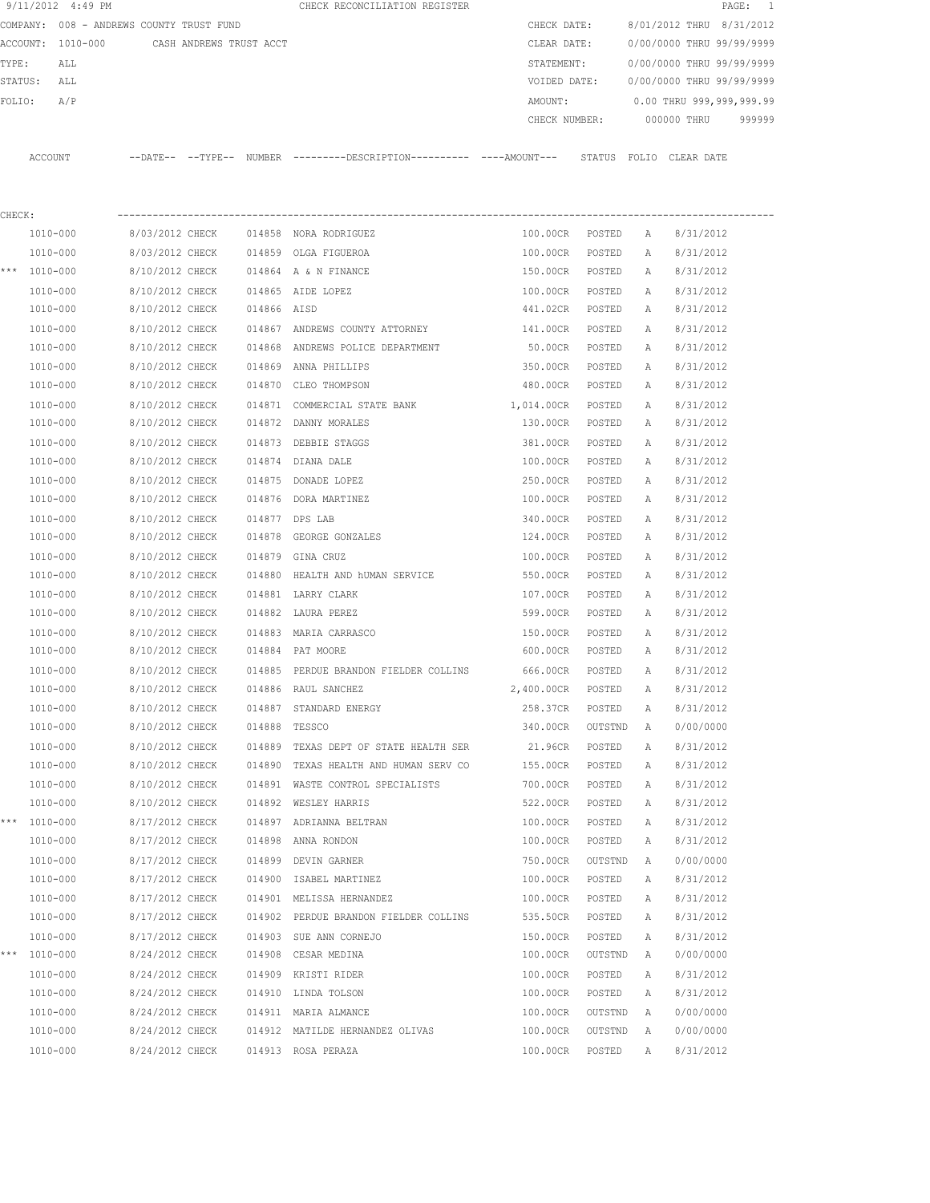|         | 9/11/2012 4:49 PM                        |                 |                         |             | CHECK RECONCILIATION REGISTER                                                              |                  |         |              |                           | PAGE:<br>$\overline{\phantom{0}}$ |
|---------|------------------------------------------|-----------------|-------------------------|-------------|--------------------------------------------------------------------------------------------|------------------|---------|--------------|---------------------------|-----------------------------------|
|         | COMPANY: 008 - ANDREWS COUNTY TRUST FUND |                 |                         |             |                                                                                            | CHECK DATE:      |         |              | 8/01/2012 THRU 8/31/2012  |                                   |
|         | ACCOUNT: 1010-000                        |                 | CASH ANDREWS TRUST ACCT |             |                                                                                            | CLEAR DATE:      |         |              | 0/00/0000 THRU 99/99/9999 |                                   |
| TYPE:   | ALL                                      |                 |                         |             |                                                                                            | STATEMENT:       |         |              | 0/00/0000 THRU 99/99/9999 |                                   |
| STATUS: | ALL                                      |                 |                         |             |                                                                                            | VOIDED DATE:     |         |              | 0/00/0000 THRU 99/99/9999 |                                   |
| FOLIO:  | A/P                                      |                 |                         |             |                                                                                            | AMOUNT:          |         |              | 0.00 THRU 999,999,999.99  |                                   |
|         |                                          |                 |                         |             |                                                                                            | CHECK NUMBER:    |         |              | 000000 THRU               | 999999                            |
|         | ACCOUNT                                  |                 |                         |             | --DATE-- --TYPE-- NUMBER --------DESCRIPTION--------- ---AMOUNT--- STATUS FOLIO CLEAR DATE |                  |         |              |                           |                                   |
| CHECK:  |                                          |                 |                         |             |                                                                                            |                  |         |              |                           |                                   |
|         | 1010-000                                 | 8/03/2012 CHECK |                         |             | 014858 NORA RODRIGUEZ                                                                      | 100.00CR         | POSTED  | A            | 8/31/2012                 |                                   |
|         | 1010-000                                 | 8/03/2012 CHECK |                         |             | 014859 OLGA FIGUEROA                                                                       | 100.00CR         | POSTED  | Α            | 8/31/2012                 |                                   |
|         | *** $1010 - 000$                         | 8/10/2012 CHECK |                         |             | 014864 A & N FINANCE                                                                       | 150.00CR         | POSTED  | A            | 8/31/2012                 |                                   |
|         | 1010-000                                 | 8/10/2012 CHECK |                         |             | 014865 AIDE LOPEZ                                                                          | 100.00CR         | POSTED  | Α            | 8/31/2012                 |                                   |
|         | 1010-000                                 | 8/10/2012 CHECK |                         | 014866 AISD |                                                                                            | 441.02CR         | POSTED  | А            | 8/31/2012                 |                                   |
|         | 1010-000                                 | 8/10/2012 CHECK |                         |             | 014867 ANDREWS COUNTY ATTORNEY                                                             | 141.00CR         | POSTED  | A            | 8/31/2012                 |                                   |
|         | 1010-000                                 | 8/10/2012 CHECK |                         |             | 014868 ANDREWS POLICE DEPARTMENT                                                           | 50.00CR          | POSTED  | A            | 8/31/2012                 |                                   |
|         | $1010 - 000$                             | 8/10/2012 CHECK |                         |             | 014869 ANNA PHILLIPS                                                                       | 350.00CR         | POSTED  | $\mathbb{A}$ | 8/31/2012                 |                                   |
|         | 1010-000                                 | 8/10/2012 CHECK |                         | 014870      | CLEO THOMPSON                                                                              | 480.00CR         | POSTED  | A            | 8/31/2012                 |                                   |
|         | 1010-000                                 | 8/10/2012 CHECK |                         |             | 014871 COMMERCIAL STATE BANK                                                               | 1,014.00CR       | POSTED  | Α            | 8/31/2012                 |                                   |
|         | 1010-000                                 | 8/10/2012 CHECK |                         |             | 014872 DANNY MORALES                                                                       | 130.00CR         | POSTED  | A            | 8/31/2012                 |                                   |
|         | 1010-000                                 | 8/10/2012 CHECK |                         |             | 014873 DEBBIE STAGGS                                                                       | 381.00CR         | POSTED  | Α            | 8/31/2012                 |                                   |
|         | 1010-000                                 | 8/10/2012 CHECK |                         |             | 014874 DIANA DALE                                                                          | 100.00CR         | POSTED  | Α            | 8/31/2012                 |                                   |
|         | 1010-000                                 | 8/10/2012 CHECK |                         |             | 014875 DONADE LOPEZ                                                                        | 250.00CR         | POSTED  | Α            | 8/31/2012                 |                                   |
|         | 1010-000                                 | 8/10/2012 CHECK |                         |             | 014876 DORA MARTINEZ                                                                       | 100.00CR         | POSTED  | A            | 8/31/2012                 |                                   |
|         | 1010-000                                 | 8/10/2012 CHECK |                         |             | 014877 DPS LAB                                                                             | 340.00CR         | POSTED  | А            | 8/31/2012                 |                                   |
|         | 1010-000                                 | 8/10/2012 CHECK |                         |             | 014878 GEORGE GONZALES                                                                     | 124.00CR         | POSTED  | А            | 8/31/2012                 |                                   |
|         | 1010-000                                 | 8/10/2012 CHECK |                         | 014879      | GINA CRUZ                                                                                  | 100.00CR         | POSTED  | Α            | 8/31/2012                 |                                   |
|         | 1010-000                                 | 8/10/2012 CHECK |                         | 014880      | HEALTH AND NUMAN SERVICE                                                                   | 550.00CR         | POSTED  | Α            | 8/31/2012                 |                                   |
|         | 1010-000                                 | 8/10/2012 CHECK |                         |             | 014881 LARRY CLARK                                                                         | 107.00CR         | POSTED  | Α            | 8/31/2012                 |                                   |
|         | 1010-000                                 | 8/10/2012 CHECK |                         |             | 014882 LAURA PEREZ                                                                         | 599.00CR         | POSTED  | А            | 8/31/2012                 |                                   |
|         | 1010-000                                 | 8/10/2012 CHECK |                         |             | 014883 MARIA CARRASCO                                                                      | 150.00CR         | POSTED  | А            | 8/31/2012                 |                                   |
|         | 1010-000                                 | 8/10/2012 CHECK |                         |             | 014884 PAT MOORE                                                                           | 600.00CR         | POSTED  | А            | 8/31/2012                 |                                   |
|         | 1010-000                                 | 8/10/2012 CHECK |                         |             | 014885 PERDUE BRANDON FIELDER COLLINS                                                      | 666.00CR         | POSTED  | Α            | 8/31/2012                 |                                   |
|         | 1010-000                                 | 8/10/2012 CHECK |                         |             | 014886 RAUL SANCHEZ                                                                        | 2,400.00CR       | POSTED  | Α            | 8/31/2012                 |                                   |
|         | 1010-000                                 | 8/10/2012 CHECK |                         |             | 014887 STANDARD ENERGY                                                                     | 258.37CR         | POSTED  | Α            | 8/31/2012                 |                                   |
|         | 1010-000                                 | 8/10/2012 CHECK |                         |             | 014888 TESSCO                                                                              | 340.00CR         | OUTSTND | $\mathbb{A}$ | 0/00/0000                 |                                   |
|         | $1010 - 000$                             | 8/10/2012 CHECK |                         |             | 014889 TEXAS DEPT OF STATE HEALTH SER                                                      | 21.96CR          | POSTED  | Α            | 8/31/2012                 |                                   |
|         | 1010-000                                 | 8/10/2012 CHECK |                         |             | 014890 TEXAS HEALTH AND HUMAN SERV CO                                                      | 155.00CR         | POSTED  | Α            | 8/31/2012                 |                                   |
|         | 1010-000                                 | 8/10/2012 CHECK |                         |             | 014891 WASTE CONTROL SPECIALISTS                                                           | 700.00CR         | POSTED  | Α            | 8/31/2012                 |                                   |
|         | 1010-000                                 | 8/10/2012 CHECK |                         |             | 014892 WESLEY HARRIS                                                                       | 522.00CR         | POSTED  | Α            | 8/31/2012                 |                                   |
| $***$   | 1010-000                                 | 8/17/2012 CHECK |                         |             | 014897 ADRIANNA BELTRAN                                                                    | 100.00CR         | POSTED  | Α            | 8/31/2012                 |                                   |
|         | 1010-000                                 | 8/17/2012 CHECK |                         |             | 014898 ANNA RONDON                                                                         | 100.00CR         | POSTED  | Α            | 8/31/2012                 |                                   |
|         | $1010 - 000$                             | 8/17/2012 CHECK |                         |             | 014899 DEVIN GARNER                                                                        | 750.00CR         | OUTSTND | Α            | 0/00/0000                 |                                   |
|         | 1010-000                                 | 8/17/2012 CHECK |                         |             | 014900 ISABEL MARTINEZ                                                                     | 100.00CR         | POSTED  | Α            | 8/31/2012                 |                                   |
|         | 1010-000                                 | 8/17/2012 CHECK |                         |             | 014901 MELISSA HERNANDEZ                                                                   | 100.00CR         | POSTED  | Α            | 8/31/2012                 |                                   |
|         | 1010-000                                 | 8/17/2012 CHECK |                         |             | 014902 PERDUE BRANDON FIELDER COLLINS                                                      | 535.50CR         | POSTED  | Α            | 8/31/2012                 |                                   |
|         | 1010-000                                 | 8/17/2012 CHECK |                         |             | 014903 SUE ANN CORNEJO                                                                     | 150.00CR         | POSTED  | Α            | 8/31/2012                 |                                   |
| ***     | 1010-000                                 | 8/24/2012 CHECK |                         |             | 014908 CESAR MEDINA                                                                        | 100.00CR         | OUTSTND | Α            | 0/00/0000                 |                                   |
|         | 1010-000                                 | 8/24/2012 CHECK |                         |             | 014909 KRISTI RIDER                                                                        | 100.00CR         | POSTED  | Α            | 8/31/2012                 |                                   |
|         | 1010-000                                 | 8/24/2012 CHECK |                         |             | 014910 LINDA TOLSON                                                                        | 100.00CR         | POSTED  | Α            | 8/31/2012                 |                                   |
|         | 1010-000                                 | 8/24/2012 CHECK |                         |             | 014911 MARIA ALMANCE                                                                       | 100.00CR         | OUTSTND | Α            | 0/00/0000                 |                                   |
|         | 1010-000                                 | 8/24/2012 CHECK |                         |             | 014912 MATILDE HERNANDEZ OLIVAS                                                            | 100.00CR OUTSTND |         | A            | 0/00/0000                 |                                   |
|         | 1010-000                                 | 8/24/2012 CHECK |                         |             | 014913 ROSA PERAZA                                                                         | 100.00CR POSTED  |         | $\mathbb{A}$ | 8/31/2012                 |                                   |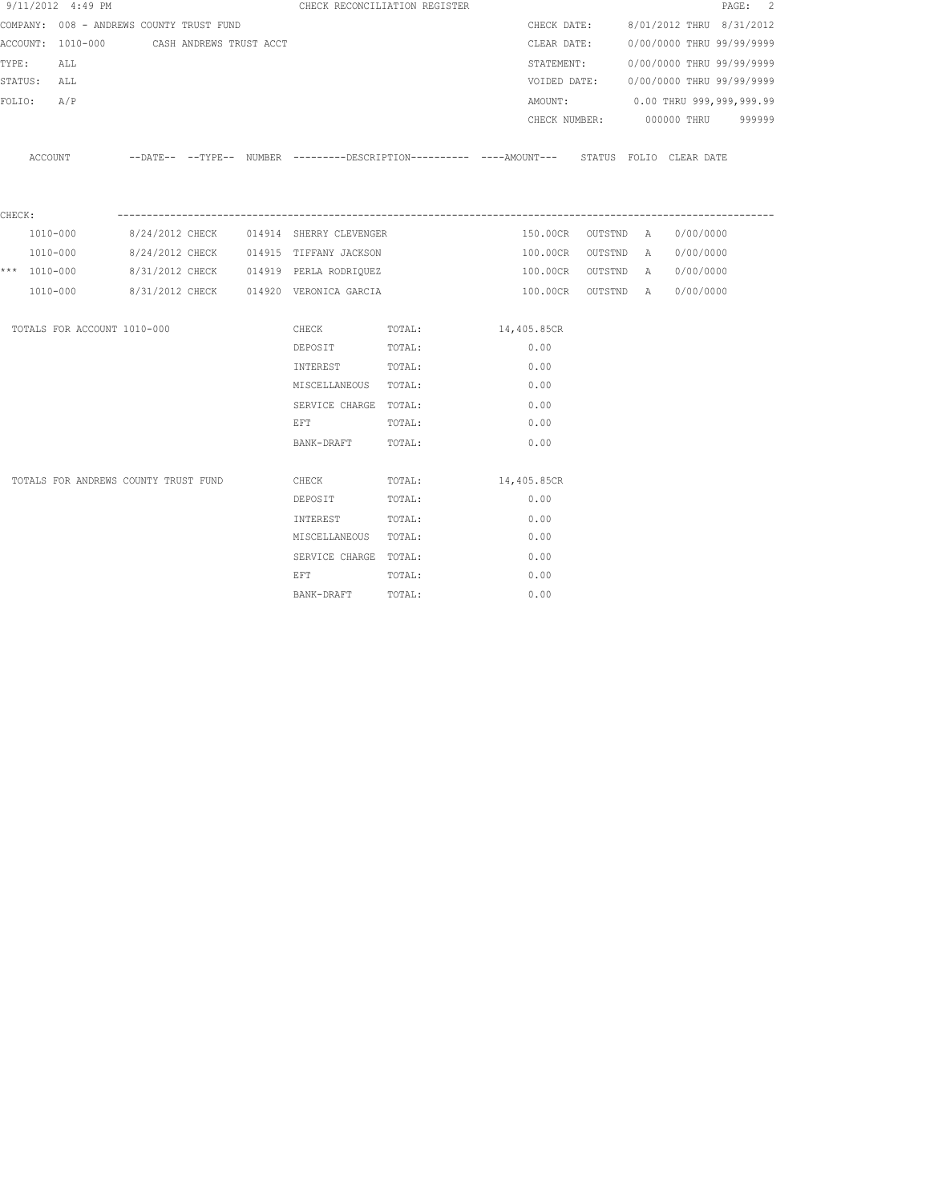|              | 9/11/2012 4:49 PM                        |                         |  |                                                                                                                | CHECK RECONCILIATION REGISTER                                                                       |             |             |                    |                                        | PAGE: 2 |
|--------------|------------------------------------------|-------------------------|--|----------------------------------------------------------------------------------------------------------------|-----------------------------------------------------------------------------------------------------|-------------|-------------|--------------------|----------------------------------------|---------|
|              | COMPANY: 008 - ANDREWS COUNTY TRUST FUND |                         |  |                                                                                                                |                                                                                                     |             | CHECK DATE: |                    | 8/01/2012 THRU 8/31/2012               |         |
|              | ACCOUNT: 1010-000                        | CASH ANDREWS TRUST ACCT |  |                                                                                                                |                                                                                                     |             |             |                    | CLEAR DATE: 0/00/0000 THRU 99/99/9999  |         |
| TYPE:        | ALL                                      |                         |  |                                                                                                                |                                                                                                     |             | STATEMENT:  |                    | 0/00/0000 THRU 99/99/9999              |         |
| STATUS: ALL  |                                          |                         |  |                                                                                                                |                                                                                                     |             |             |                    | VOIDED DATE: 0/00/0000 THRU 99/99/9999 |         |
| FOLIO:       | A/P                                      |                         |  |                                                                                                                |                                                                                                     |             |             |                    | AMOUNT: 0.00 THRU 999,999,999.99       |         |
|              |                                          |                         |  |                                                                                                                |                                                                                                     |             |             |                    | CHECK NUMBER: 000000 THRU 999999       |         |
|              |                                          |                         |  |                                                                                                                | ACCOUNT --DATE-- --TYPE-- NUMBER --------DESCRIPTION---------- ---AMOUNT--- STATUS FOLIO CLEAR DATE |             |             |                    |                                        |         |
| CHECK:       |                                          |                         |  |                                                                                                                |                                                                                                     |             |             |                    |                                        |         |
|              | 1010-000                                 |                         |  | 8/24/2012 CHECK 014914 SHERRY CLEVENGER                                                                        |                                                                                                     |             |             |                    | 150.00CR OUTSTND A 0/00/0000           |         |
|              | 1010-000                                 |                         |  | 8/24/2012 CHECK 014915 TIFFANY JACKSON                                                                         |                                                                                                     |             | 100.00CR    | OUTSTND A          | 0/00/0000                              |         |
| *** 1010-000 |                                          |                         |  | 8/31/2012 CHECK 014919 PERLA RODRIQUEZ                                                                         |                                                                                                     |             |             | 100.00CR OUTSTND A | 0/00/0000                              |         |
|              | 1010-000                                 |                         |  | 8/31/2012 CHECK 014920 VERONICA GARCIA                                                                         |                                                                                                     |             |             | 100.00CR OUTSTND A | 0/00/0000                              |         |
|              | TOTALS FOR ACCOUNT 1010-000              |                         |  | CHECK                                                                                                          | TOTAL:                                                                                              | 14,405.85CR |             |                    |                                        |         |
|              |                                          |                         |  | DEPOSIT                                                                                                        | TOTAL:                                                                                              |             | 0.00        |                    |                                        |         |
|              |                                          |                         |  | INTEREST TOTAL:                                                                                                |                                                                                                     |             | 0.00        |                    |                                        |         |
|              |                                          |                         |  | MISCELLANEOUS TOTAL:                                                                                           |                                                                                                     |             | 0.00        |                    |                                        |         |
|              |                                          |                         |  | SERVICE CHARGE TOTAL:                                                                                          |                                                                                                     |             | 0.00        |                    |                                        |         |
|              |                                          |                         |  | EFT FOR THE STATE OF THE STATE OF THE STATE OF THE STATE OF THE STATE OF THE STATE OF THE STATE OF THE STATE O | TOTAL:                                                                                              |             | 0.00        |                    |                                        |         |
|              |                                          |                         |  | BANK-DRAFT TOTAL:                                                                                              |                                                                                                     |             | 0.00        |                    |                                        |         |
|              | TOTALS FOR ANDREWS COUNTY TRUST FUND     |                         |  | CHECK                                                                                                          | TOTAL:                                                                                              | 14,405.85CR |             |                    |                                        |         |
|              |                                          |                         |  | DEPOSIT                                                                                                        | TOTAL:                                                                                              |             | 0.00        |                    |                                        |         |
|              |                                          |                         |  | INTEREST                                                                                                       | TOTAL:                                                                                              |             | 0.00        |                    |                                        |         |
|              |                                          |                         |  | MISCELLANEOUS TOTAL:                                                                                           |                                                                                                     |             | 0.00        |                    |                                        |         |
|              |                                          |                         |  | SERVICE CHARGE TOTAL:                                                                                          |                                                                                                     |             | 0.00        |                    |                                        |         |
|              |                                          |                         |  | EFT                                                                                                            | TOTAL:                                                                                              |             | 0.00        |                    |                                        |         |
|              |                                          |                         |  | BANK-DRAFT                                                                                                     | TOTAL:                                                                                              |             | 0.00        |                    |                                        |         |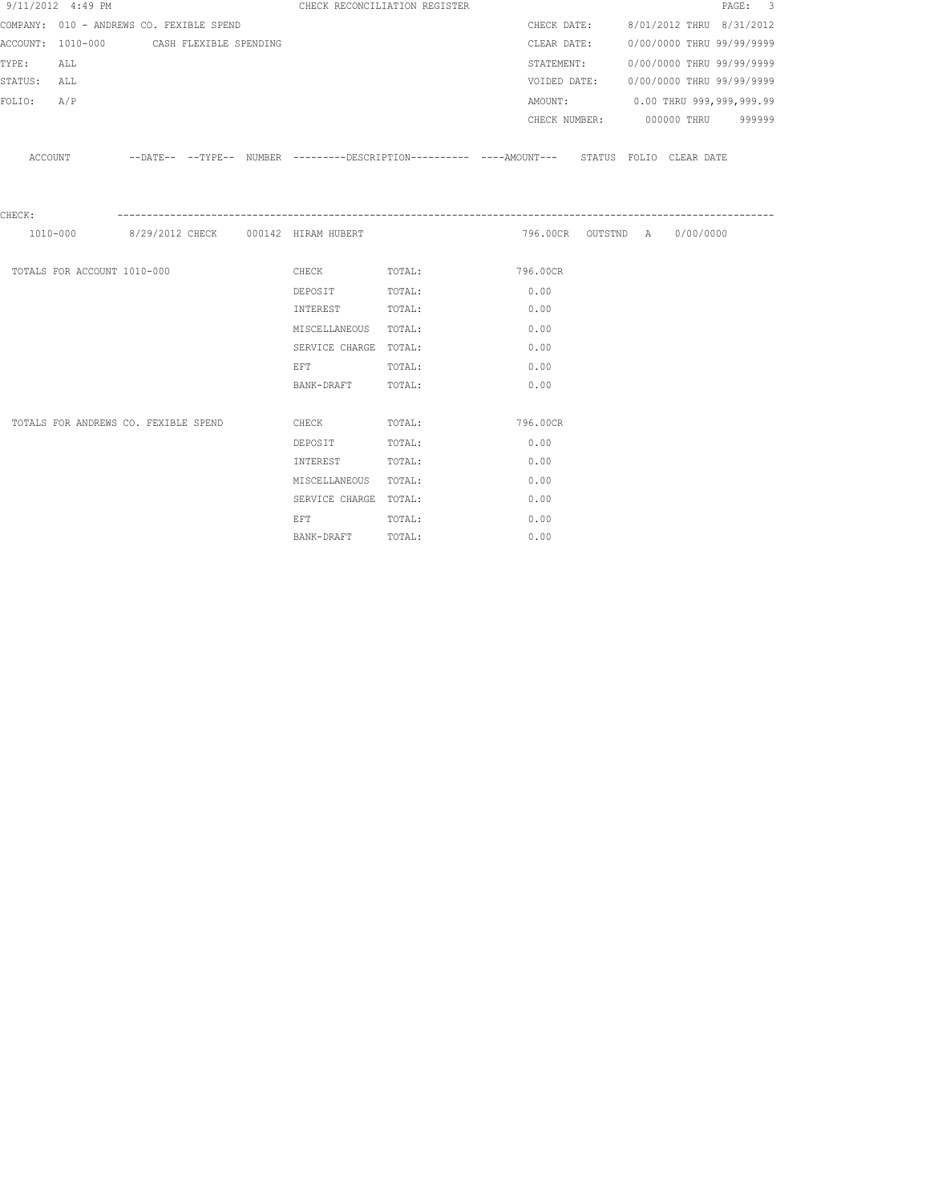|             | 9/11/2012 4:49 PM                        |  | CHECK RECONCILIATION REGISTER                                                                                  |                       |                                                                                                     |             |                              | PAGE: 3                                |
|-------------|------------------------------------------|--|----------------------------------------------------------------------------------------------------------------|-----------------------|-----------------------------------------------------------------------------------------------------|-------------|------------------------------|----------------------------------------|
|             | COMPANY: 010 - ANDREWS CO. FEXIBLE SPEND |  |                                                                                                                |                       |                                                                                                     |             |                              | CHECK DATE: 8/01/2012 THRU 8/31/2012   |
|             | ACCOUNT: 1010-000 CASH FLEXIBLE SPENDING |  |                                                                                                                |                       |                                                                                                     | CLEAR DATE: |                              | 0/00/0000 THRU 99/99/9999              |
| TYPE:       | ALL                                      |  |                                                                                                                |                       |                                                                                                     | STATEMENT:  |                              | 0/00/0000 THRU 99/99/9999              |
| STATUS: ALL |                                          |  |                                                                                                                |                       |                                                                                                     |             |                              | VOIDED DATE: 0/00/0000 THRU 99/99/9999 |
| FOLIO: A/P  |                                          |  |                                                                                                                |                       |                                                                                                     |             |                              | AMOUNT: 0.00 THRU 999,999,999.99       |
|             |                                          |  |                                                                                                                |                       |                                                                                                     |             |                              | CHECK NUMBER: 000000 THRU 999999       |
|             |                                          |  |                                                                                                                |                       | ACCOUNT -DATE-- --TYPE-- NUMBER ---------DESCRIPTION---------- ---AMOUNT--- STATUS FOLIO CLEAR DATE |             |                              |                                        |
| CHECK:      |                                          |  |                                                                                                                |                       |                                                                                                     |             |                              |                                        |
|             |                                          |  | 1010-000 8/29/2012 CHECK 000142 HIRAM HUBERT                                                                   |                       |                                                                                                     |             | 796.00CR OUTSTND A 0/00/0000 |                                        |
|             | TOTALS FOR ACCOUNT 1010-000              |  |                                                                                                                | CHECK TOTAL: 796.00CR |                                                                                                     |             |                              |                                        |
|             |                                          |  | DEPOSIT TOTAL:                                                                                                 |                       | 0.00                                                                                                |             |                              |                                        |
|             |                                          |  | INTEREST TOTAL:                                                                                                |                       | 0.00                                                                                                |             |                              |                                        |
|             |                                          |  | MISCELLANEOUS TOTAL:                                                                                           |                       | 0.00                                                                                                |             |                              |                                        |
|             |                                          |  | SERVICE CHARGE TOTAL:                                                                                          |                       | 0.00                                                                                                |             |                              |                                        |
|             |                                          |  | EFT FOR THE STATE OF THE STATE OF THE STATE OF THE STATE OF THE STATE OF THE STATE OF THE STATE OF THE STATE O | TOTAL:                | 0.00                                                                                                |             |                              |                                        |
|             |                                          |  | BANK-DRAFT TOTAL:                                                                                              |                       | 0.00                                                                                                |             |                              |                                        |
|             |                                          |  |                                                                                                                |                       |                                                                                                     |             |                              |                                        |
|             | TOTALS FOR ANDREWS CO. FEXIBLE SPEND     |  |                                                                                                                | CHECK TOTAL: 796.00CR |                                                                                                     |             |                              |                                        |
|             |                                          |  | DEPOSIT                                                                                                        | TOTAL:                | 0.00                                                                                                |             |                              |                                        |
|             |                                          |  | INTEREST TOTAL:                                                                                                |                       | 0.00                                                                                                |             |                              |                                        |
|             |                                          |  | MISCELLANEOUS TOTAL:                                                                                           |                       | 0.00                                                                                                |             |                              |                                        |
|             |                                          |  | SERVICE CHARGE TOTAL:                                                                                          |                       | 0.00                                                                                                |             |                              |                                        |
|             |                                          |  | EFT FOR THE STATE OF THE STATE OF THE STATE OF THE STATE OF THE STATE OF THE STATE OF THE STATE OF THE STATE O | TOTAL:                | 0.00                                                                                                |             |                              |                                        |
|             |                                          |  | BANK-DRAFT                                                                                                     | TOTAL:                | 0.00                                                                                                |             |                              |                                        |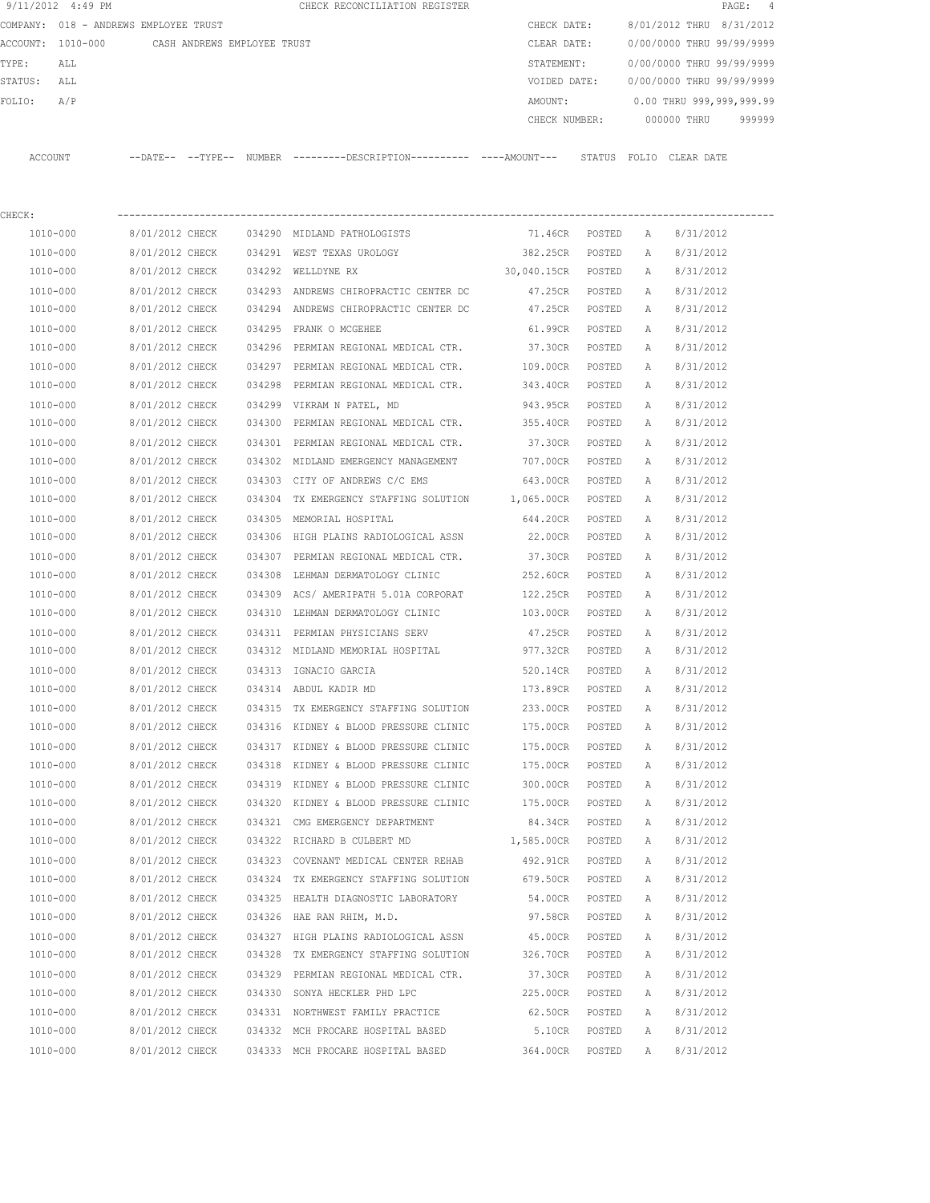|         | 9/11/2012 4:49 PM |                                       |        | CHECK RECONCILIATION REGISTER |               |       |             | PAGE: 4                   |  |
|---------|-------------------|---------------------------------------|--------|-------------------------------|---------------|-------|-------------|---------------------------|--|
|         |                   | COMPANY: 018 - ANDREWS EMPLOYEE TRUST |        |                               | CHECK DATE:   |       |             | 8/01/2012 THRU 8/31/2012  |  |
|         | ACCOUNT: 1010-000 | CASH ANDREWS EMPLOYEE TRUST           |        |                               | CLEAR DATE:   |       |             | 0/00/0000 THRU 99/99/9999 |  |
| TYPE:   | ALL               |                                       |        |                               | STATEMENT:    |       |             | 0/00/0000 THRU 99/99/9999 |  |
| STATUS: | ALL               |                                       |        |                               | VOIDED DATE:  |       |             | 0/00/0000 THRU 99/99/9999 |  |
| FOLIO:  | A/P               |                                       |        |                               | AMOUNT:       |       |             | 0.00 THRU 999,999,999.99  |  |
|         |                   |                                       |        |                               | CHECK NUMBER: |       | 000000 THRU | 999999                    |  |
|         |                   |                                       |        |                               |               |       |             |                           |  |
| ACCOUNT |                   | $--$ TYPE $--$<br>$--$ DATE $--$      | NUMBER |                               | STATUS        | FOLIO | CLEAR DATE  |                           |  |

| CHECK:   |                 |        |                                                  |                    |          |              |           |
|----------|-----------------|--------|--------------------------------------------------|--------------------|----------|--------------|-----------|
| 1010-000 | 8/01/2012 CHECK |        | 034290 MIDLAND PATHOLOGISTS                      | 71.46CR POSTED     |          | A            | 8/31/2012 |
| 1010-000 | 8/01/2012 CHECK |        | 034291 WEST TEXAS UROLOGY                        | 382.25CR           | POSTED   | A            | 8/31/2012 |
| 1010-000 | 8/01/2012 CHECK |        | 034292 WELLDYNE RX                               | 30,040.15CR POSTED |          | A            | 8/31/2012 |
| 1010-000 | 8/01/2012 CHECK |        | 034293 ANDREWS CHIROPRACTIC CENTER DC            | 47.25CR POSTED     |          | A            | 8/31/2012 |
| 1010-000 | 8/01/2012 CHECK |        | 034294 ANDREWS CHIROPRACTIC CENTER DC            | 47.25CR POSTED     |          | $\mathbb{A}$ | 8/31/2012 |
| 1010-000 | 8/01/2012 CHECK |        | 034295 FRANK O MCGEHEE                           | 61.99CR            | POSTED   | A            | 8/31/2012 |
| 1010-000 | 8/01/2012 CHECK |        | 034296 PERMIAN REGIONAL MEDICAL CTR. 37.30CR     |                    | POSTED   | Α            | 8/31/2012 |
| 1010-000 | 8/01/2012 CHECK |        | 034297 PERMIAN REGIONAL MEDICAL CTR. 109.00CR    |                    | POSTED   | Α            | 8/31/2012 |
| 1010-000 | 8/01/2012 CHECK |        | 034298 PERMIAN REGIONAL MEDICAL CTR. 343.40CR    |                    | POSTED   | Α            | 8/31/2012 |
| 1010-000 | 8/01/2012 CHECK |        | 034299 VIKRAM N PATEL, MD                        | 943.95CR           | POSTED   | Α            | 8/31/2012 |
| 1010-000 | 8/01/2012 CHECK |        | 034300 PERMIAN REGIONAL MEDICAL CTR. 355.40CR    |                    | POSTED   | Α            | 8/31/2012 |
| 1010-000 | 8/01/2012 CHECK |        | 034301 PERMIAN REGIONAL MEDICAL CTR.             | 37.30CR            | POSTED   | Α            | 8/31/2012 |
| 1010-000 | 8/01/2012 CHECK |        | 034302 MIDLAND EMERGENCY MANAGEMENT              | 707.00CR           | POSTED   | Α            | 8/31/2012 |
| 1010-000 | 8/01/2012 CHECK |        | 034303 CITY OF ANDREWS C/C EMS                   | 643.00CR           | POSTED   | Α            | 8/31/2012 |
| 1010-000 | 8/01/2012 CHECK |        | 034304 TX EMERGENCY STAFFING SOLUTION 1,065.00CR |                    | POSTED   | $\mathbb{A}$ | 8/31/2012 |
| 1010-000 | 8/01/2012 CHECK |        | 034305 MEMORIAL HOSPITAL                         | 644.20CR           | POSTED   | Α            | 8/31/2012 |
| 1010-000 | 8/01/2012 CHECK |        | 034306 HIGH PLAINS RADIOLOGICAL ASSN             | 22.00CR            | POSTED   | A            | 8/31/2012 |
| 1010-000 | 8/01/2012 CHECK |        | 034307 PERMIAN REGIONAL MEDICAL CTR.             | 37.30CR            | POSTED   | A            | 8/31/2012 |
| 1010-000 | 8/01/2012 CHECK | 034308 | LEHMAN DERMATOLOGY CLINIC                        | 252.60CR           | POSTED   | Α            | 8/31/2012 |
| 1010-000 | 8/01/2012 CHECK |        | 034309 ACS/ AMERIPATH 5.01A CORPORAT 122.25CR    |                    | POSTED   | Α            | 8/31/2012 |
| 1010-000 | 8/01/2012 CHECK |        | 034310 LEHMAN DERMATOLOGY CLINIC 103.00CR        |                    | POSTED   | Α            | 8/31/2012 |
| 1010-000 | 8/01/2012 CHECK |        | 034311 PERMIAN PHYSICIANS SERV                   | 47.25CR            | POSTED   | Α            | 8/31/2012 |
| 1010-000 | 8/01/2012 CHECK |        | 034312 MIDLAND MEMORIAL HOSPITAL                 | 977.32CR           | POSTED   | A            | 8/31/2012 |
| 1010-000 | 8/01/2012 CHECK |        | 034313 IGNACIO GARCIA                            | 520.14CR           | POSTED   | A            | 8/31/2012 |
| 1010-000 | 8/01/2012 CHECK |        | 034314 ABDUL KADIR MD                            | 173.89CR           | POSTED   | $\mathbb{A}$ | 8/31/2012 |
| 1010-000 | 8/01/2012 CHECK |        | 034315 TX EMERGENCY STAFFING SOLUTION            | 233.00CR           | POSTED   | A            | 8/31/2012 |
| 1010-000 | 8/01/2012 CHECK |        | 034316 KIDNEY & BLOOD PRESSURE CLINIC            | 175.00CR           | POSTED   | A            | 8/31/2012 |
| 1010-000 | 8/01/2012 CHECK |        | 034317 KIDNEY & BLOOD PRESSURE CLINIC            | 175.00CR           | POSTED   | A            | 8/31/2012 |
| 1010-000 | 8/01/2012 CHECK |        | 034318 KIDNEY & BLOOD PRESSURE CLINIC            | 175.00CR           | POSTED   | A            | 8/31/2012 |
| 1010-000 | 8/01/2012 CHECK |        | 034319 KIDNEY & BLOOD PRESSURE CLINIC            | 300.00CR           | POSTED   | A            | 8/31/2012 |
| 1010-000 | 8/01/2012 CHECK |        | 034320 KIDNEY & BLOOD PRESSURE CLINIC 175.00CR   |                    | POSTED   | Α            | 8/31/2012 |
| 1010-000 | 8/01/2012 CHECK |        | 034321 CMG EMERGENCY DEPARTMENT                  | 84.34CR            | POSTED   | Α            | 8/31/2012 |
| 1010-000 | 8/01/2012 CHECK |        | 034322 RICHARD B CULBERT MD 1,585.00CR           |                    | POSTED   | A            | 8/31/2012 |
| 1010-000 | 8/01/2012 CHECK |        | 034323 COVENANT MEDICAL CENTER REHAB 492.91CR    |                    | POSTED   | $\mathbb{A}$ | 8/31/2012 |
| 1010-000 | 8/01/2012 CHECK |        | 034324 TX EMERGENCY STAFFING SOLUTION 679.50CR   |                    | POSTED A |              | 8/31/2012 |
| 1010-000 | 8/01/2012 CHECK |        | 034325 HEALTH DIAGNOSTIC LABORATORY              | 54.00CR            | POSTED   | Α            | 8/31/2012 |
| 1010-000 | 8/01/2012 CHECK |        | 034326 HAE RAN RHIM, M.D.                        | 97.58CR            | POSTED   | Α            | 8/31/2012 |
| 1010-000 | 8/01/2012 CHECK |        | 034327 HIGH PLAINS RADIOLOGICAL ASSN             | 45.00CR            | POSTED   | Α            | 8/31/2012 |
| 1010-000 | 8/01/2012 CHECK |        | 034328 TX EMERGENCY STAFFING SOLUTION            | 326.70CR           | POSTED   | Α            | 8/31/2012 |
| 1010-000 | 8/01/2012 CHECK |        | 034329 PERMIAN REGIONAL MEDICAL CTR.             | 37.30CR            | POSTED   | Α            | 8/31/2012 |
| 1010-000 | 8/01/2012 CHECK |        | 034330 SONYA HECKLER PHD LPC                     | 225.00CR           | POSTED   | Α            | 8/31/2012 |
| 1010-000 | 8/01/2012 CHECK |        | 034331 NORTHWEST FAMILY PRACTICE                 | 62.50CR            | POSTED   | Α            | 8/31/2012 |
| 1010-000 | 8/01/2012 CHECK |        | 034332 MCH PROCARE HOSPITAL BASED                | 5.10CR             | POSTED   | Α            | 8/31/2012 |
| 1010-000 | 8/01/2012 CHECK |        | 034333 MCH PROCARE HOSPITAL BASED                | 364.00CR           | POSTED   | Α            | 8/31/2012 |
|          |                 |        |                                                  |                    |          |              |           |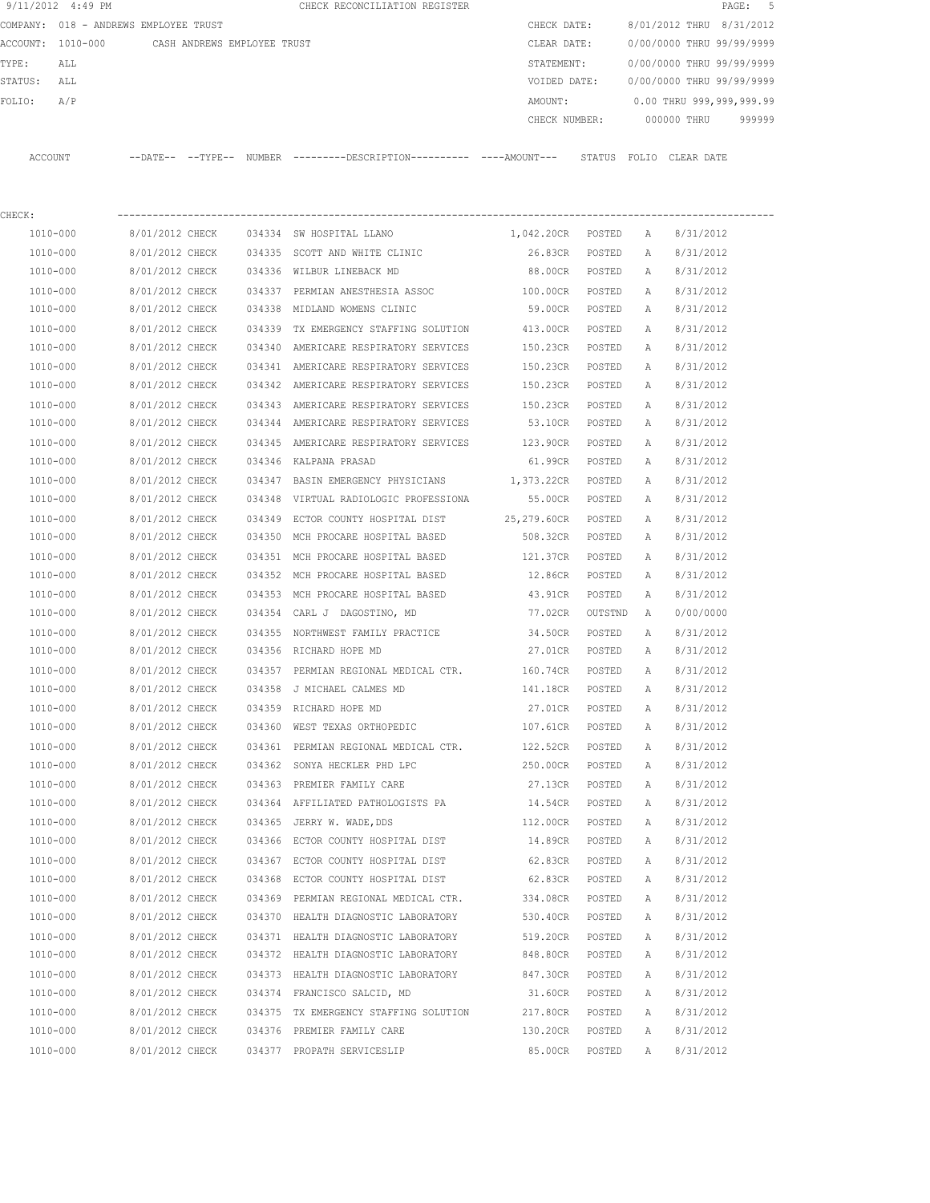|         | 9/11/2012 4:49 PM                     |                             |  | CHECK RECONCILIATION REGISTER                                                                |                    |         |              |                           | 5<br>PAGE: |
|---------|---------------------------------------|-----------------------------|--|----------------------------------------------------------------------------------------------|--------------------|---------|--------------|---------------------------|------------|
|         | COMPANY: 018 - ANDREWS EMPLOYEE TRUST |                             |  |                                                                                              | CHECK DATE:        |         |              | 8/01/2012 THRU 8/31/2012  |            |
|         | ACCOUNT: 1010-000                     | CASH ANDREWS EMPLOYEE TRUST |  |                                                                                              | CLEAR DATE:        |         |              | 0/00/0000 THRU 99/99/9999 |            |
| TYPE:   | ALL                                   |                             |  |                                                                                              | STATEMENT:         |         |              | 0/00/0000 THRU 99/99/9999 |            |
| STATUS: | ALL                                   |                             |  |                                                                                              | VOIDED DATE:       |         |              | 0/00/0000 THRU 99/99/9999 |            |
| FOLIO:  | A/P                                   |                             |  |                                                                                              | AMOUNT:            |         |              | 0.00 THRU 999,999,999.99  |            |
|         |                                       |                             |  |                                                                                              | CHECK NUMBER:      |         |              | 000000 THRU               | 999999     |
|         | ACCOUNT                               |                             |  | --DATE-- --TYPE-- NUMBER --------DESCRIPTION---------- ----AMOUNT--- STATUS FOLIO CLEAR DATE |                    |         |              |                           |            |
| CHECK:  |                                       |                             |  |                                                                                              |                    |         |              |                           |            |
|         | 1010-000                              | 8/01/2012 CHECK             |  | 034334 SW HOSPITAL LLANO                                                                     | 1,042.20CR POSTED  |         | A            | 8/31/2012                 |            |
|         | 1010-000                              | 8/01/2012 CHECK             |  | 034335 SCOTT AND WHITE CLINIC                                                                | 26.83CR            | POSTED  | A            | 8/31/2012                 |            |
|         | 1010-000                              | 8/01/2012 CHECK             |  | 034336 WILBUR LINEBACK MD                                                                    | 88.00CR            | POSTED  | A            | 8/31/2012                 |            |
|         | 1010-000                              | 8/01/2012 CHECK             |  | 034337 PERMIAN ANESTHESIA ASSOC                                                              | 100.00CR           | POSTED  | Α            | 8/31/2012                 |            |
|         | 1010-000                              | 8/01/2012 CHECK             |  | 034338 MIDLAND WOMENS CLINIC                                                                 | 59.00CR            | POSTED  | Α            | 8/31/2012                 |            |
|         | 1010-000                              | 8/01/2012 CHECK             |  | 034339 TX EMERGENCY STAFFING SOLUTION                                                        | 413.00CR           | POSTED  | A            | 8/31/2012                 |            |
|         | 1010-000                              | 8/01/2012 CHECK             |  | 034340 AMERICARE RESPIRATORY SERVICES                                                        | 150.23CR POSTED    |         | Α            | 8/31/2012                 |            |
|         | 1010-000                              | 8/01/2012 CHECK             |  | 034341 AMERICARE RESPIRATORY SERVICES                                                        | 150.23CR           | POSTED  | A            | 8/31/2012                 |            |
|         | 1010-000                              | 8/01/2012 CHECK             |  | 034342 AMERICARE RESPIRATORY SERVICES                                                        | 150.23CR           | POSTED  | A            | 8/31/2012                 |            |
|         | 1010-000                              | 8/01/2012 CHECK             |  | 034343 AMERICARE RESPIRATORY SERVICES                                                        | 150.23CR           | POSTED  | A            | 8/31/2012                 |            |
|         | 1010-000                              | 8/01/2012 CHECK             |  | 034344 AMERICARE RESPIRATORY SERVICES                                                        | 53.10CR            | POSTED  | A            | 8/31/2012                 |            |
|         | 1010-000                              | 8/01/2012 CHECK             |  | 034345 AMERICARE RESPIRATORY SERVICES                                                        | 123.90CR           | POSTED  | Α            | 8/31/2012                 |            |
|         | 1010-000                              | 8/01/2012 CHECK             |  | 034346 KALPANA PRASAD                                                                        | 61.99CR            | POSTED  | A            | 8/31/2012                 |            |
|         | 1010-000                              | 8/01/2012 CHECK             |  | 034347 BASIN EMERGENCY PHYSICIANS                                                            | 1,373.22CR         | POSTED  | A            | 8/31/2012                 |            |
|         | 1010-000                              | 8/01/2012 CHECK             |  | 034348 VIRTUAL RADIOLOGIC PROFESSIONA                                                        | 55.00CR            | POSTED  | A            | 8/31/2012                 |            |
|         | 1010-000                              | 8/01/2012 CHECK             |  | 034349 ECTOR COUNTY HOSPITAL DIST                                                            | 25,279.60CR POSTED |         | Α            | 8/31/2012                 |            |
|         | 1010-000                              | 8/01/2012 CHECK             |  | 034350 MCH PROCARE HOSPITAL BASED                                                            | 508.32CR           | POSTED  | Α            | 8/31/2012                 |            |
|         | 1010-000                              | 8/01/2012 CHECK             |  | 034351 MCH PROCARE HOSPITAL BASED                                                            | 121.37CR           | POSTED  | Α            | 8/31/2012                 |            |
|         | 1010-000                              | 8/01/2012 CHECK             |  | 034352 MCH PROCARE HOSPITAL BASED                                                            | 12.86CR            | POSTED  | $\mathbb{A}$ | 8/31/2012                 |            |
|         | 1010-000                              | 8/01/2012 CHECK             |  | 034353 MCH PROCARE HOSPITAL BASED                                                            | 43.91CR            | POSTED  | А            | 8/31/2012                 |            |
|         | 1010-000                              | 8/01/2012 CHECK             |  | 034354 CARL J DAGOSTINO, MD                                                                  | 77.02CR            | OUTSTND | A            | 0/00/0000                 |            |
|         | 1010-000                              | 8/01/2012 CHECK             |  | 034355 NORTHWEST FAMILY PRACTICE                                                             | 34.50CR            | POSTED  | Α            | 8/31/2012                 |            |
|         | 1010-000                              | 8/01/2012 CHECK             |  | 034356 RICHARD HOPE MD                                                                       | 27.01CR            | POSTED  | А            | 8/31/2012                 |            |
|         | 1010-000                              | 8/01/2012 CHECK             |  | 034357 PERMIAN REGIONAL MEDICAL CTR.                                                         | 160.74CR           | POSTED  | A            | 8/31/2012                 |            |
|         | 1010-000                              | 8/01/2012 CHECK             |  | 034358 J MICHAEL CALMES MD                                                                   | 141.18CR           | POSTED  | Α            | 8/31/2012                 |            |
|         | $1010 - 000$                          | 8/01/2012 CHECK             |  | 034359 RICHARD HOPE MD                                                                       | 27.01CR            | POSTED  | Α            | 8/31/2012                 |            |
|         | 1010-000                              | 8/01/2012 CHECK             |  | 034360 WEST TEXAS ORTHOPEDIC                                                                 | 107.61CR           | POSTED  | Α            | 8/31/2012                 |            |
|         | 1010-000                              | 8/01/2012 CHECK             |  | 034361 PERMIAN REGIONAL MEDICAL CTR.                                                         | 122.52CR           | POSTED  | Α            | 8/31/2012                 |            |
|         | 1010-000                              | 8/01/2012 CHECK             |  | 034362 SONYA HECKLER PHD LPC                                                                 | 250.00CR           | POSTED  | Α            | 8/31/2012                 |            |
|         | 1010-000                              | 8/01/2012 CHECK             |  | 034363 PREMIER FAMILY CARE                                                                   | 27.13CR            | POSTED  | Α            | 8/31/2012                 |            |
|         | 1010-000                              | 8/01/2012 CHECK             |  | 034364 AFFILIATED PATHOLOGISTS PA                                                            | 14.54CR            | POSTED  | Α            | 8/31/2012                 |            |
|         | 1010-000                              | 8/01/2012 CHECK             |  | 034365 JERRY W. WADE, DDS                                                                    | 112.00CR           | POSTED  | Α            | 8/31/2012                 |            |
|         | 1010-000                              | 8/01/2012 CHECK             |  | 034366 ECTOR COUNTY HOSPITAL DIST                                                            | 14.89CR            | POSTED  | Α            | 8/31/2012                 |            |
|         | $1010 - 000$                          | 8/01/2012 CHECK             |  | 034367 ECTOR COUNTY HOSPITAL DIST                                                            | 62.83CR            | POSTED  | Α            | 8/31/2012                 |            |
|         | 1010-000                              | 8/01/2012 CHECK             |  | 034368 ECTOR COUNTY HOSPITAL DIST                                                            | 62.83CR            | POSTED  | Α            | 8/31/2012                 |            |
|         | 1010-000                              | 8/01/2012 CHECK             |  | 034369 PERMIAN REGIONAL MEDICAL CTR.                                                         | 334.08CR           | POSTED  | Α            | 8/31/2012                 |            |
|         | 1010-000                              | 8/01/2012 CHECK             |  | 034370 HEALTH DIAGNOSTIC LABORATORY                                                          | 530.40CR           | POSTED  | Α            | 8/31/2012                 |            |
|         | 1010-000                              | 8/01/2012 CHECK             |  | 034371 HEALTH DIAGNOSTIC LABORATORY                                                          | 519.20CR           | POSTED  | Α            | 8/31/2012                 |            |
|         | 1010-000                              | 8/01/2012 CHECK             |  | 034372 HEALTH DIAGNOSTIC LABORATORY                                                          | 848.80CR           | POSTED  | Α            | 8/31/2012                 |            |
|         | 1010-000                              | 8/01/2012 CHECK             |  | 034373 HEALTH DIAGNOSTIC LABORATORY                                                          | 847.30CR           | POSTED  | Α            | 8/31/2012                 |            |
|         | 1010-000                              | 8/01/2012 CHECK             |  | 034374 FRANCISCO SALCID, MD                                                                  | 31.60CR            | POSTED  | Α            | 8/31/2012                 |            |
|         | 1010-000                              | 8/01/2012 CHECK             |  | 034375 TX EMERGENCY STAFFING SOLUTION                                                        | 217.80CR           | POSTED  | Α            | 8/31/2012                 |            |
|         | 1010-000                              | 8/01/2012 CHECK             |  | 034376 PREMIER FAMILY CARE                                                                   | 130.20CR           | POSTED  | Α            | 8/31/2012                 |            |
|         | 1010-000                              | 8/01/2012 CHECK             |  | 034377 PROPATH SERVICESLIP                                                                   | 85.00CR            | POSTED  | Α            | 8/31/2012                 |            |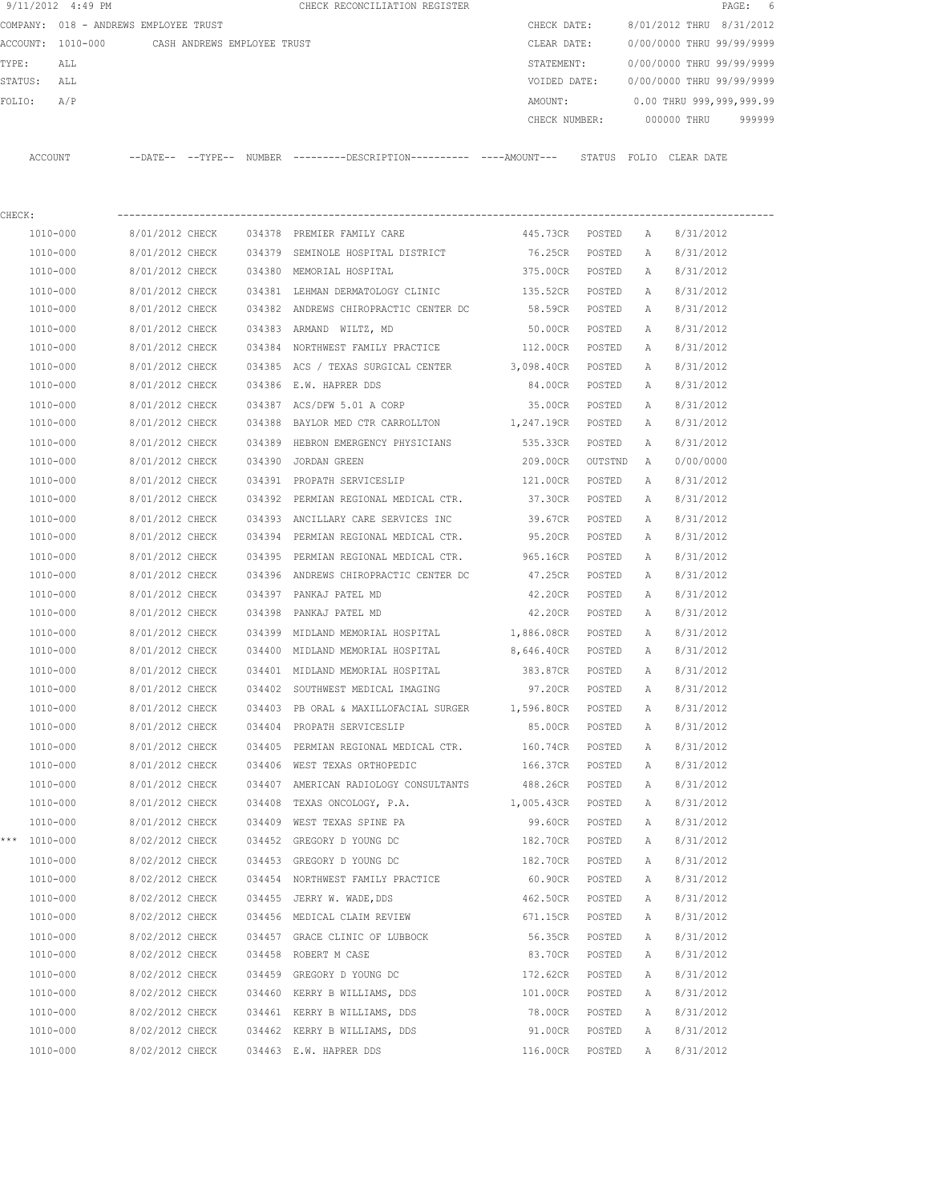| 9/11/2012 4:49 PM |                                       |        | CHECK RECONCILIATION REGISTER |  |               |        |                           |             | PAGE: 6                  |  |
|-------------------|---------------------------------------|--------|-------------------------------|--|---------------|--------|---------------------------|-------------|--------------------------|--|
|                   | COMPANY: 018 - ANDREWS EMPLOYEE TRUST |        |                               |  | CHECK DATE:   |        | 8/01/2012 THRU 8/31/2012  |             |                          |  |
| ACCOUNT: 1010-000 | CASH ANDREWS EMPLOYEE TRUST           |        |                               |  | CLEAR DATE:   |        | 0/00/0000 THRU 99/99/9999 |             |                          |  |
| TYPE:<br>ALL      |                                       |        |                               |  | STATEMENT:    |        | 0/00/0000 THRU 99/99/9999 |             |                          |  |
| STATUS:<br>ALL    |                                       |        |                               |  | VOIDED DATE:  |        | 0/00/0000 THRU 99/99/9999 |             |                          |  |
| FOLIO:<br>A/P     |                                       |        |                               |  | AMOUNT:       |        |                           |             | 0.00 THRU 999,999,999.99 |  |
|                   |                                       |        |                               |  | CHECK NUMBER: |        |                           | 000000 THRU | 999999                   |  |
|                   |                                       |        |                               |  |               |        |                           |             |                          |  |
| ACCOUNT           | $---DATE---TYPE---$                   | NUMBER |                               |  |               | STATUS | FOLIO                     | CLEAR DATE  |                          |  |

| CHECK:       |                 |        |                                                      |                   |         |              |           |
|--------------|-----------------|--------|------------------------------------------------------|-------------------|---------|--------------|-----------|
| 1010-000     | 8/01/2012 CHECK |        | 034378 PREMIER FAMILY CARE                           | 445.73CR POSTED   |         | $\mathbb{A}$ | 8/31/2012 |
| 1010-000     | 8/01/2012 CHECK |        | 034379 SEMINOLE HOSPITAL DISTRICT                    | 76.25CR           | POSTED  | Α            | 8/31/2012 |
| 1010-000     | 8/01/2012 CHECK |        | 034380 MEMORIAL HOSPITAL                             | 375.00CR          | POSTED  | Α            | 8/31/2012 |
| 1010-000     | 8/01/2012 CHECK |        | 034381 LEHMAN DERMATOLOGY CLINIC 135.52CR            |                   | POSTED  | A            | 8/31/2012 |
| 1010-000     | 8/01/2012 CHECK |        | 034382 ANDREWS CHIROPRACTIC CENTER DC                | 58.59CR           | POSTED  | А            | 8/31/2012 |
| 1010-000     | 8/01/2012 CHECK |        | 034383 ARMAND WILTZ, MD                              | 50.00CR POSTED    |         | A            | 8/31/2012 |
| 1010-000     | 8/01/2012 CHECK |        | 034384 NORTHWEST FAMILY PRACTICE                     | 112.00CR POSTED   |         | A            | 8/31/2012 |
| 1010-000     | 8/01/2012 CHECK |        | 034385 ACS / TEXAS SURGICAL CENTER                   | 3,098.40CR POSTED |         | Α            | 8/31/2012 |
| 1010-000     | 8/01/2012 CHECK |        | 034386 E.W. HAPRER DDS                               | 84.00CR POSTED    |         | Α            | 8/31/2012 |
| 1010-000     | 8/01/2012 CHECK |        | 034387 ACS/DFW 5.01 A CORP                           | 35.00CR POSTED    |         | А            | 8/31/2012 |
| 1010-000     | 8/01/2012 CHECK |        | 034388 BAYLOR MED CTR CARROLLTON                     | 1,247.19CR POSTED |         | A            | 8/31/2012 |
| 1010-000     | 8/01/2012 CHECK | 034389 | HEBRON EMERGENCY PHYSICIANS                          | 535.33CR          | POSTED  | Α            | 8/31/2012 |
| 1010-000     | 8/01/2012 CHECK |        | 034390 JORDAN GREEN                                  | 209.00CR          | OUTSTND | A            | 0/00/0000 |
| 1010-000     | 8/01/2012 CHECK |        | 034391 PROPATH SERVICESLIP                           | 121.00CR          | POSTED  | Α            | 8/31/2012 |
| 1010-000     | 8/01/2012 CHECK |        | 034392 PERMIAN REGIONAL MEDICAL CTR. 37.30CR         |                   | POSTED  | Α            | 8/31/2012 |
| 1010-000     | 8/01/2012 CHECK |        | 034393 ANCILLARY CARE SERVICES INC 39.67CR           |                   | POSTED  | A            | 8/31/2012 |
| 1010-000     | 8/01/2012 CHECK |        | 034394 PERMIAN REGIONAL MEDICAL CTR.                 | 95.20CR           | POSTED  | А            | 8/31/2012 |
| 1010-000     |                 |        | 8/01/2012 CHECK 034395 PERMIAN REGIONAL MEDICAL CTR. | 965.16CR POSTED   |         | A            | 8/31/2012 |
| 1010-000     | 8/01/2012 CHECK |        | 034396 ANDREWS CHIROPRACTIC CENTER DC                | 47.25CR POSTED    |         | A            | 8/31/2012 |
| 1010-000     | 8/01/2012 CHECK |        | 034397 PANKAJ PATEL MD                               | 42.20CR POSTED    |         | Α            | 8/31/2012 |
| 1010-000     | 8/01/2012 CHECK | 034398 | PANKAJ PATEL MD                                      | 42.20CR POSTED    |         | Α            | 8/31/2012 |
| 1010-000     | 8/01/2012 CHECK |        | 034399 MIDLAND MEMORIAL HOSPITAL                     | 1,886.08CR POSTED |         | Α            | 8/31/2012 |
| 1010-000     | 8/01/2012 CHECK |        | 034400 MIDLAND MEMORIAL HOSPITAL                     | 8,646.40CR POSTED |         | A            | 8/31/2012 |
| 1010-000     | 8/01/2012 CHECK |        | 034401 MIDLAND MEMORIAL HOSPITAL                     | 383.87CR          | POSTED  | Α            | 8/31/2012 |
| 1010-000     | 8/01/2012 CHECK |        | 034402 SOUTHWEST MEDICAL IMAGING                     | 97.20CR           | POSTED  | Α            | 8/31/2012 |
| 1010-000     | 8/01/2012 CHECK |        | 034403 PB ORAL & MAXILLOFACIAL SURGER 1,596.80CR     |                   | POSTED  | Α            | 8/31/2012 |
| 1010-000     | 8/01/2012 CHECK |        | 034404 PROPATH SERVICESLIP                           | 85.00CR           | POSTED  | Α            | 8/31/2012 |
| 1010-000     | 8/01/2012 CHECK |        | 034405 PERMIAN REGIONAL MEDICAL CTR.                 | 160.74CR          | POSTED  | А            | 8/31/2012 |
| 1010-000     | 8/01/2012 CHECK |        | 034406 WEST TEXAS ORTHOPEDIC                         | 166.37CR          | POSTED  | A            | 8/31/2012 |
| 1010-000     | 8/01/2012 CHECK |        | 034407 AMERICAN RADIOLOGY CONSULTANTS                | 488.26CR POSTED   |         | Α            | 8/31/2012 |
| 1010-000     | 8/01/2012 CHECK |        | 034408 TEXAS ONCOLOGY, P.A.                          | 1,005.43CR POSTED |         | Α            | 8/31/2012 |
| 1010-000     | 8/01/2012 CHECK |        | 034409 WEST TEXAS SPINE PA                           | 99.60CR           | POSTED  | Α            | 8/31/2012 |
| *** 1010-000 | 8/02/2012 CHECK |        | 034452 GREGORY D YOUNG DC                            | 182.70CR POSTED   |         | Α            | 8/31/2012 |
| 1010-000     | 8/02/2012 CHECK |        | 034453 GREGORY D YOUNG DC                            | 182.70CR POSTED   |         | Α            | 8/31/2012 |
| 1010-000     | 8/02/2012 CHECK |        | 034454 NORTHWEST FAMILY PRACTICE                     | 60.90CR           | POSTED  | $\mathbb{A}$ | 8/31/2012 |
| 1010-000     | 8/02/2012 CHECK |        | 034455 JERRY W. WADE, DDS                            | 462.50CR          | POSTED  | Α            | 8/31/2012 |
| 1010-000     | 8/02/2012 CHECK |        | 034456 MEDICAL CLAIM REVIEW                          | 671.15CR          | POSTED  | Α            | 8/31/2012 |
| 1010-000     | 8/02/2012 CHECK |        | 034457 GRACE CLINIC OF LUBBOCK                       | 56.35CR           | POSTED  | Α            | 8/31/2012 |
| 1010-000     | 8/02/2012 CHECK |        | 034458 ROBERT M CASE                                 | 83.70CR           | POSTED  | Α            | 8/31/2012 |
| 1010-000     | 8/02/2012 CHECK |        | 034459 GREGORY D YOUNG DC                            | 172.62CR          | POSTED  | Α            | 8/31/2012 |
| 1010-000     | 8/02/2012 CHECK |        | 034460 KERRY B WILLIAMS, DDS                         | 101.00CR          | POSTED  | Α            | 8/31/2012 |
| 1010-000     | 8/02/2012 CHECK |        | 034461 KERRY B WILLIAMS, DDS                         | 78.00CR           | POSTED  | Α            | 8/31/2012 |
| 1010-000     | 8/02/2012 CHECK |        | 034462 KERRY B WILLIAMS, DDS                         | 91.00CR           | POSTED  | Α            | 8/31/2012 |
| 1010-000     | 8/02/2012 CHECK |        | 034463 E.W. HAPRER DDS                               | 116.00CR          | POSTED  | Α            | 8/31/2012 |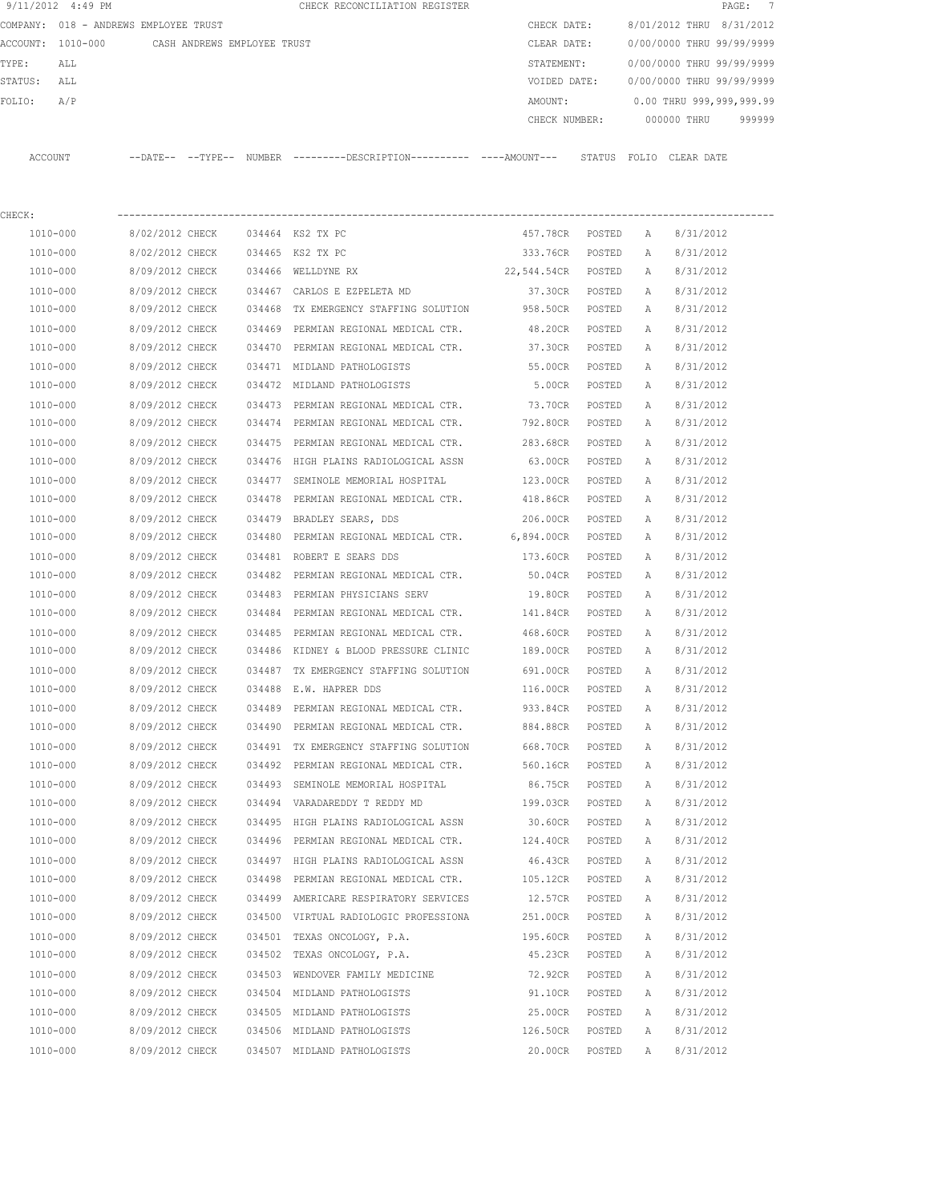|                   | 9/11/2012 4:49 PM                     |                 |                             |        | CHECK RECONCILIATION REGISTER                                                                |                    |        |              |                           | 7<br>$\texttt{PAGE}$ : |
|-------------------|---------------------------------------|-----------------|-----------------------------|--------|----------------------------------------------------------------------------------------------|--------------------|--------|--------------|---------------------------|------------------------|
|                   | COMPANY: 018 - ANDREWS EMPLOYEE TRUST |                 |                             |        |                                                                                              | CHECK DATE:        |        |              | 8/01/2012 THRU 8/31/2012  |                        |
| ACCOUNT: 1010-000 |                                       |                 | CASH ANDREWS EMPLOYEE TRUST |        |                                                                                              | CLEAR DATE:        |        |              | 0/00/0000 THRU 99/99/9999 |                        |
| TYPE:             | ALL                                   |                 |                             |        |                                                                                              | STATEMENT:         |        |              | 0/00/0000 THRU 99/99/9999 |                        |
| STATUS:           | ALL                                   |                 |                             |        |                                                                                              | VOIDED DATE:       |        |              | 0/00/0000 THRU 99/99/9999 |                        |
| FOLIO:            | A/P                                   |                 |                             |        |                                                                                              | AMOUNT:            |        |              | 0.00 THRU 999,999,999.99  |                        |
|                   |                                       |                 |                             |        |                                                                                              | CHECK NUMBER:      |        |              | 000000 THRU               | 999999                 |
| ACCOUNT           |                                       |                 |                             |        | --DATE-- --TYPE-- NUMBER ---------DESCRIPTION---------- ----AMOUNT--- STATUS FOLIO CLEARDATE |                    |        |              |                           |                        |
| CHECK:            |                                       |                 |                             |        |                                                                                              |                    |        |              |                           |                        |
| 1010-000          |                                       | 8/02/2012 CHECK |                             |        | 034464 KS2 TX PC                                                                             | 457.78CR POSTED    |        | Α            | 8/31/2012                 |                        |
| 1010-000          |                                       | 8/02/2012 CHECK |                             |        | 034465 KS2 TX PC                                                                             | 333.76CR           | POSTED | A            | 8/31/2012                 |                        |
| 1010-000          |                                       | 8/09/2012 CHECK |                             |        | 034466 WELLDYNE RX                                                                           | 22,544.54CR POSTED |        | A            | 8/31/2012                 |                        |
| 1010-000          |                                       | 8/09/2012 CHECK |                             |        | 034467 CARLOS E EZPELETA MD                                                                  | 37.30CR POSTED     |        | Α            | 8/31/2012                 |                        |
| 1010-000          |                                       | 8/09/2012 CHECK |                             |        | 034468 TX EMERGENCY STAFFING SOLUTION                                                        | 958.50CR POSTED    |        | Α            | 8/31/2012                 |                        |
| 1010-000          |                                       | 8/09/2012 CHECK |                             |        | 034469 PERMIAN REGIONAL MEDICAL CTR.                                                         | 48.20CR            | POSTED | A            | 8/31/2012                 |                        |
| 1010-000          |                                       | 8/09/2012 CHECK |                             |        | 034470 PERMIAN REGIONAL MEDICAL CTR.                                                         | 37.30CR            | POSTED | А            | 8/31/2012                 |                        |
| 1010-000          |                                       | 8/09/2012 CHECK |                             |        | 034471 MIDLAND PATHOLOGISTS                                                                  | 55.00CR            | POSTED | Α            | 8/31/2012                 |                        |
| 1010-000          |                                       | 8/09/2012 CHECK |                             |        | 034472 MIDLAND PATHOLOGISTS                                                                  | 5.00CR             | POSTED | A            | 8/31/2012                 |                        |
| 1010-000          |                                       | 8/09/2012 CHECK |                             |        | 034473 PERMIAN REGIONAL MEDICAL CTR.                                                         | 73.70CR            | POSTED | A            | 8/31/2012                 |                        |
| 1010-000          |                                       | 8/09/2012 CHECK |                             |        | 034474 PERMIAN REGIONAL MEDICAL CTR.                                                         | 792.80CR           | POSTED | A            | 8/31/2012                 |                        |
| 1010-000          |                                       | 8/09/2012 CHECK |                             | 034475 | PERMIAN REGIONAL MEDICAL CTR.                                                                | 283.68CR           | POSTED | A            | 8/31/2012                 |                        |
| 1010-000          |                                       | 8/09/2012 CHECK |                             |        | 034476 HIGH PLAINS RADIOLOGICAL ASSN                                                         | 63.00CR            | POSTED | A            | 8/31/2012                 |                        |
| 1010-000          |                                       | 8/09/2012 CHECK |                             | 034477 | SEMINOLE MEMORIAL HOSPITAL                                                                   | 123.00CR           | POSTED | A            | 8/31/2012                 |                        |
| 1010-000          |                                       | 8/09/2012 CHECK |                             | 034478 | PERMIAN REGIONAL MEDICAL CTR.                                                                | 418.86CR           | POSTED | A            | 8/31/2012                 |                        |
| 1010-000          |                                       | 8/09/2012 CHECK |                             |        | 034479 BRADLEY SEARS, DDS                                                                    | 206.00CR           | POSTED | Α            | 8/31/2012                 |                        |
| 1010-000          |                                       | 8/09/2012 CHECK |                             |        | 034480 PERMIAN REGIONAL MEDICAL CTR.                                                         | 6,894.00CR         | POSTED | A            | 8/31/2012                 |                        |
| 1010-000          |                                       | 8/09/2012 CHECK |                             |        | 034481 ROBERT E SEARS DDS                                                                    | 173.60CR           | POSTED | Α            | 8/31/2012                 |                        |
| 1010-000          |                                       | 8/09/2012 CHECK |                             |        | 034482 PERMIAN REGIONAL MEDICAL CTR.                                                         | 50.04CR            | POSTED | Α            | 8/31/2012                 |                        |
| 1010-000          |                                       | 8/09/2012 CHECK |                             | 034483 | PERMIAN PHYSICIANS SERV                                                                      | 19.80CR            | POSTED | Α            | 8/31/2012                 |                        |
| 1010-000          |                                       | 8/09/2012 CHECK |                             | 034484 | PERMIAN REGIONAL MEDICAL CTR.                                                                | 141.84CR           | POSTED | A            | 8/31/2012                 |                        |
| 1010-000          |                                       | 8/09/2012 CHECK |                             |        | 034485 PERMIAN REGIONAL MEDICAL CTR.                                                         | 468.60CR           | POSTED | А            | 8/31/2012                 |                        |
| 1010-000          |                                       | 8/09/2012 CHECK |                             |        | 034486 KIDNEY & BLOOD PRESSURE CLINIC                                                        | 189.00CR           | POSTED | А            | 8/31/2012                 |                        |
| 1010-000          |                                       | 8/09/2012 CHECK |                             |        | 034487 TX EMERGENCY STAFFING SOLUTION                                                        | 691.00CR           | POSTED | $\mathbb{A}$ | 8/31/2012                 |                        |
| 1010-000          |                                       | 8/09/2012 CHECK |                             |        | 034488 E.W. HAPRER DDS                                                                       | 116.00CR           | POSTED | А            | 8/31/2012                 |                        |
| 1010-000          |                                       | 8/09/2012 CHECK |                             |        | 034489 PERMIAN REGIONAL MEDICAL CTR.                                                         | 933.84CR           | POSTED | Α            | 8/31/2012                 |                        |
| 1010-000          |                                       | 8/09/2012 CHECK |                             |        | 034490 PERMIAN REGIONAL MEDICAL CTR.                                                         | 884.88CR           | POSTED | Α            | 8/31/2012                 |                        |
| 1010-000          |                                       | 8/09/2012 CHECK |                             |        | 034491 TX EMERGENCY STAFFING SOLUTION                                                        | 668.70CR           | POSTED | Α            | 8/31/2012                 |                        |
| 1010-000          |                                       | 8/09/2012 CHECK |                             |        | 034492 PERMIAN REGIONAL MEDICAL CTR.                                                         | 560.16CR           | POSTED | Α            | 8/31/2012                 |                        |
| 1010-000          |                                       | 8/09/2012 CHECK |                             |        | 034493 SEMINOLE MEMORIAL HOSPITAL                                                            | 86.75CR            | POSTED | Α            | 8/31/2012                 |                        |
| 1010-000          |                                       | 8/09/2012 CHECK |                             |        | 034494 VARADAREDDY T REDDY MD                                                                | 199.03CR           | POSTED | Α            | 8/31/2012                 |                        |
| 1010-000          |                                       | 8/09/2012 CHECK |                             |        | 034495 HIGH PLAINS RADIOLOGICAL ASSN                                                         | 30.60CR            | POSTED | Α            | 8/31/2012                 |                        |
| 1010-000          |                                       | 8/09/2012 CHECK |                             |        | 034496 PERMIAN REGIONAL MEDICAL CTR.                                                         | 124.40CR           | POSTED | Α            | 8/31/2012                 |                        |
| 1010-000          |                                       | 8/09/2012 CHECK |                             |        | 034497 HIGH PLAINS RADIOLOGICAL ASSN                                                         | 46.43CR            | POSTED | Α            | 8/31/2012                 |                        |
| 1010-000          |                                       | 8/09/2012 CHECK |                             |        | 034498 PERMIAN REGIONAL MEDICAL CTR.                                                         | 105.12CR           | POSTED | Α            | 8/31/2012                 |                        |
| 1010-000          |                                       | 8/09/2012 CHECK |                             |        | 034499 AMERICARE RESPIRATORY SERVICES                                                        | 12.57CR            | POSTED | Α            | 8/31/2012                 |                        |
| 1010-000          |                                       | 8/09/2012 CHECK |                             |        | 034500 VIRTUAL RADIOLOGIC PROFESSIONA                                                        | 251.00CR           | POSTED | Α            | 8/31/2012                 |                        |
| 1010-000          |                                       | 8/09/2012 CHECK |                             |        | 034501 TEXAS ONCOLOGY, P.A.                                                                  | 195.60CR           | POSTED | Α            | 8/31/2012                 |                        |
| 1010-000          |                                       | 8/09/2012 CHECK |                             |        | 034502 TEXAS ONCOLOGY, P.A.                                                                  | 45.23CR            | POSTED | Α            | 8/31/2012                 |                        |
| 1010-000          |                                       | 8/09/2012 CHECK |                             |        | 034503 WENDOVER FAMILY MEDICINE                                                              | 72.92CR            | POSTED | Α            | 8/31/2012                 |                        |
| 1010-000          |                                       | 8/09/2012 CHECK |                             |        | 034504 MIDLAND PATHOLOGISTS                                                                  | 91.10CR            | POSTED | Α            | 8/31/2012                 |                        |
| 1010-000          |                                       | 8/09/2012 CHECK |                             |        | 034505 MIDLAND PATHOLOGISTS                                                                  | 25.00CR            | POSTED | Α            | 8/31/2012                 |                        |
| 1010-000          |                                       | 8/09/2012 CHECK |                             |        | 034506 MIDLAND PATHOLOGISTS                                                                  | 126.50CR POSTED    |        | Α            | 8/31/2012                 |                        |
| 1010-000          |                                       | 8/09/2012 CHECK |                             |        | 034507 MIDLAND PATHOLOGISTS                                                                  | 20.00CR            | POSTED | Α            | 8/31/2012                 |                        |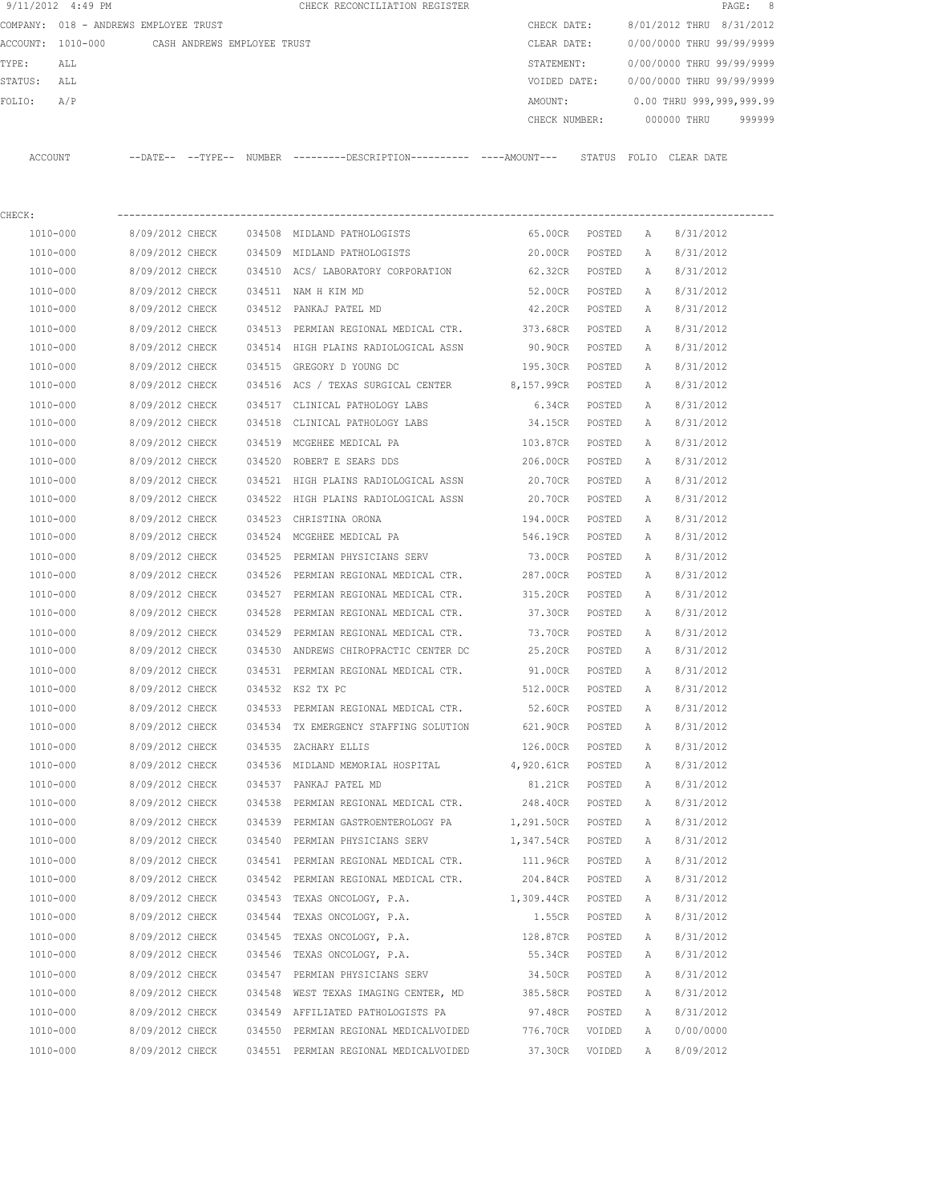|          | 9/11/2012 4:49 PM |                                       |        | CHECK RECONCILIATION REGISTER                |  |               |       |             | PAGE: 8                   |  |
|----------|-------------------|---------------------------------------|--------|----------------------------------------------|--|---------------|-------|-------------|---------------------------|--|
|          |                   | COMPANY: 018 - ANDREWS EMPLOYEE TRUST |        |                                              |  | CHECK DATE:   |       |             | 8/01/2012 THRU 8/31/2012  |  |
| ACCOUNT: | 1010-000          | CASH ANDREWS EMPLOYEE TRUST           |        |                                              |  | CLEAR DATE:   |       |             | 0/00/0000 THRU 99/99/9999 |  |
| TYPE:    | ALL               |                                       |        |                                              |  | STATEMENT:    |       |             | 0/00/0000 THRU 99/99/9999 |  |
| STATUS:  | ALL               |                                       |        |                                              |  | VOIDED DATE:  |       |             | 0/00/0000 THRU 99/99/9999 |  |
| FOLIO:   | A/P               |                                       |        |                                              |  | AMOUNT:       |       |             | 0.00 THRU 999,999,999.99  |  |
|          |                   |                                       |        |                                              |  | CHECK NUMBER: |       | 000000 THRU | 999999                    |  |
|          |                   |                                       |        |                                              |  |               |       |             |                           |  |
| ACCOUNT  |                   | $--$ DATE $- --$ TYPE $--$            | NUMBER | ---------DESCRIPTION---------- ----AMOUNT--- |  | STATUS        | FOLIO | CLEAR DATE  |                           |  |
|          |                   |                                       |        |                                              |  |               |       |             |                           |  |

| CHECK:   |                 |        |                                               |                   |        |   |           |
|----------|-----------------|--------|-----------------------------------------------|-------------------|--------|---|-----------|
| 1010-000 | 8/09/2012 CHECK |        | 034508 MIDLAND PATHOLOGISTS                   | 65.00CR POSTED    |        | A | 8/31/2012 |
| 1010-000 | 8/09/2012 CHECK |        | 034509 MIDLAND PATHOLOGISTS                   | 20.00CR           | POSTED | A | 8/31/2012 |
| 1010-000 | 8/09/2012 CHECK |        | 034510 ACS/LABORATORY CORPORATION 62.32CR     |                   | POSTED | Α | 8/31/2012 |
| 1010-000 | 8/09/2012 CHECK | 034511 | NAM H KIM MD                                  | 52.00CR           | POSTED | Α | 8/31/2012 |
| 1010-000 | 8/09/2012 CHECK | 034512 | PANKAJ PATEL MD                               | 42.20CR           | POSTED | A | 8/31/2012 |
| 1010-000 | 8/09/2012 CHECK |        | 034513 PERMIAN REGIONAL MEDICAL CTR.          | 373.68CR          | POSTED | A | 8/31/2012 |
| 1010-000 | 8/09/2012 CHECK |        | 034514 HIGH PLAINS RADIOLOGICAL ASSN          | 90.90CR           | POSTED | A | 8/31/2012 |
| 1010-000 | 8/09/2012 CHECK |        | 034515 GREGORY D YOUNG DC                     | 195.30CR          | POSTED | A | 8/31/2012 |
| 1010-000 | 8/09/2012 CHECK |        | 034516 ACS / TEXAS SURGICAL CENTER 8,157.99CR |                   | POSTED | Α | 8/31/2012 |
| 1010-000 | 8/09/2012 CHECK | 034517 | CLINICAL PATHOLOGY LABS                       | 6.34CR            | POSTED | Α | 8/31/2012 |
| 1010-000 | 8/09/2012 CHECK |        | 034518 CLINICAL PATHOLOGY LABS 34.15CR        |                   | POSTED | Α | 8/31/2012 |
| 1010-000 | 8/09/2012 CHECK |        | 034519 MCGEHEE MEDICAL PA 634519 103.87CR     |                   | POSTED | Α | 8/31/2012 |
| 1010-000 | 8/09/2012 CHECK |        | 034520 ROBERT E SEARS DDS                     | 206.00CR          | POSTED | A | 8/31/2012 |
| 1010-000 | 8/09/2012 CHECK |        | 034521 HIGH PLAINS RADIOLOGICAL ASSN 20.70CR  |                   | POSTED | Α | 8/31/2012 |
| 1010-000 | 8/09/2012 CHECK |        | 034522 HIGH PLAINS RADIOLOGICAL ASSN 20.70CR  |                   | POSTED | A | 8/31/2012 |
| 1010-000 | 8/09/2012 CHECK | 034523 | CHRISTINA ORONA                               | 194.00CR          | POSTED | Α | 8/31/2012 |
| 1010-000 | 8/09/2012 CHECK | 034524 | MCGEHEE MEDICAL PA                            | 546.19CR          | POSTED | Α | 8/31/2012 |
| 1010-000 | 8/09/2012 CHECK |        | 034525 PERMIAN PHYSICIANS SERV                | 73.00CR           | POSTED | Α | 8/31/2012 |
| 1010-000 | 8/09/2012 CHECK |        | 034526 PERMIAN REGIONAL MEDICAL CTR.          | 287.00CR          | POSTED | Α | 8/31/2012 |
| 1010-000 | 8/09/2012 CHECK |        | 034527 PERMIAN REGIONAL MEDICAL CTR.          | 315.20CR          | POSTED | Α | 8/31/2012 |
| 1010-000 | 8/09/2012 CHECK |        | 034528 PERMIAN REGIONAL MEDICAL CTR.          | 37.30CR           | POSTED | А | 8/31/2012 |
| 1010-000 | 8/09/2012 CHECK | 034529 | PERMIAN REGIONAL MEDICAL CTR.                 | 73.70CR           | POSTED | Α | 8/31/2012 |
| 1010-000 | 8/09/2012 CHECK | 034530 | ANDREWS CHIROPRACTIC CENTER DC                | 25.20CR           | POSTED | A | 8/31/2012 |
| 1010-000 | 8/09/2012 CHECK |        | 034531 PERMIAN REGIONAL MEDICAL CTR. 91.00CR  |                   | POSTED | A | 8/31/2012 |
| 1010-000 | 8/09/2012 CHECK |        | 034532 KS2 TX PC                              | 512.00CR          | POSTED | А | 8/31/2012 |
| 1010-000 | 8/09/2012 CHECK |        | 034533 PERMIAN REGIONAL MEDICAL CTR. 52.60CR  |                   | POSTED | А | 8/31/2012 |
| 1010-000 | 8/09/2012 CHECK | 034534 | TX EMERGENCY STAFFING SOLUTION 621.90CR       |                   | POSTED | Α | 8/31/2012 |
| 1010-000 | 8/09/2012 CHECK | 034535 | ZACHARY ELLIS                                 | 126.00CR          | POSTED | A | 8/31/2012 |
| 1010-000 | 8/09/2012 CHECK |        | 034536 MIDLAND MEMORIAL HOSPITAL 4,920.61CR   |                   | POSTED | Α | 8/31/2012 |
| 1010-000 | 8/09/2012 CHECK |        | 034537 PANKAJ PATEL MD                        | 81.21CR           | POSTED | A | 8/31/2012 |
| 1010-000 | 8/09/2012 CHECK |        | 034538 PERMIAN REGIONAL MEDICAL CTR.          | 248.40CR POSTED   |        | А | 8/31/2012 |
| 1010-000 | 8/09/2012 CHECK |        | 034539 PERMIAN GASTROENTEROLOGY PA            | 1,291.50CR POSTED |        | Α | 8/31/2012 |
| 1010-000 | 8/09/2012 CHECK |        | 034540 PERMIAN PHYSICIANS SERV                | 1,347.54CR POSTED |        | A | 8/31/2012 |
| 1010-000 | 8/09/2012 CHECK |        | 034541 PERMIAN REGIONAL MEDICAL CTR.          | 111.96CR          | POSTED | Α | 8/31/2012 |
| 1010-000 | 8/09/2012 CHECK |        | 034542 PERMIAN REGIONAL MEDICAL CTR.          | 204.84CR          | POSTED | Α | 8/31/2012 |
| 1010-000 | 8/09/2012 CHECK | 034543 | TEXAS ONCOLOGY, P.A.                          | 1,309.44CR        | POSTED | Α | 8/31/2012 |
| 1010-000 | 8/09/2012 CHECK | 034544 | TEXAS ONCOLOGY, P.A.                          | 1.55CR            | POSTED | Α | 8/31/2012 |
| 1010-000 | 8/09/2012 CHECK | 034545 | TEXAS ONCOLOGY, P.A.                          | 128.87CR          | POSTED | Α | 8/31/2012 |
| 1010-000 | 8/09/2012 CHECK | 034546 | TEXAS ONCOLOGY, P.A.                          | 55.34CR           | POSTED | Α | 8/31/2012 |
| 1010-000 | 8/09/2012 CHECK | 034547 | PERMIAN PHYSICIANS SERV                       | 34.50CR           | POSTED | Α | 8/31/2012 |
| 1010-000 | 8/09/2012 CHECK | 034548 | WEST TEXAS IMAGING CENTER, MD                 | 385.58CR          | POSTED | Α | 8/31/2012 |
| 1010-000 | 8/09/2012 CHECK |        | 034549 AFFILIATED PATHOLOGISTS PA             | 97.48CR           | POSTED | Α | 8/31/2012 |
| 1010-000 | 8/09/2012 CHECK | 034550 | PERMIAN REGIONAL MEDICALVOIDED                | 776.70CR          | VOIDED | Α | 0/00/0000 |
| 1010-000 | 8/09/2012 CHECK |        | 034551 PERMIAN REGIONAL MEDICALVOIDED         | 37.30CR           | VOIDED | Α | 8/09/2012 |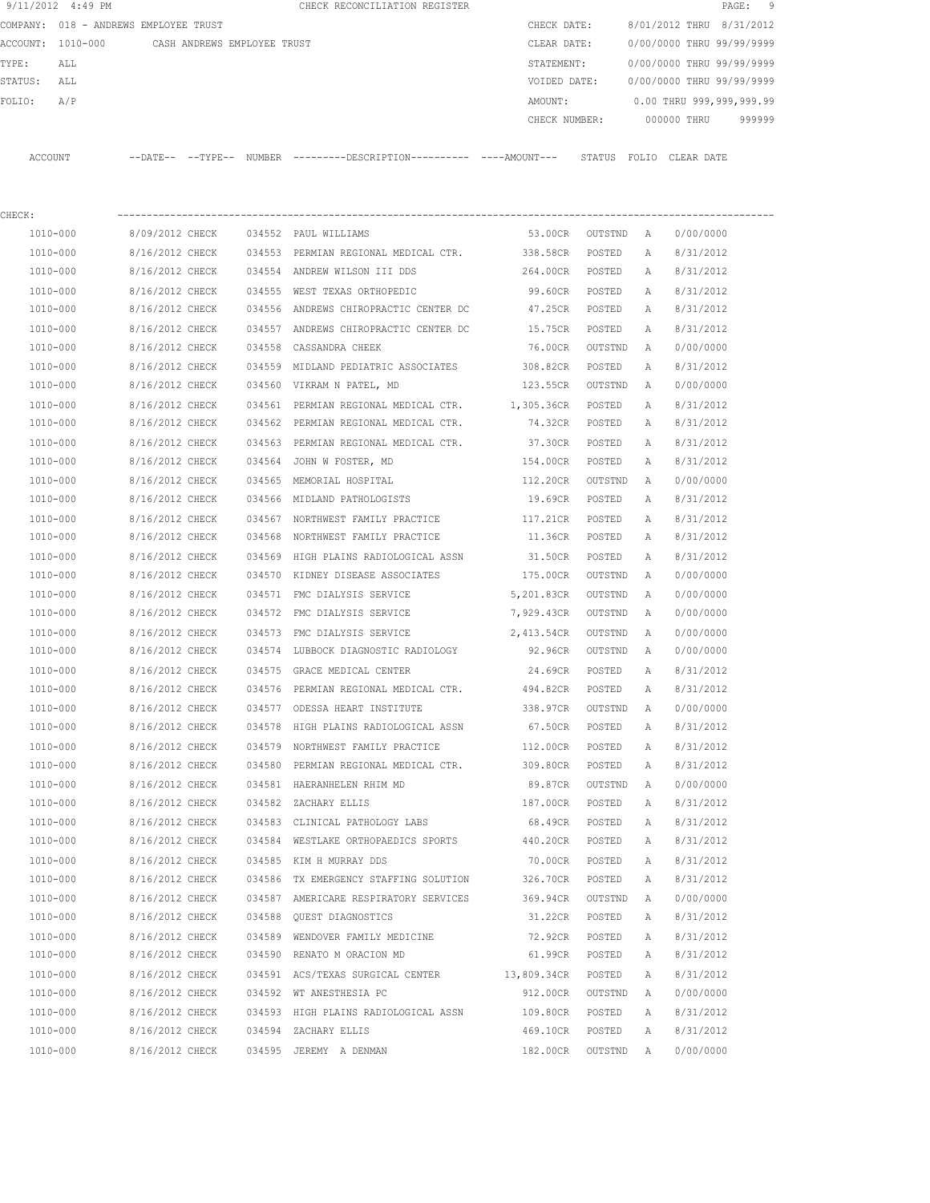|         | 9/11/2012 4:49 PM |                                       |        | CHECK RECONCILIATION REGISTER                |               |                           |            | PAGE:  | - 9 |
|---------|-------------------|---------------------------------------|--------|----------------------------------------------|---------------|---------------------------|------------|--------|-----|
|         |                   | COMPANY: 018 - ANDREWS EMPLOYEE TRUST |        |                                              | CHECK DATE:   | 8/01/2012 THRU 8/31/2012  |            |        |     |
|         | ACCOUNT: 1010-000 | CASH ANDREWS EMPLOYEE TRUST           |        |                                              | CLEAR DATE:   | 0/00/0000 THRU 99/99/9999 |            |        |     |
| TYPE:   | ALL               |                                       |        |                                              | STATEMENT:    | 0/00/0000 THRU 99/99/9999 |            |        |     |
| STATUS: | ALL               |                                       |        |                                              | VOIDED DATE:  | 0/00/0000 THRU 99/99/9999 |            |        |     |
| FOLIO:  | A/P               |                                       |        |                                              | AMOUNT:       | 0.00 THRU 999,999,999.99  |            |        |     |
|         |                   |                                       |        |                                              | CHECK NUMBER: | 000000 THRU               |            | 999999 |     |
|         |                   |                                       |        |                                              |               |                           |            |        |     |
| ACCOUNT |                   | $--$ DATE $- --$ TYPE $--$            | NUMBER | ---------DESCRIPTION---------- ----AMOUNT--- | STATUS        | FOLTO                     | CLEAR DATE |        |     |
|         |                   |                                       |        |                                              |               |                           |            |        |     |

| CHECK:       |                          |                                                      |                  |                   |              |           |
|--------------|--------------------------|------------------------------------------------------|------------------|-------------------|--------------|-----------|
|              | 1010-000 8/09/2012 CHECK | 034552 PAUL WILLIAMS                                 |                  | 53.00CR OUTSTND A |              | 0/00/0000 |
| 1010-000     | 8/16/2012 CHECK          | 034553 PERMIAN REGIONAL MEDICAL CTR. 338.58CR POSTED |                  |                   | А            | 8/31/2012 |
| 1010-000     | 8/16/2012 CHECK          | 034554 ANDREW WILSON III DDS                         | 264.00CR POSTED  |                   | Α            | 8/31/2012 |
| 1010-000     | 8/16/2012 CHECK          | 034555 WEST TEXAS ORTHOPEDIC                         | 99.60CR POSTED   |                   | A            | 8/31/2012 |
| 1010-000     | 8/16/2012 CHECK          | 034556 ANDREWS CHIROPRACTIC CENTER DC                | 47.25CR POSTED   |                   | A            | 8/31/2012 |
| 1010-000     | 8/16/2012 CHECK          | 034557 ANDREWS CHIROPRACTIC CENTER DC                | 15.75CR          | POSTED            | A            | 8/31/2012 |
| 1010-000     | 8/16/2012 CHECK          | 034558 CASSANDRA CHEEK                               | 76.00CR          | OUTSTND           | A            | 0/00/0000 |
| 1010-000     | 8/16/2012 CHECK          | 034559 MIDLAND PEDIATRIC ASSOCIATES 308.82CR         |                  | POSTED            | A            | 8/31/2012 |
| 1010-000     | 8/16/2012 CHECK          | 034560 VIKRAM N PATEL, MD                            | 123.55CR OUTSTND |                   | A            | 0/00/0000 |
| 1010-000     | 8/16/2012 CHECK          | 034561 PERMIAN REGIONAL MEDICAL CTR. 1,305.36CR      |                  | POSTED            | Α            | 8/31/2012 |
| 1010-000     | 8/16/2012 CHECK          | 034562 PERMIAN REGIONAL MEDICAL CTR. 74.32CR POSTED  |                  |                   | A            | 8/31/2012 |
| 1010-000     | 8/16/2012 CHECK          | 034563 PERMIAN REGIONAL MEDICAL CTR. 37.30CR         |                  | POSTED            | Α            | 8/31/2012 |
| 1010-000     | 8/16/2012 CHECK          | 034564 JOHN W FOSTER, MD                             | 154.00CR         | POSTED            | Α            | 8/31/2012 |
| 1010-000     | 8/16/2012 CHECK          | 034565 MEMORIAL HOSPITAL                             | 112.20CR         | OUTSTND           | A            | 0/00/0000 |
| 1010-000     | 8/16/2012 CHECK          | 034566 MIDLAND PATHOLOGISTS                          | 19.69CR          | POSTED            | Α            | 8/31/2012 |
| 1010-000     | 8/16/2012 CHECK          | 034567 NORTHWEST FAMILY PRACTICE                     | 117.21CR         | POSTED            | A            | 8/31/2012 |
| 1010-000     | 8/16/2012 CHECK          | 034568 NORTHWEST FAMILY PRACTICE                     | 11.36CR POSTED   |                   | $\mathbb{A}$ | 8/31/2012 |
| 1010-000     | 8/16/2012 CHECK          | 034569 HIGH PLAINS RADIOLOGICAL ASSN                 | 31.50CR          | POSTED            | A            | 8/31/2012 |
| 1010-000     | 8/16/2012 CHECK          | 034570 KIDNEY DISEASE ASSOCIATES                     | 175.00CR         | OUTSTND           | A            | 0/00/0000 |
| 1010-000     | 8/16/2012 CHECK          | 034571 FMC DIALYSIS SERVICE                          | 5,201.83CR       | OUTSTND           | A            | 0/00/0000 |
| 1010-000     | 8/16/2012 CHECK          | 034572 FMC DIALYSIS SERVICE                          | 7,929.43CR       | OUTSTND           | A            | 0/00/0000 |
| 1010-000     | 8/16/2012 CHECK          | 034573 FMC DIALYSIS SERVICE                          | 2,413.54CR       | OUTSTND           | A            | 0/00/0000 |
| 1010-000     | 8/16/2012 CHECK          | 034574 LUBBOCK DIAGNOSTIC RADIOLOGY 92.96CR          |                  | OUTSTND           | <b>A</b>     | 0/00/0000 |
| 1010-000     | 8/16/2012 CHECK          | 034575 GRACE MEDICAL CENTER                          | 24.69CR          | POSTED            | Α            | 8/31/2012 |
| 1010-000     | 8/16/2012 CHECK          | 034576 PERMIAN REGIONAL MEDICAL CTR. 494.82CR        |                  | POSTED            | Α            | 8/31/2012 |
| 1010-000     | 8/16/2012 CHECK          | 034577 ODESSA HEART INSTITUTE                        | 338.97CR         | OUTSTND           | A            | 0/00/0000 |
| 1010-000     | 8/16/2012 CHECK          | 034578 HIGH PLAINS RADIOLOGICAL ASSN 67.50CR         |                  | POSTED            | Α            | 8/31/2012 |
| 1010-000     | 8/16/2012 CHECK          | 034579 NORTHWEST FAMILY PRACTICE                     | 112.00CR         | POSTED            | Α            | 8/31/2012 |
| 1010-000     | 8/16/2012 CHECK          | 034580 PERMIAN REGIONAL MEDICAL CTR.                 | 309.80CR POSTED  |                   | Α            | 8/31/2012 |
| 1010-000     | 8/16/2012 CHECK          | 034581 HAERANHELEN RHIM MD                           | 89.87CR          | OUTSTND           | A            | 0/00/0000 |
| 1010-000     | 8/16/2012 CHECK          | 034582 ZACHARY ELLIS                                 | 187.00CR         | POSTED            | A            | 8/31/2012 |
| 1010-000     | 8/16/2012 CHECK          | 034583 CLINICAL PATHOLOGY LABS                       | 68.49CR          | POSTED            | A            | 8/31/2012 |
| 1010-000     | 8/16/2012 CHECK          | 034584 WESTLAKE ORTHOPAEDICS SPORTS 440.20CR POSTED  |                  |                   | A            | 8/31/2012 |
| $1010 - 000$ | 8/16/2012 CHECK          | 034585 KIM H MURRAY DDS                              | 70.00CR          | POSTED            | A            | 8/31/2012 |
| 1010-000     | 8/16/2012 CHECK          | 034586 TX EMERGENCY STAFFING SOLUTION                | 326.70CR         | POSTED            | Α            | 8/31/2012 |
| 1010-000     | 8/16/2012 CHECK          | 034587 AMERICARE RESPIRATORY SERVICES                | 369.94CR         | OUTSTND           | A            | 0/00/0000 |
| 1010-000     | 8/16/2012 CHECK          | 034588 QUEST DIAGNOSTICS                             | 31.22CR          | POSTED            | Α            | 8/31/2012 |
| 1010-000     | 8/16/2012 CHECK          | 034589 WENDOVER FAMILY MEDICINE                      | 72.92CR          | POSTED            | Α            | 8/31/2012 |
| 1010-000     | 8/16/2012 CHECK          | 034590 RENATO M ORACION MD                           | 61.99CR          | POSTED            | Α            | 8/31/2012 |
| 1010-000     | 8/16/2012 CHECK          | 034591 ACS/TEXAS SURGICAL CENTER                     | 13,809.34CR      | POSTED            | Α            | 8/31/2012 |
| 1010-000     | 8/16/2012 CHECK          | 034592 WT ANESTHESIA PC                              | 912.00CR         | OUTSTND           | A            | 0/00/0000 |
| 1010-000     | 8/16/2012 CHECK          | 034593 HIGH PLAINS RADIOLOGICAL ASSN                 | 109.80CR         | POSTED            | Α            | 8/31/2012 |
| 1010-000     | 8/16/2012 CHECK          | 034594 ZACHARY ELLIS                                 | 469.10CR         | POSTED            | Α            | 8/31/2012 |
| 1010-000     | 8/16/2012 CHECK          | 034595 JEREMY A DENMAN                               | 182.00CR         | OUTSTND           | A            | 0/00/0000 |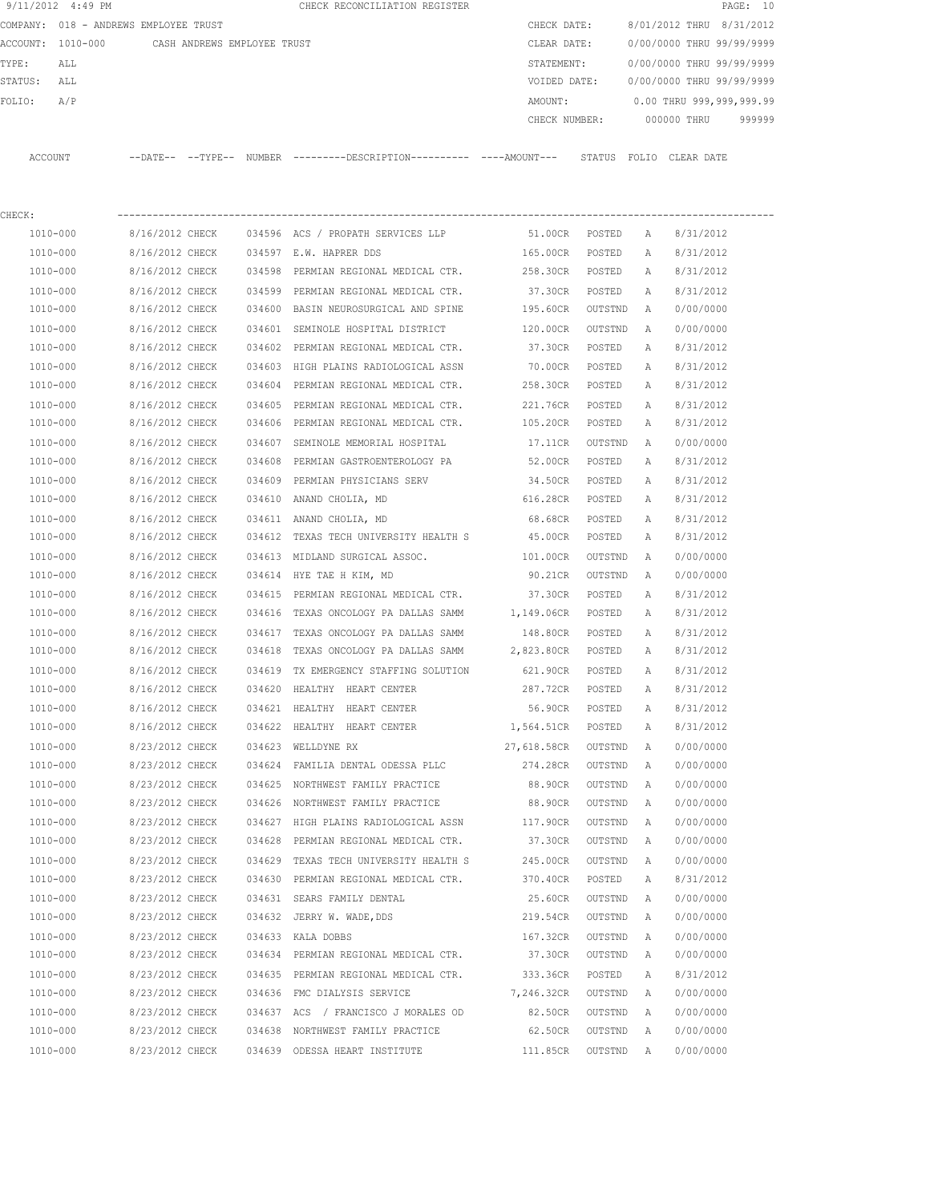|         | 9/11/2012 4:49 PM                             |                 |        | CHECK RECONCILIATION REGISTER                                                                |                   |         |   | PAGE: 10                  |        |
|---------|-----------------------------------------------|-----------------|--------|----------------------------------------------------------------------------------------------|-------------------|---------|---|---------------------------|--------|
|         | COMPANY: 018 - ANDREWS EMPLOYEE TRUST         |                 |        |                                                                                              | CHECK DATE:       |         |   | 8/01/2012 THRU 8/31/2012  |        |
|         | ACCOUNT: 1010-000 CASH ANDREWS EMPLOYEE TRUST |                 |        |                                                                                              | CLEAR DATE:       |         |   | 0/00/0000 THRU 99/99/9999 |        |
| TYPE:   | ALL                                           |                 |        |                                                                                              | STATEMENT:        |         |   | 0/00/0000 THRU 99/99/9999 |        |
| STATUS: | ALL                                           |                 |        |                                                                                              | VOIDED DATE:      |         |   | 0/00/0000 THRU 99/99/9999 |        |
| FOLIO:  | A/P                                           |                 |        |                                                                                              | AMOUNT:           |         |   | 0.00 THRU 999,999,999.99  |        |
|         |                                               |                 |        |                                                                                              | CHECK NUMBER:     |         |   | 000000 THRU               | 999999 |
|         |                                               |                 |        |                                                                                              |                   |         |   |                           |        |
| ACCOUNT |                                               |                 |        | --DATE-- --TYPE-- NUMBER ---------DESCRIPTION---------- ----AMOUNT--- STATUS FOLIO CLEARDATE |                   |         |   |                           |        |
|         |                                               |                 |        |                                                                                              |                   |         |   |                           |        |
| CHECK:  |                                               |                 |        |                                                                                              |                   |         |   |                           |        |
|         | 1010-000                                      | 8/16/2012 CHECK |        | 034596 ACS / PROPATH SERVICES LLP                                                            | 51.00CR           | POSTED  | A | 8/31/2012                 |        |
|         | 1010-000                                      | 8/16/2012 CHECK |        | 034597 E.W. HAPRER DDS                                                                       | 165.00CR          | POSTED  | A | 8/31/2012                 |        |
|         | 1010-000                                      | 8/16/2012 CHECK | 034598 | PERMIAN REGIONAL MEDICAL CTR. 258.30CR                                                       |                   | POSTED  | Α | 8/31/2012                 |        |
|         | 1010-000                                      | 8/16/2012 CHECK | 034599 | PERMIAN REGIONAL MEDICAL CTR.                                                                | 37.30CR           | POSTED  | Α | 8/31/2012                 |        |
|         | 1010-000                                      | 8/16/2012 CHECK |        | 034600 BASIN NEUROSURGICAL AND SPINE                                                         | 195.60CR          | OUTSTND | Α | 0/00/0000                 |        |
|         | 1010-000                                      | 8/16/2012 CHECK |        | 034601 SEMINOLE HOSPITAL DISTRICT                                                            | 120.00CR          | OUTSTND | Α | 0/00/0000                 |        |
|         | 1010-000                                      | 8/16/2012 CHECK |        | 034602 PERMIAN REGIONAL MEDICAL CTR.                                                         | 37.30CR           | POSTED  | Α | 8/31/2012                 |        |
|         | 1010-000                                      | 8/16/2012 CHECK |        | 034603 HIGH PLAINS RADIOLOGICAL ASSN                                                         | 70.00CR           | POSTED  | A | 8/31/2012                 |        |
|         | 1010-000                                      | 8/16/2012 CHECK |        | 034604 PERMIAN REGIONAL MEDICAL CTR.                                                         | 258.30CR          | POSTED  | A | 8/31/2012                 |        |
|         | 1010-000                                      | 8/16/2012 CHECK | 034605 | PERMIAN REGIONAL MEDICAL CTR.                                                                | 221.76CR          | POSTED  | Α | 8/31/2012                 |        |
|         | 1010-000                                      | 8/16/2012 CHECK | 034606 | PERMIAN REGIONAL MEDICAL CTR.                                                                | 105.20CR          | POSTED  | А | 8/31/2012                 |        |
|         | 1010-000                                      | 8/16/2012 CHECK |        | 034607 SEMINOLE MEMORIAL HOSPITAL                                                            | 17.11CR           | OUTSTND | A | 0/00/0000                 |        |
|         | 1010-000                                      | 8/16/2012 CHECK |        | 034608 PERMIAN GASTROENTEROLOGY PA 52.00CR                                                   |                   | POSTED  | A | 8/31/2012                 |        |
|         | 1010-000                                      | 8/16/2012 CHECK | 034609 | PERMIAN PHYSICIANS SERV                                                                      | 34.50CR           | POSTED  | Α | 8/31/2012                 |        |
|         | 1010-000                                      | 8/16/2012 CHECK |        | 034610 ANAND CHOLIA, MD                                                                      | 616.28CR          | POSTED  | Α | 8/31/2012                 |        |
|         | 1010-000                                      | 8/16/2012 CHECK |        | 034611 ANAND CHOLIA, MD                                                                      | 68.68CR           | POSTED  | Α | 8/31/2012                 |        |
|         | 1010-000                                      | 8/16/2012 CHECK | 034612 | TEXAS TECH UNIVERSITY HEALTH S                                                               | 45.00CR           | POSTED  | Α | 8/31/2012                 |        |
|         | 1010-000                                      | 8/16/2012 CHECK | 034613 | MIDLAND SURGICAL ASSOC.                                                                      | 101.00CR          | OUTSTND | A | 0/00/0000                 |        |
|         | 1010-000                                      | 8/16/2012 CHECK | 034614 | HYE TAE H KIM, MD                                                                            | 90.21CR           | OUTSTND | Α | 0/00/0000                 |        |
|         | 1010-000                                      | 8/16/2012 CHECK | 034615 | PERMIAN REGIONAL MEDICAL CTR.                                                                | 37.30CR           | POSTED  | Α | 8/31/2012                 |        |
|         | 1010-000                                      | 8/16/2012 CHECK | 034616 | TEXAS ONCOLOGY PA DALLAS SAMM                                                                | 1,149.06CR        | POSTED  | Α | 8/31/2012                 |        |
|         | 1010-000                                      | 8/16/2012 CHECK | 034617 | TEXAS ONCOLOGY PA DALLAS SAMM                                                                | 148.80CR          | POSTED  | A | 8/31/2012                 |        |
|         | 1010-000                                      | 8/16/2012 CHECK |        | 034618 TEXAS ONCOLOGY PA DALLAS SAMM                                                         | 2,823.80CR POSTED |         | Α | 8/31/2012                 |        |
|         | 1010-000                                      | 8/16/2012 CHECK | 034619 | TX EMERGENCY STAFFING SOLUTION                                                               | 621.90CR          | POSTED  | Α | 8/31/2012                 |        |
|         | 1010-000                                      | 8/16/2012 CHECK | 034620 | HEALTHY HEART CENTER                                                                         | 287.72CR          | POSTED  | А | 8/31/2012                 |        |
|         | 1010-000                                      | 8/16/2012 CHECK |        | 034621 HEALTHY HEART CENTER                                                                  | 56.90CR           | POSTED  | Α | 8/31/2012                 |        |
|         | $1010 - 000$                                  | 8/16/2012 CHECK | 034622 | HEALTHY HEART CENTER                                                                         | 1,564.51CR        | POSTED  | Α | 8/31/2012                 |        |
|         | 1010-000                                      | 8/23/2012 CHECK |        | 034623 WELLDYNE RX                                                                           | 27,618.58CR       | OUTSTND | Α | 0/00/0000                 |        |
|         | 1010-000                                      | 8/23/2012 CHECK |        | 034624 FAMILIA DENTAL ODESSA PLLC                                                            | 274.28CR          | OUTSTND | Α | 0/00/0000                 |        |
|         | 1010-000                                      | 8/23/2012 CHECK |        | 034625 NORTHWEST FAMILY PRACTICE                                                             | 88.90CR           | OUTSTND | Α | 0/00/0000                 |        |
|         | 1010-000                                      | 8/23/2012 CHECK |        | 034626 NORTHWEST FAMILY PRACTICE                                                             | 88.90CR           | OUTSTND | Α | 0/00/0000                 |        |
|         | 1010-000                                      | 8/23/2012 CHECK | 034627 | HIGH PLAINS RADIOLOGICAL ASSN                                                                | 117.90CR          | OUTSTND | Α | 0/00/0000                 |        |
|         | 1010-000                                      | 8/23/2012 CHECK | 034628 | PERMIAN REGIONAL MEDICAL CTR.                                                                | 37.30CR           | OUTSTND | Α | 0/00/0000                 |        |
|         | 1010-000                                      | 8/23/2012 CHECK | 034629 | TEXAS TECH UNIVERSITY HEALTH S                                                               | 245.00CR          | OUTSTND | Α | 0/00/0000                 |        |
|         | 1010-000                                      | 8/23/2012 CHECK | 034630 | PERMIAN REGIONAL MEDICAL CTR.                                                                | 370.40CR          | POSTED  | Α | 8/31/2012                 |        |
|         |                                               |                 |        |                                                                                              |                   |         |   |                           |        |
|         | 1010-000                                      | 8/23/2012 CHECK |        | 034631 SEARS FAMILY DENTAL                                                                   | 25.60CR           | OUTSTND | Α | 0/00/0000                 |        |
|         | 1010-000                                      | 8/23/2012 CHECK |        | 034632 JERRY W. WADE, DDS                                                                    | 219.54CR          | OUTSTND | Α | 0/00/0000                 |        |

 1010-000 8/23/2012 CHECK 034633 KALA DOBBS 167.32CR OUTSTND A 0/00/0000 1010-000 8/23/2012 CHECK 034634 PERMIAN REGIONAL MEDICAL CTR. 37.30CR OUTSTND A 0/00/0000 1010-000 8/23/2012 CHECK 034635 PERMIAN REGIONAL MEDICAL CTR. 333.36CR POSTED A 8/31/2012 1010-000 8/23/2012 CHECK 034636 FMC DIALYSIS SERVICE 7,246.32CR OUTSTND A 0/00/0000 1010-000 8/23/2012 CHECK 034637 ACS / FRANCISCO J MORALES OD 82.50CR OUTSTND A 0/00/0000 1010-000 8/23/2012 CHECK 034638 NORTHWEST FAMILY PRACTICE 62.50CR OUTSTND A 0/00/0000 1010-000 8/23/2012 CHECK 034639 ODESSA HEART INSTITUTE 111.85CR OUTSTND A 0/00/0000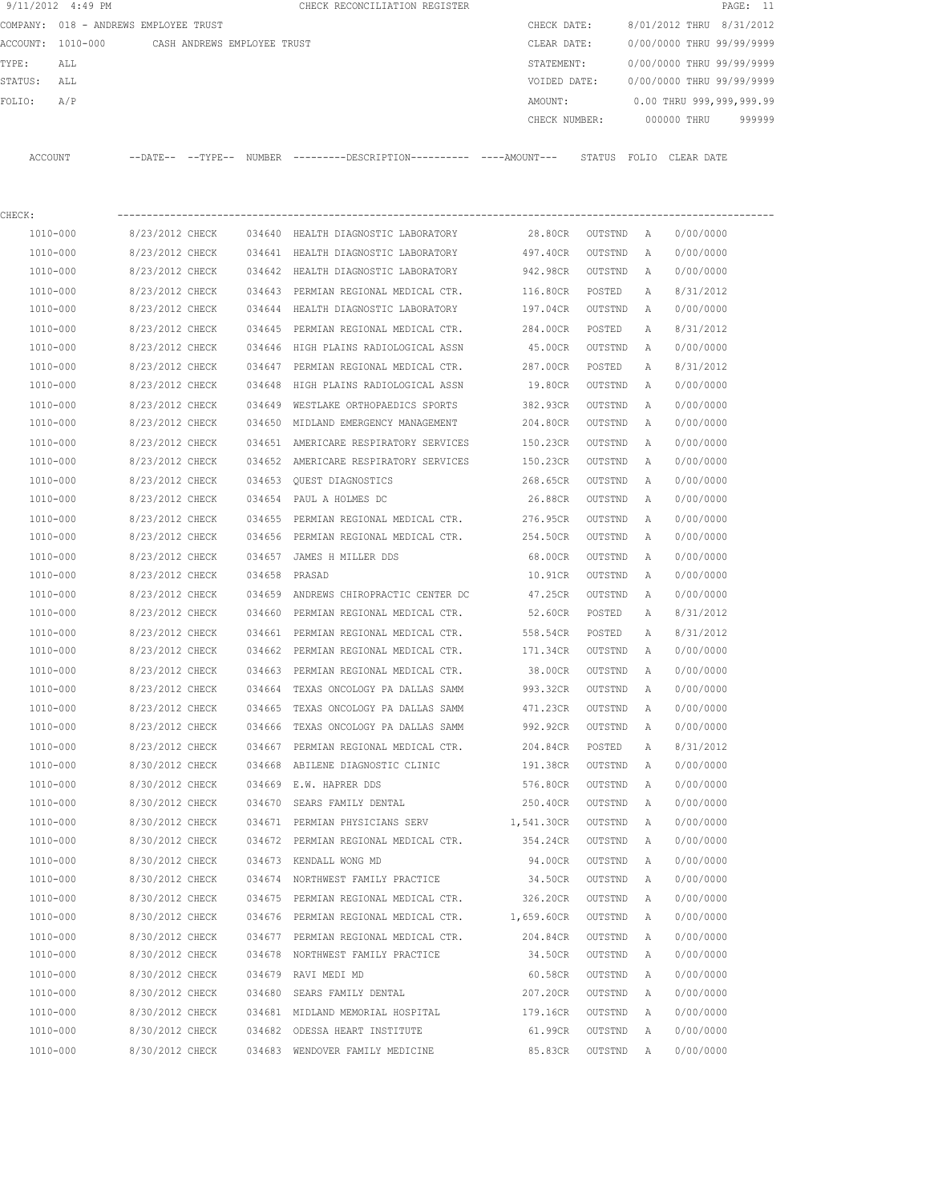| 9/11/2012 4:49 PM                             |                                    |        | CHECK RECONCILIATION REGISTER                                                               |                           |                   |   | PAGE: 11                  |  |
|-----------------------------------------------|------------------------------------|--------|---------------------------------------------------------------------------------------------|---------------------------|-------------------|---|---------------------------|--|
| COMPANY: 018 - ANDREWS EMPLOYEE TRUST         |                                    |        |                                                                                             | CHECK DATE:               |                   |   | 8/01/2012 THRU 8/31/2012  |  |
| ACCOUNT: 1010-000 CASH ANDREWS EMPLOYEE TRUST |                                    |        |                                                                                             | CLEAR DATE:               |                   |   | 0/00/0000 THRU 99/99/9999 |  |
| TYPE:<br>ALL                                  |                                    |        |                                                                                             | STATEMENT:                |                   |   | 0/00/0000 THRU 99/99/9999 |  |
| STATUS:<br>ALL                                |                                    |        |                                                                                             | VOIDED DATE:              |                   |   | 0/00/0000 THRU 99/99/9999 |  |
| FOLIO:<br>A/P                                 |                                    |        |                                                                                             | AMOUNT:                   |                   |   | 0.00 THRU 999,999,999.99  |  |
|                                               |                                    |        |                                                                                             | CHECK NUMBER: 000000 THRU |                   |   | 999999                    |  |
| ACCOUNT                                       |                                    |        | --DATE-- --TYPE-- NUMBER --------DESCRIPTION--------- ----AMOUNT--- STATUS FOLIO CLEAR-DATE |                           |                   |   |                           |  |
|                                               |                                    |        |                                                                                             |                           |                   |   |                           |  |
| CHECK:                                        |                                    |        |                                                                                             |                           |                   |   |                           |  |
| 1010-000                                      | 8/23/2012 CHECK                    |        | 034640 HEALTH DIAGNOSTIC LABORATORY                                                         | 28.80CR OUTSTND A         |                   |   | 0/00/0000                 |  |
| 1010-000                                      | 8/23/2012 CHECK                    |        | 034641 HEALTH DIAGNOSTIC LABORATORY                                                         | 497.40CR                  | OUTSTND           | A | 0/00/0000                 |  |
| 1010-000                                      | 8/23/2012 CHECK                    |        | 034642 HEALTH DIAGNOSTIC LABORATORY                                                         | 942.98CR                  | OUTSTND           | A | 0/00/0000                 |  |
| 1010-000                                      | 8/23/2012 CHECK                    |        | 034643 PERMIAN REGIONAL MEDICAL CTR.                                                        | 116.80CR                  | POSTED            | A | 8/31/2012                 |  |
| 1010-000                                      | 8/23/2012 CHECK                    |        | 034644 HEALTH DIAGNOSTIC LABORATORY                                                         | 197.04CR                  | OUTSTND           | A | 0/00/0000                 |  |
| 1010-000                                      | 8/23/2012 CHECK                    | 034645 | PERMIAN REGIONAL MEDICAL CTR.                                                               | 284.00CR                  | POSTED            | Α | 8/31/2012                 |  |
| 1010-000                                      | 8/23/2012 CHECK                    |        | 034646 HIGH PLAINS RADIOLOGICAL ASSN                                                        | 45.00CR                   | OUTSTND           | A | 0/00/0000                 |  |
| 1010-000                                      | 8/23/2012 CHECK                    |        | 034647 PERMIAN REGIONAL MEDICAL CTR.                                                        | 287.00CR                  | POSTED            | Α | 8/31/2012                 |  |
| 1010-000                                      | 8/23/2012 CHECK                    |        | 034648 HIGH PLAINS RADIOLOGICAL ASSN                                                        | 19.80CR                   | OUTSTND           | A | 0/00/0000                 |  |
| $1010 - 000$                                  | 8/23/2012 CHECK                    |        | 034649 WESTLAKE ORTHOPAEDICS SPORTS                                                         | 382.93CR                  | OUTSTND           | A | 0/00/0000                 |  |
| 1010-000                                      | 8/23/2012 CHECK                    |        | 034650 MIDLAND EMERGENCY MANAGEMENT                                                         | 204.80CR                  | OUTSTND           | A | 0/00/0000                 |  |
| 1010-000                                      | 8/23/2012 CHECK                    |        | 034651 AMERICARE RESPIRATORY SERVICES                                                       | 150.23CR                  | OUTSTND           | A | 0/00/0000                 |  |
| 1010-000                                      | 8/23/2012 CHECK                    |        | 034652 AMERICARE RESPIRATORY SERVICES                                                       | 150.23CR                  | OUTSTND           | A | 0/00/0000                 |  |
| 1010-000                                      | 8/23/2012 CHECK                    |        | 034653 OUEST DIAGNOSTICS                                                                    | 268.65CR                  | OUTSTND           | A | 0/00/0000                 |  |
| 1010-000                                      | 8/23/2012 CHECK                    |        | 034654 PAUL A HOLMES DC                                                                     | 26.88CR                   | OUTSTND           | A | 0/00/0000                 |  |
| 1010-000                                      | 8/23/2012 CHECK                    |        | 034655 PERMIAN REGIONAL MEDICAL CTR.                                                        | 276.95CR                  | OUTSTND           | A | 0/00/0000                 |  |
| 1010-000                                      | 8/23/2012 CHECK                    |        | 034656 PERMIAN REGIONAL MEDICAL CTR.                                                        | 254.50CR                  | OUTSTND           | A | 0/00/0000                 |  |
| 1010-000                                      | 8/23/2012 CHECK                    |        | 034657 JAMES H MILLER DDS                                                                   | 68.00CR                   | OUTSTND           | A | 0/00/0000                 |  |
| 1010-000                                      | 8/23/2012 CHECK                    |        | 034658 PRASAD                                                                               | 10.91CR                   | OUTSTND           | A | 0/00/0000                 |  |
| 1010-000                                      | 8/23/2012 CHECK                    |        | 034659 ANDREWS CHIROPRACTIC CENTER DC                                                       | 47.25CR                   | OUTSTND           | Α | 0/00/0000                 |  |
| 1010-000                                      | 8/23/2012 CHECK                    |        | 034660 PERMIAN REGIONAL MEDICAL CTR. 52.60CR                                                |                           | POSTED            | A | 8/31/2012                 |  |
|                                               |                                    |        | 034661 PERMIAN REGIONAL MEDICAL CTR.                                                        |                           |                   |   |                           |  |
| 1010-000                                      | 8/23/2012 CHECK<br>8/23/2012 CHECK |        |                                                                                             | 558.54CR                  | POSTED<br>OUTSTND | A | 8/31/2012                 |  |
| 1010-000                                      |                                    |        | 034662 PERMIAN REGIONAL MEDICAL CTR.                                                        | 171.34CR                  |                   | A | 0/00/0000                 |  |
| 1010-000                                      | 8/23/2012 CHECK                    |        | 034663 PERMIAN REGIONAL MEDICAL CTR.                                                        | 38.00CR                   | OUTSTND           | A | 0/00/0000                 |  |
| 1010-000                                      | 8/23/2012 CHECK                    |        | 034664 TEXAS ONCOLOGY PA DALLAS SAMM                                                        | 993.32CR                  | OUTSTND           | A | 0/00/0000                 |  |
| 1010-000                                      | 8/23/2012 CHECK                    |        | 034665 TEXAS ONCOLOGY PA DALLAS SAMM                                                        | 471.23CR                  | OUTSTND           | Α | 0/00/0000                 |  |
| 1010-000                                      | 8/23/2012 CHECK                    |        | 034666 TEXAS ONCOLOGY PA DALLAS SAMM                                                        | 992.92CR                  | OUTSTND           | Α | 0/00/0000                 |  |
| 1010-000                                      | 8/23/2012 CHECK                    |        | 034667 PERMIAN REGIONAL MEDICAL CTR.                                                        | 204.84CR                  | POSTED            | Α | 8/31/2012                 |  |
| $1010 - 000$                                  | 8/30/2012 CHECK                    |        | 034668 ABILENE DIAGNOSTIC CLINIC                                                            | 191.38CR                  | OUTSTND           | Α | 0/00/0000                 |  |
| 1010-000                                      | 8/30/2012 CHECK                    |        | 034669 E.W. HAPRER DDS                                                                      | 576.80CR                  | OUTSTND           | A | 0/00/0000                 |  |
| $1010 - 000$                                  | 8/30/2012 CHECK                    |        | 034670 SEARS FAMILY DENTAL                                                                  | 250.40CR                  | OUTSTND           | A | 0/00/0000                 |  |
| 1010-000                                      | 8/30/2012 CHECK                    |        | 034671 PERMIAN PHYSICIANS SERV 1,541.30CR                                                   |                           | OUTSTND           | Α | 0/00/0000                 |  |
| 1010-000                                      | 8/30/2012 CHECK                    |        | 034672 PERMIAN REGIONAL MEDICAL CTR.                                                        | 354.24CR                  | OUTSTND           | Α | 0/00/0000                 |  |
| 1010-000                                      | 8/30/2012 CHECK                    |        | 034673 KENDALL WONG MD                                                                      | 94.00CR                   | OUTSTND           | Α | 0/00/0000                 |  |
| 1010-000                                      | 8/30/2012 CHECK                    |        | 034674 NORTHWEST FAMILY PRACTICE                                                            | 34.50CR                   | OUTSTND           | Α | 0/00/0000                 |  |
| 1010-000                                      | 8/30/2012 CHECK                    |        | 034675 PERMIAN REGIONAL MEDICAL CTR.                                                        | 326.20CR                  | OUTSTND           | Α | 0/00/0000                 |  |
| 1010-000                                      | 8/30/2012 CHECK                    |        | 034676 PERMIAN REGIONAL MEDICAL CTR.                                                        | 1,659.60CR                | OUTSTND           | Α | 0/00/0000                 |  |
| 1010-000                                      | 8/30/2012 CHECK                    |        | 034677 PERMIAN REGIONAL MEDICAL CTR.                                                        | 204.84CR                  | OUTSTND           | Α | 0/00/0000                 |  |
| 1010-000                                      | 8/30/2012 CHECK                    |        | 034678 NORTHWEST FAMILY PRACTICE                                                            | 34.50CR                   | OUTSTND           | Α | 0/00/0000                 |  |
| 1010-000                                      | 8/30/2012 CHECK                    |        | 034679 RAVI MEDI MD                                                                         | 60.58CR                   | OUTSTND           | Α | 0/00/0000                 |  |
| 1010-000                                      | 8/30/2012 CHECK                    |        | 034680 SEARS FAMILY DENTAL                                                                  | 207.20CR                  | OUTSTND           | Α | 0/00/0000                 |  |
| 1010-000                                      | 8/30/2012 CHECK                    |        | 034681 MIDLAND MEMORIAL HOSPITAL                                                            | 179.16CR                  | OUTSTND           | Α | 0/00/0000                 |  |
| 1010-000                                      | 8/30/2012 CHECK                    |        | 034682 ODESSA HEART INSTITUTE                                                               | 61.99CR                   | OUTSTND           | Α | 0/00/0000                 |  |
| 1010-000                                      | 8/30/2012 CHECK                    |        | 034683 WENDOVER FAMILY MEDICINE                                                             | 85.83CR                   | OUTSTND           | Α | 0/00/0000                 |  |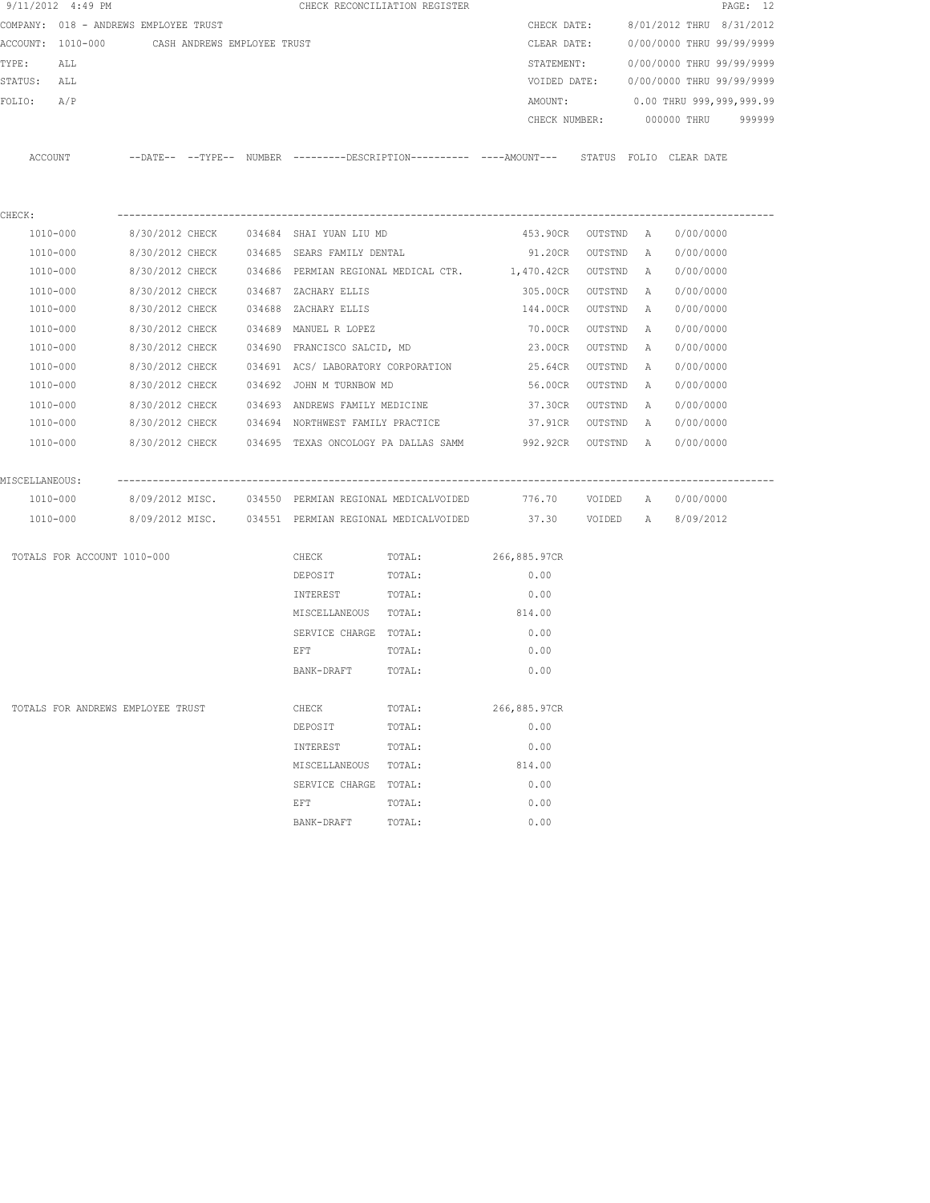| 9/11/2012 4:49 PM                             |                 |  |                                          | CHECK RECONCILIATION REGISTER                         |                                                                                             |         |              |                           | PAGE: 12 |
|-----------------------------------------------|-----------------|--|------------------------------------------|-------------------------------------------------------|---------------------------------------------------------------------------------------------|---------|--------------|---------------------------|----------|
| COMPANY: 018 - ANDREWS EMPLOYEE TRUST         |                 |  |                                          |                                                       | CHECK DATE:                                                                                 |         |              | 8/01/2012 THRU 8/31/2012  |          |
| ACCOUNT: 1010-000 CASH ANDREWS EMPLOYEE TRUST |                 |  |                                          |                                                       | CLEAR DATE:                                                                                 |         |              | 0/00/0000 THRU 99/99/9999 |          |
| TYPE:<br>ALL                                  |                 |  |                                          |                                                       | STATEMENT:                                                                                  |         |              | 0/00/0000 THRU 99/99/9999 |          |
| STATUS:<br>ALL                                |                 |  |                                          |                                                       | VOIDED DATE:                                                                                |         |              | 0/00/0000 THRU 99/99/9999 |          |
| FOLIO:<br>A/P                                 |                 |  |                                          |                                                       | AMOUNT:                                                                                     |         |              | 0.00 THRU 999,999,999.99  |          |
|                                               |                 |  |                                          |                                                       | CHECK NUMBER:                                                                               |         |              | 000000 THRU               | 999999   |
| ACCOUNT                                       |                 |  |                                          |                                                       | --DATE-- --TYPE-- NUMBER --------DESCRIPTION--------- ----AMOUNT--- STATUS FOLIO CLEAR-DATE |         |              |                           |          |
| CHECK:                                        |                 |  |                                          |                                                       |                                                                                             |         |              |                           |          |
| 1010-000                                      | 8/30/2012 CHECK |  | 034684 SHAI YUAN LIU MD                  |                                                       | 453.90CR OUTSTND A                                                                          |         |              | 0/00/0000                 |          |
| 1010-000                                      | 8/30/2012 CHECK |  | 034685 SEARS FAMILY DENTAL               |                                                       | 91.20CR                                                                                     | OUTSTND | $\mathbb{A}$ | 0/00/0000                 |          |
| 1010-000                                      | 8/30/2012 CHECK |  |                                          |                                                       | 034686 PERMIAN REGIONAL MEDICAL CTR. 1,470.42CR                                             | OUTSTND | A            | 0/00/0000                 |          |
| 1010-000                                      | 8/30/2012 CHECK |  | 034687 ZACHARY ELLIS                     |                                                       | 305.00CR                                                                                    | OUTSTND | A            | 0/00/0000                 |          |
| 1010-000                                      | 8/30/2012 CHECK |  | 034688 ZACHARY ELLIS                     |                                                       | 144.00CR                                                                                    | OUTSTND | A            | 0/00/0000                 |          |
| 1010-000                                      | 8/30/2012 CHECK |  | 034689 MANUEL R LOPEZ                    |                                                       | 70.00CR                                                                                     | OUTSTND | A            | 0/00/0000                 |          |
| 1010-000                                      | 8/30/2012 CHECK |  | 034690 FRANCISCO SALCID, MD              |                                                       | 23.00CR                                                                                     | OUTSTND | A            | 0/00/0000                 |          |
| 1010-000                                      | 8/30/2012 CHECK |  |                                          |                                                       | 034691 ACS/LABORATORY CORPORATION 25.64CR                                                   | OUTSTND | A            | 0/00/0000                 |          |
| 1010-000                                      |                 |  | 8/30/2012 CHECK 034692 JOHN M TURNBOW MD |                                                       | 56.00CR                                                                                     | OUTSTND | A            | 0/00/0000                 |          |
| 1010-000                                      |                 |  |                                          |                                                       | 8/30/2012 CHECK 034693 ANDREWS FAMILY MEDICINE 37.30CR                                      | OUTSTND | A            | 0/00/0000                 |          |
| 1010-000                                      |                 |  |                                          | 8/30/2012 CHECK 034694 NORTHWEST FAMILY PRACTICE      | 37.91CR                                                                                     | OUTSTND | A            | 0/00/0000                 |          |
| 1010-000                                      |                 |  |                                          |                                                       | 8/30/2012 CHECK   034695 TEXAS ONCOLOGY PA DALLAS SAMM      992.92CR   OUTSTND   A          |         |              | 0/00/0000                 |          |
| MISCELLANEOUS:                                |                 |  |                                          |                                                       |                                                                                             |         |              |                           |          |
| 1010-000                                      |                 |  |                                          | 8/09/2012 MISC. 034550 PERMIAN REGIONAL MEDICALVOIDED |                                                                                             |         |              |                           |          |
| 1010-000                                      |                 |  |                                          |                                                       | 8/09/2012 MISC. 034551 PERMIAN REGIONAL MEDICALVOIDED 37.30 VOIDED A 8/09/2012              |         |              |                           |          |
| TOTALS FOR ACCOUNT 1010-000                   |                 |  | CHECK                                    | TOTAL:                                                | 266,885.97CR                                                                                |         |              |                           |          |
|                                               |                 |  | DEPOSIT                                  | TOTAL:                                                | 0.00                                                                                        |         |              |                           |          |
|                                               |                 |  | INTEREST                                 | TOTAL:                                                | 0.00                                                                                        |         |              |                           |          |
|                                               |                 |  | MISCELLANEOUS TOTAL:                     |                                                       | 814.00                                                                                      |         |              |                           |          |
|                                               |                 |  | SERVICE CHARGE TOTAL:                    |                                                       | 0.00                                                                                        |         |              |                           |          |
|                                               |                 |  | EFT                                      | TOTAL:                                                | 0.00                                                                                        |         |              |                           |          |
|                                               |                 |  | BANK-DRAFT                               | TOTAL:                                                | 0.00                                                                                        |         |              |                           |          |
| TOTALS FOR ANDREWS EMPLOYEE TRUST             |                 |  | CHECK                                    | TOTAL:                                                | 266,885.97CR                                                                                |         |              |                           |          |
|                                               |                 |  | DEPOSIT                                  | TOTAL:                                                | 0.00                                                                                        |         |              |                           |          |
|                                               |                 |  | INTEREST                                 | TOTAL:                                                | 0.00                                                                                        |         |              |                           |          |
|                                               |                 |  | MISCELLANEOUS                            | TOTAL:                                                | 814.00                                                                                      |         |              |                           |          |
|                                               |                 |  | SERVICE CHARGE                           | TOTAL:                                                | 0.00                                                                                        |         |              |                           |          |
|                                               |                 |  | EFT                                      | TOTAL:                                                | 0.00                                                                                        |         |              |                           |          |
|                                               |                 |  | BANK-DRAFT                               | TOTAL:                                                | 0.00                                                                                        |         |              |                           |          |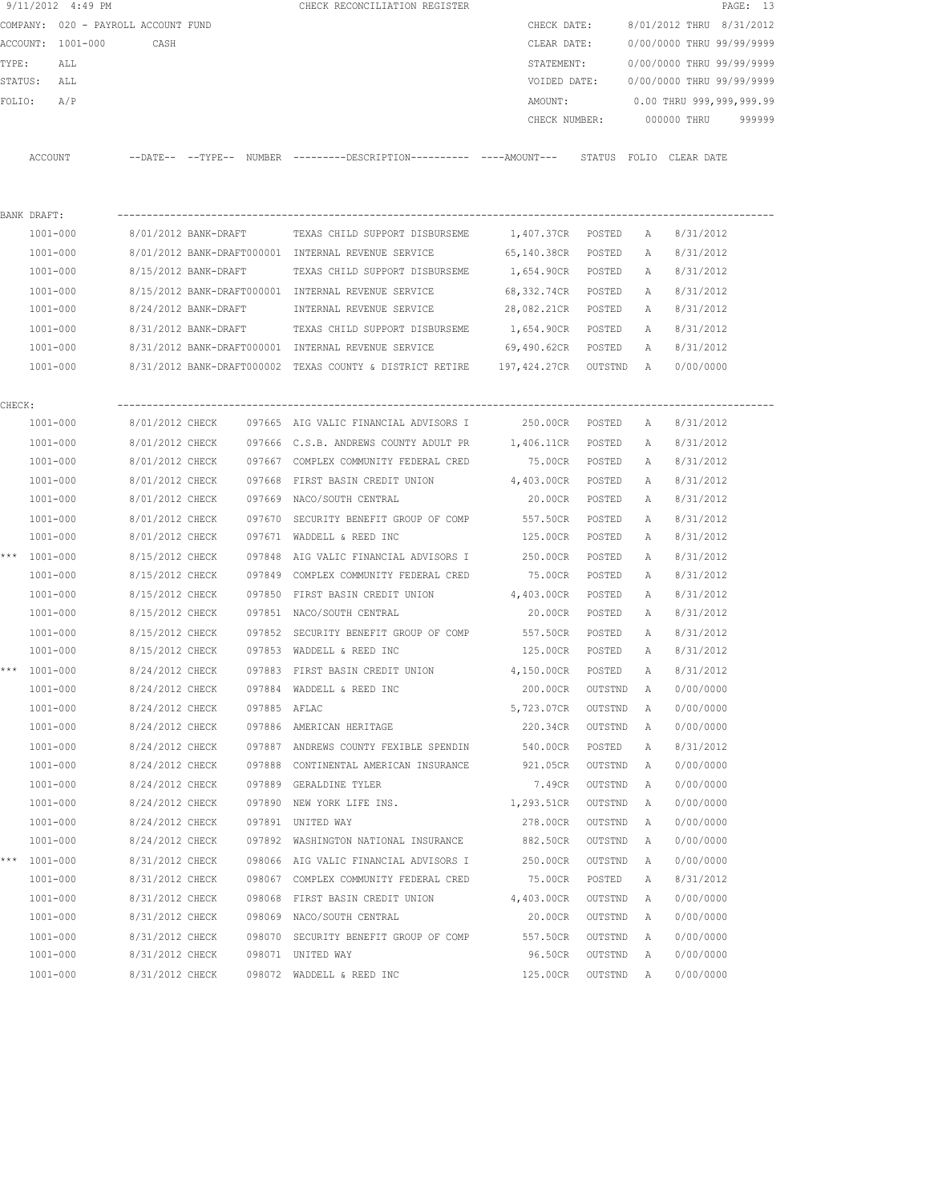|        |                  | 9/11/2012 4:49 PM |                                     |                 |              | CHECK RECONCILIATION REGISTER                                                                       |                               |           |   |                                  | PAGE: 13 |
|--------|------------------|-------------------|-------------------------------------|-----------------|--------------|-----------------------------------------------------------------------------------------------------|-------------------------------|-----------|---|----------------------------------|----------|
|        |                  |                   | COMPANY: 020 - PAYROLL ACCOUNT FUND |                 |              |                                                                                                     | CHECK DATE:                   |           |   | 8/01/2012 THRU 8/31/2012         |          |
|        |                  | ACCOUNT: 1001-000 | CASH                                |                 |              |                                                                                                     | CLEAR DATE:                   |           |   | 0/00/0000 THRU 99/99/9999        |          |
| TYPE:  |                  | ALL               |                                     |                 |              |                                                                                                     | STATEMENT:                    |           |   | 0/00/0000 THRU 99/99/9999        |          |
|        | STATUS: ALL      |                   |                                     |                 |              |                                                                                                     | VOIDED DATE:                  |           |   | 0/00/0000 THRU 99/99/9999        |          |
|        | FOLIO: A/P       |                   |                                     |                 |              |                                                                                                     |                               |           |   | AMOUNT: 0.00 THRU 999,999,999.99 |          |
|        |                  |                   |                                     |                 |              |                                                                                                     |                               |           |   | CHECK NUMBER: 000000 THRU 999999 |          |
|        | ACCOUNT          |                   |                                     |                 |              | --DATE-- --TYPE-- NUMBER --------DESCRIPTION--------- ---AMOUNT--- STATUS FOLIO CLEARDATE           |                               |           |   |                                  |          |
|        |                  |                   |                                     |                 |              |                                                                                                     |                               |           |   |                                  |          |
|        | BANK DRAFT:      |                   |                                     |                 |              |                                                                                                     |                               |           |   |                                  |          |
|        | 1001-000         |                   |                                     |                 |              | 8/01/2012 BANK-DRAFT TEXAS CHILD SUPPORT DISBURSEME                                                 | 1,407.37CR POSTED A 8/31/2012 |           |   |                                  |          |
|        | 1001-000         |                   |                                     |                 |              | 8/01/2012 BANK-DRAFT000001 INTERNAL REVENUE SERVICE 65,140.38CR POSTED                              |                               |           | A | 8/31/2012                        |          |
|        | 1001-000         |                   |                                     |                 |              | 8/15/2012 BANK-DRAFT TEXAS CHILD SUPPORT DISBURSEME 1,654.90CR POSTED                               |                               |           |   | A 8/31/2012                      |          |
|        | 1001-000         |                   |                                     |                 |              | 8/15/2012 BANK-DRAFT000001 INTERNAL REVENUE SERVICE 68,332.74CR POSTED                              |                               |           |   | A 8/31/2012                      |          |
|        | 1001-000         |                   |                                     |                 |              | 8/24/2012 BANK-DRAFT MINTERNAL REVENUE SERVICE 28,082.21CR POSTED                                   |                               |           | A | 8/31/2012                        |          |
|        | 1001-000         |                   |                                     |                 |              | 8/31/2012 BANK-DRAFT TEXAS CHILD SUPPORT DISBURSEME 1,654.90CR POSTED                               |                               |           |   | A 8/31/2012                      |          |
|        |                  |                   |                                     |                 |              | 1001-000 8/31/2012 BANK-DRAFT000001 INTERNAL REVENUE SERVICE 69,490.62CR POSTED                     |                               |           | A | 8/31/2012                        |          |
|        |                  |                   |                                     |                 |              | 1001-000 8/31/2012 BANK-DRAFT000002 TEXAS COUNTY & DISTRICT RETIRE 197,424.27CR OUTSTND A 0/00/0000 |                               |           |   |                                  |          |
|        |                  |                   |                                     |                 |              |                                                                                                     |                               |           |   |                                  |          |
| CHECK: |                  |                   |                                     |                 |              |                                                                                                     |                               |           |   |                                  |          |
|        | 1001-000         |                   |                                     |                 |              | 8/01/2012 CHECK 097665 AIG VALIC FINANCIAL ADVISORS I                                               | 250.00CR POSTED A 8/31/2012   |           |   |                                  |          |
|        | 1001-000         |                   |                                     |                 |              | 8/01/2012 CHECK 097666 C.S.B. ANDREWS COUNTY ADULT PR 1,406.11CR POSTED                             |                               |           |   | A 8/31/2012                      |          |
|        | 1001-000         |                   |                                     |                 |              | 8/01/2012 CHECK 097667 COMPLEX COMMUNITY FEDERAL CRED                                               | 75.00CR POSTED                |           | A | 8/31/2012                        |          |
|        | 1001-000         |                   | 8/01/2012 CHECK                     |                 |              | 097668 FIRST BASIN CREDIT UNION 4,403.00CR POSTED                                                   |                               |           | A | 8/31/2012                        |          |
|        | 1001-000         |                   | 8/01/2012 CHECK                     |                 |              | 097669 NACO/SOUTH CENTRAL                                                                           | 20.00CR POSTED                |           | A | 8/31/2012                        |          |
|        | 1001-000         |                   | 8/01/2012 CHECK                     |                 |              | 097670 SECURITY BENEFIT GROUP OF COMP 557.50CR POSTED                                               |                               |           | A | 8/31/2012                        |          |
|        | 1001-000         |                   | 8/01/2012 CHECK                     |                 |              | 097671 WADDELL & REED INC                                                                           | 125.00CR POSTED               |           | A | 8/31/2012                        |          |
|        | *** $1001 - 000$ |                   | 8/15/2012 CHECK                     |                 |              | 097848 AIG VALIC FINANCIAL ADVISORS I 250.00CR POSTED                                               |                               |           | A | 8/31/2012                        |          |
|        | 1001-000         |                   | 8/15/2012 CHECK                     |                 |              | 097849 COMPLEX COMMUNITY FEDERAL CRED                                                               | 75.00CR POSTED                |           | A | 8/31/2012                        |          |
|        | 1001-000         |                   |                                     | 8/15/2012 CHECK |              | 097850 FIRST BASIN CREDIT UNION 4,403.00CR                                                          |                               | POSTED    | А | 8/31/2012                        |          |
|        | 1001-000         |                   |                                     |                 |              | 8/15/2012 CHECK 097851 NACO/SOUTH CENTRAL                                                           | 20.00CR POSTED                |           | A | 8/31/2012                        |          |
|        | 1001-000         |                   |                                     |                 |              | 8/15/2012 CHECK 097852 SECURITY BENEFIT GROUP OF COMP                                               | 557.50CR POSTED               |           |   | A 8/31/2012                      |          |
|        |                  | 1001-000          |                                     |                 |              | 8/15/2012 CHECK 097853 WADDELL & REED INC                                                           | 125.00CR POSTED               |           |   | A 8/31/2012                      |          |
|        | *** 1001-000     |                   | 8/24/2012 CHECK                     |                 |              | 097883 FIRST BASIN CREDIT UNION                                                                     | 4,150.00CR POSTED             |           | A | 8/31/2012                        |          |
|        | 1001-000         |                   | 8/24/2012 CHECK                     |                 |              | 097884 WADDELL & REED INC                                                                           | 200.00CR                      | OUTSTND A |   | 0/00/0000                        |          |
|        | $1001 - 000$     |                   | 8/24/2012 CHECK                     |                 | 097885 AFLAC |                                                                                                     | 5,723.07CR                    | OUTSTND   | A | 0/00/0000                        |          |
|        | 1001-000         |                   | 8/24/2012 CHECK                     |                 |              | 097886 AMERICAN HERITAGE                                                                            | 220.34CR                      | OUTSTND   | A | 0/00/0000                        |          |
|        | 1001-000         |                   | 8/24/2012 CHECK                     |                 |              | 097887 ANDREWS COUNTY FEXIBLE SPENDIN                                                               | 540.00CR                      | POSTED    | Α | 8/31/2012                        |          |
|        | 1001-000         |                   | 8/24/2012 CHECK                     |                 |              | 097888 CONTINENTAL AMERICAN INSURANCE                                                               | 921.05CR                      | OUTSTND   | Α | 0/00/0000                        |          |
|        | 1001-000         |                   | 8/24/2012 CHECK                     |                 |              | 097889 GERALDINE TYLER                                                                              | 7.49CR                        | OUTSTND   | Α | 0/00/0000                        |          |
|        | 1001-000         |                   | 8/24/2012 CHECK                     |                 |              | 097890 NEW YORK LIFE INS.                                                                           | 1,293.51CR                    | OUTSTND   | Α | 0/00/0000                        |          |
|        | 1001-000         |                   | 8/24/2012 CHECK                     |                 |              | 097891 UNITED WAY                                                                                   | 278.00CR                      | OUTSTND   | Α | 0/00/0000                        |          |
|        | 1001-000         |                   | 8/24/2012 CHECK                     |                 |              | 097892 WASHINGTON NATIONAL INSURANCE                                                                | 882.50CR                      | OUTSTND   | А | 0/00/0000                        |          |
| * * *  | 1001-000         |                   | 8/31/2012 CHECK                     |                 |              | 098066 AIG VALIC FINANCIAL ADVISORS I                                                               | 250.00CR                      | OUTSTND   | Α | 0/00/0000                        |          |
|        | 1001-000         |                   | 8/31/2012 CHECK                     |                 |              | 098067 COMPLEX COMMUNITY FEDERAL CRED                                                               | 75.00CR                       | POSTED    | Α | 8/31/2012                        |          |
|        | $1001 - 000$     |                   | 8/31/2012 CHECK                     |                 |              | 098068 FIRST BASIN CREDIT UNION                                                                     | 4,403.00CR                    | OUTSTND   | A | 0/00/0000                        |          |
|        | 1001-000         |                   | 8/31/2012 CHECK                     |                 |              | 098069 NACO/SOUTH CENTRAL                                                                           | 20.00CR                       | OUTSTND   | A | 0/00/0000                        |          |
|        | 1001-000         |                   | 8/31/2012 CHECK                     |                 |              | 098070 SECURITY BENEFIT GROUP OF COMP                                                               | 557.50CR                      | OUTSTND   | A | 0/00/0000                        |          |
|        | $1001 - 000$     |                   | 8/31/2012 CHECK                     |                 |              | 098071 UNITED WAY                                                                                   | 96.50CR                       | OUTSTND   | A | 0/00/0000                        |          |
|        | 1001-000         |                   | 8/31/2012 CHECK                     |                 |              | 098072 WADDELL & REED INC                                                                           | 125.00CR                      | OUTSTND   | A | 0/00/0000                        |          |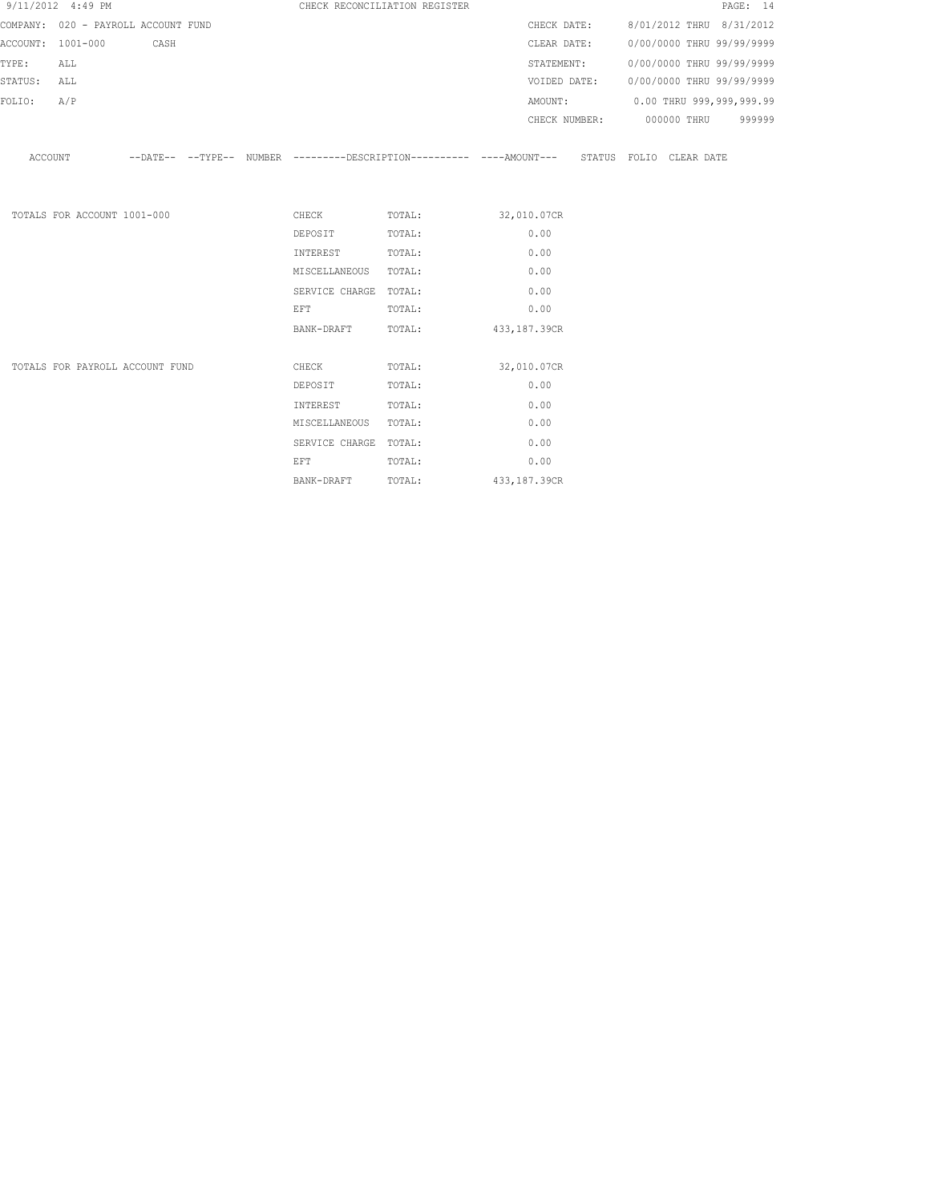|             | 9/11/2012 4:49 PM                   |  |                                                                                                                                                                                                                                | CHECK RECONCILIATION REGISTER |                                                                                                    | PAGE: 14                             |
|-------------|-------------------------------------|--|--------------------------------------------------------------------------------------------------------------------------------------------------------------------------------------------------------------------------------|-------------------------------|----------------------------------------------------------------------------------------------------|--------------------------------------|
|             | COMPANY: 020 - PAYROLL ACCOUNT FUND |  |                                                                                                                                                                                                                                |                               |                                                                                                    | CHECK DATE: 8/01/2012 THRU 8/31/2012 |
|             | ACCOUNT: 1001-000 CASH              |  |                                                                                                                                                                                                                                |                               | CLEAR DATE:                                                                                        | 0/00/0000 THRU 99/99/9999            |
| TYPE:       | ALL                                 |  |                                                                                                                                                                                                                                |                               |                                                                                                    | STATEMENT: 0/00/0000 THRU 99/99/9999 |
| STATUS: ALL |                                     |  |                                                                                                                                                                                                                                |                               | VOIDED DATE:                                                                                       | 0/00/0000 THRU 99/99/9999            |
| FOLIO:      | A/P                                 |  |                                                                                                                                                                                                                                |                               |                                                                                                    | AMOUNT: 0.00 THRU 999,999,999.99     |
|             |                                     |  |                                                                                                                                                                                                                                |                               |                                                                                                    | CHECK NUMBER: 000000 THRU 999999     |
|             |                                     |  |                                                                                                                                                                                                                                |                               |                                                                                                    |                                      |
|             |                                     |  |                                                                                                                                                                                                                                |                               | ACCOUNT -DATE-- --TYPE-- NUMBER --------DESCRIPTION--------- ----AMOUNT--- STATUS FOLIO CLEAR DATE |                                      |
|             |                                     |  |                                                                                                                                                                                                                                |                               |                                                                                                    |                                      |
|             |                                     |  |                                                                                                                                                                                                                                |                               |                                                                                                    |                                      |
|             | TOTALS FOR ACCOUNT 1001-000         |  |                                                                                                                                                                                                                                | CHECK TOTAL: 32,010.07CR      |                                                                                                    |                                      |
|             |                                     |  | DEPOSIT                                                                                                                                                                                                                        | TOTAL:                        | 0.00                                                                                               |                                      |
|             |                                     |  | INTEREST                                                                                                                                                                                                                       | TOTAL:                        | 0.00                                                                                               |                                      |
|             |                                     |  | MISCELLANEOUS TOTAL:                                                                                                                                                                                                           |                               | 0.00                                                                                               |                                      |
|             |                                     |  | SERVICE CHARGE TOTAL:                                                                                                                                                                                                          |                               | 0.00                                                                                               |                                      |
|             |                                     |  | EFT                                                                                                                                                                                                                            | TOTAL:                        | 0.00                                                                                               |                                      |
|             |                                     |  | BANK-DRAFT                                                                                                                                                                                                                     | TOTAL: 433,187.39CR           |                                                                                                    |                                      |
|             |                                     |  |                                                                                                                                                                                                                                |                               |                                                                                                    |                                      |
|             | TOTALS FOR PAYROLL ACCOUNT FUND     |  | <b>CHECK</b>                                                                                                                                                                                                                   | TOTAL:                        | 32,010.07CR                                                                                        |                                      |
|             |                                     |  | DEPOSIT                                                                                                                                                                                                                        | TOTAL:                        | 0.00                                                                                               |                                      |
|             |                                     |  | INTEREST                                                                                                                                                                                                                       | TOTAL:                        | 0.00                                                                                               |                                      |
|             |                                     |  | MISCELLANEOUS TOTAL:                                                                                                                                                                                                           |                               | 0.00                                                                                               |                                      |
|             |                                     |  | SERVICE CHARGE TOTAL:                                                                                                                                                                                                          |                               | 0.00                                                                                               |                                      |
|             |                                     |  | EFT FOR THE RESIDENCE OF THE RESIDENCE OF THE RESIDENCE OF THE RESIDENCE OF THE RESIDENCE OF THE RESIDENCE OF THE RESIDENCE OF THE RESIDENCE OF THE RESIDENCE OF THE RESIDENCE OF THE RESIDENCE OF THE RESIDENCE OF THE RESIDE | TOTAL:                        | 0.00                                                                                               |                                      |
|             |                                     |  | BANK-DRAFT                                                                                                                                                                                                                     | TOTAL:                        | 433, 187.39CR                                                                                      |                                      |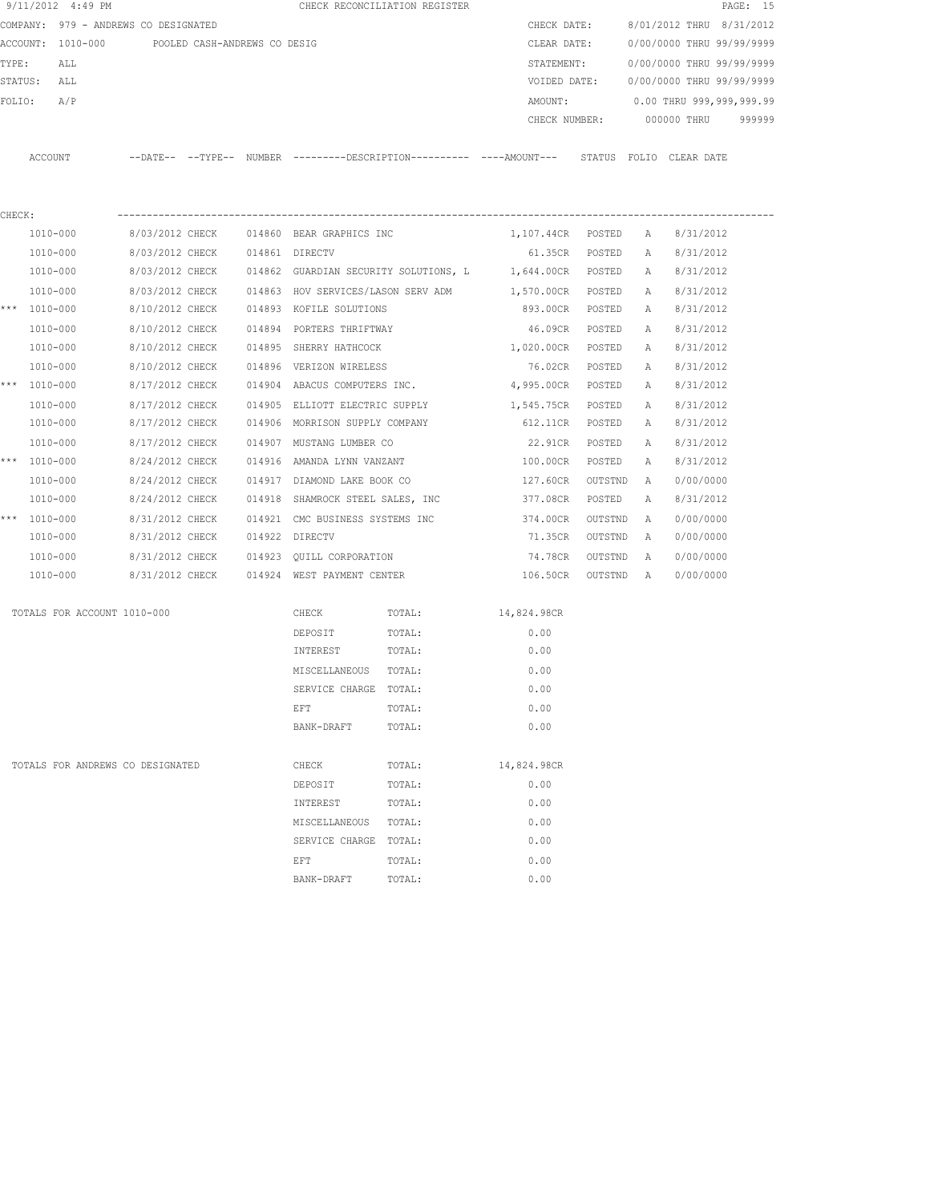| 9/11/2012 4:49 PM                    |                 |                              |        |                                    | CHECK RECONCILIATION REGISTER                                                                |                   |                |   |                           | PAGE: 15 |
|--------------------------------------|-----------------|------------------------------|--------|------------------------------------|----------------------------------------------------------------------------------------------|-------------------|----------------|---|---------------------------|----------|
| COMPANY: 979 - ANDREWS CO DESIGNATED |                 |                              |        |                                    |                                                                                              | CHECK DATE:       |                |   | 8/01/2012 THRU 8/31/2012  |          |
| ACCOUNT: 1010-000                    |                 | POOLED CASH-ANDREWS CO DESIG |        |                                    |                                                                                              | CLEAR DATE:       |                |   | 0/00/0000 THRU 99/99/9999 |          |
| TYPE:<br>ALL                         |                 |                              |        |                                    |                                                                                              | STATEMENT:        |                |   | 0/00/0000 THRU 99/99/9999 |          |
| STATUS:<br>ALL                       |                 |                              |        |                                    |                                                                                              | VOIDED DATE:      |                |   | 0/00/0000 THRU 99/99/9999 |          |
| A/P<br>FOLIO:                        |                 |                              |        |                                    |                                                                                              | AMOUNT:           |                |   | 0.00 THRU 999,999,999.99  |          |
|                                      |                 |                              |        |                                    |                                                                                              | CHECK NUMBER:     |                |   | 000000 THRU               | 999999   |
| ACCOUNT                              |                 |                              |        |                                    | --DATE-- --TYPE-- NUMBER ---------DESCRIPTION---------- ----AMOUNT--- STATUS FOLIO CLEARDATE |                   |                |   |                           |          |
|                                      |                 |                              |        |                                    |                                                                                              |                   |                |   |                           |          |
| CHECK:<br>1010-000                   | 8/03/2012 CHECK |                              |        | 014860 BEAR GRAPHICS INC           |                                                                                              | 1,107.44CR POSTED |                |   | 8/31/2012                 |          |
|                                      |                 |                              |        |                                    |                                                                                              |                   |                | A |                           |          |
| 1010-000                             | 8/03/2012 CHECK |                              |        | 014861 DIRECTV                     |                                                                                              |                   | 61.35CR POSTED | A | 8/31/2012                 |          |
| 1010-000                             | 8/03/2012 CHECK |                              |        |                                    | 014862 GUARDIAN SECURITY SOLUTIONS, L                                                        | 1,644.00CR POSTED |                | A | 8/31/2012                 |          |
| 1010-000                             | 8/03/2012 CHECK |                              |        | 014863 HOV SERVICES/LASON SERV ADM |                                                                                              | 1,570.00CR POSTED |                | Α | 8/31/2012                 |          |
| *** 1010-000                         | 8/10/2012 CHECK |                              |        | 014893 KOFILE SOLUTIONS            |                                                                                              | 893.00CR POSTED   |                | Α | 8/31/2012                 |          |
| 1010-000                             | 8/10/2012 CHECK |                              |        | 014894 PORTERS THRIFTWAY           |                                                                                              | 46.09CR           | POSTED         | А | 8/31/2012                 |          |
| 1010-000                             | 8/10/2012 CHECK |                              |        | 014895 SHERRY HATHCOCK             |                                                                                              | 1,020.00CR        | POSTED         | A | 8/31/2012                 |          |
| 1010-000                             | 8/10/2012 CHECK |                              |        | 014896 VERIZON WIRELESS            |                                                                                              | 76.02CR           | POSTED         | Α | 8/31/2012                 |          |
| *** 1010-000                         | 8/17/2012 CHECK |                              |        | 014904 ABACUS COMPUTERS INC.       |                                                                                              | 4,995.00CR POSTED |                | A | 8/31/2012                 |          |
| 1010-000                             | 8/17/2012 CHECK |                              | 014905 | ELLIOTT ELECTRIC SUPPLY            |                                                                                              | 1,545.75CR        | POSTED         | Α | 8/31/2012                 |          |
| 1010-000                             | 8/17/2012 CHECK |                              |        | 014906 MORRISON SUPPLY COMPANY     |                                                                                              | 612.11CR          | POSTED         | A | 8/31/2012                 |          |
| 1010-000                             | 8/17/2012 CHECK |                              |        | 014907 MUSTANG LUMBER CO           |                                                                                              | 22.91CR           | POSTED         | Α | 8/31/2012                 |          |
| *** 1010-000                         | 8/24/2012 CHECK |                              |        | 014916 AMANDA LYNN VANZANT         |                                                                                              | 100.00CR          | POSTED         | Α | 8/31/2012                 |          |
| 1010-000                             | 8/24/2012 CHECK |                              |        | 014917 DIAMOND LAKE BOOK CO        |                                                                                              | 127.60CR          | OUTSTND        | Α | 0/00/0000                 |          |
| 1010-000                             | 8/24/2012 CHECK |                              |        | 014918 SHAMROCK STEEL SALES, INC   |                                                                                              | 377.08CR          | POSTED         | Α | 8/31/2012                 |          |
| *** 1010-000                         | 8/31/2012 CHECK |                              |        | 014921 CMC BUSINESS SYSTEMS INC    |                                                                                              | 374.00CR          | OUTSTND        | Α | 0/00/0000                 |          |
| 1010-000                             | 8/31/2012 CHECK |                              |        | 014922 DIRECTV                     |                                                                                              | 71.35CR           | OUTSTND        | A | 0/00/0000                 |          |
| 1010-000                             | 8/31/2012 CHECK |                              |        | 014923 QUILL CORPORATION           |                                                                                              | 74.78CR           | OUTSTND        | Α | 0/00/0000                 |          |
| 1010-000                             | 8/31/2012 CHECK |                              |        | 014924 WEST PAYMENT CENTER         |                                                                                              | 106.50CR          | OUTSTND        | A | 0/00/0000                 |          |
| TOTALS FOR ACCOUNT 1010-000          |                 |                              |        | CHECK                              | TOTAL:                                                                                       | 14,824.98CR       |                |   |                           |          |
|                                      |                 |                              |        | DEPOSIT                            | TOTAL:                                                                                       | 0.00              |                |   |                           |          |
|                                      |                 |                              |        | INTEREST                           | TOTAL:                                                                                       | 0.00              |                |   |                           |          |
|                                      |                 |                              |        | MISCELLANEOUS TOTAL:               |                                                                                              | 0.00              |                |   |                           |          |
|                                      |                 |                              |        | SERVICE CHARGE                     | TOTAL:                                                                                       | 0.00              |                |   |                           |          |
|                                      |                 |                              |        | EFT                                | TOTAL:                                                                                       | 0.00              |                |   |                           |          |
|                                      |                 |                              |        | BANK-DRAFT                         | TOTAL:                                                                                       | 0.00              |                |   |                           |          |
| TOTALS FOR ANDREWS CO DESIGNATED     |                 |                              |        | CHECK                              | TOTAL:                                                                                       | 14,824.98CR       |                |   |                           |          |
|                                      |                 |                              |        | DEPOSIT                            | TOTAL:                                                                                       | 0.00              |                |   |                           |          |
|                                      |                 |                              |        | INTEREST                           | TOTAL:                                                                                       | 0.00              |                |   |                           |          |
|                                      |                 |                              |        | MISCELLANEOUS                      | TOTAL:                                                                                       | 0.00              |                |   |                           |          |
|                                      |                 |                              |        | SERVICE CHARGE TOTAL:              |                                                                                              | 0.00              |                |   |                           |          |
|                                      |                 |                              |        | EFT                                | TOTAL:                                                                                       | 0.00              |                |   |                           |          |
|                                      |                 |                              |        | BANK-DRAFT                         | TOTAL:                                                                                       | 0.00              |                |   |                           |          |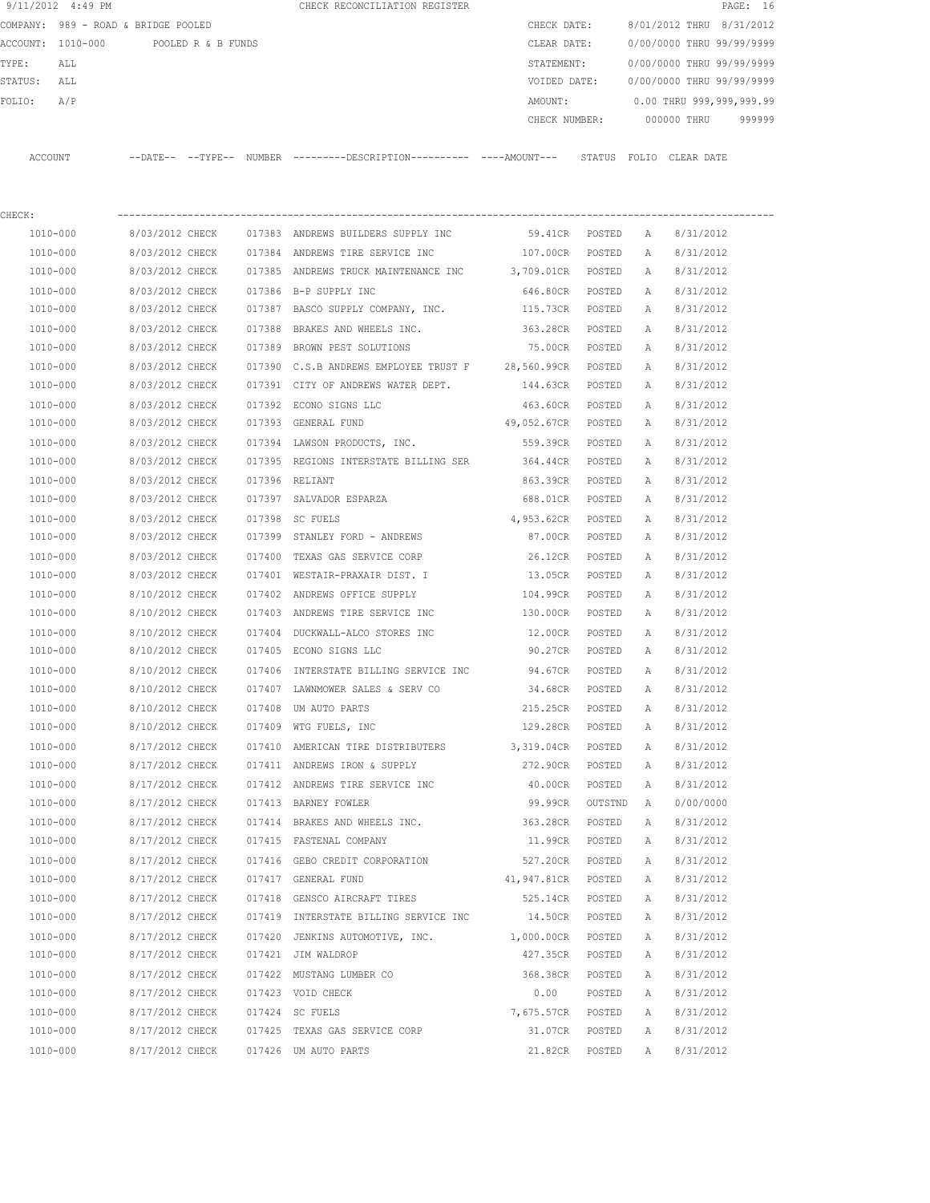|         | 9/11/2012 4:49 PM                   |                            |                    |               | CHECK RECONCILIATION REGISTER                |               |        |       |             | PAGE: 16                  |        |
|---------|-------------------------------------|----------------------------|--------------------|---------------|----------------------------------------------|---------------|--------|-------|-------------|---------------------------|--------|
|         | COMPANY: 989 - ROAD & BRIDGE POOLED |                            |                    |               |                                              | CHECK DATE:   |        |       |             | 8/01/2012 THRU 8/31/2012  |        |
|         | ACCOUNT: 1010-000                   |                            | POOLED R & B FUNDS |               |                                              | CLEAR DATE:   |        |       |             | 0/00/0000 THRU 99/99/9999 |        |
| TYPE:   | ALL                                 |                            |                    |               |                                              | STATEMENT:    |        |       |             | 0/00/0000 THRU 99/99/9999 |        |
| STATUS: | ALL                                 |                            |                    |               |                                              | VOIDED DATE:  |        |       |             | 0/00/0000 THRU 99/99/9999 |        |
| FOLIO:  | A/P                                 |                            |                    |               |                                              | AMOUNT:       |        |       |             | 0.00 THRU 999,999,999.99  |        |
|         |                                     |                            |                    |               |                                              | CHECK NUMBER: |        |       | 000000 THRU |                           | 999999 |
|         |                                     |                            |                    |               |                                              |               |        |       |             |                           |        |
| ACCOUNT |                                     | $--$ DATE $- --$ TYPE $--$ |                    | <b>NUMBER</b> | ---------DESCRIPTION---------- ----AMOUNT--- |               | STATUS | FOLIO | CLEAR DATE  |                           |        |
|         |                                     |                            |                    |               |                                              |               |        |       |             |                           |        |

| CHECK:       |                 |        |                                                          |                    |         |              |           |
|--------------|-----------------|--------|----------------------------------------------------------|--------------------|---------|--------------|-----------|
| 1010-000     | 8/03/2012 CHECK |        | 017383 ANDREWS BUILDERS SUPPLY INC                       | 59.41CR POSTED     |         | A            | 8/31/2012 |
| 1010-000     | 8/03/2012 CHECK |        | 017384 ANDREWS TIRE SERVICE INC 600 107.00CR             |                    | POSTED  | Α            | 8/31/2012 |
| 1010-000     | 8/03/2012 CHECK |        | 017385 ANDREWS TRUCK MAINTENANCE INC 3,709.01CR          |                    | POSTED  | A            | 8/31/2012 |
| 1010-000     | 8/03/2012 CHECK |        | 017386 B-P SUPPLY INC                                    | 646.80CR           | POSTED  | A            | 8/31/2012 |
| 1010-000     | 8/03/2012 CHECK |        | 017387 BASCO SUPPLY COMPANY, INC. 115.73CR               |                    | POSTED  | A            | 8/31/2012 |
| 1010-000     | 8/03/2012 CHECK |        | 017388 BRAKES AND WHEELS INC.                            | 363.28CR POSTED    |         | Α            | 8/31/2012 |
| 1010-000     | 8/03/2012 CHECK |        | 017389 BROWN PEST SOLUTIONS                              | 75.00CR POSTED     |         | A            | 8/31/2012 |
| 1010-000     | 8/03/2012 CHECK |        | 017390 C.S.B ANDREWS EMPLOYEE TRUST F 28,560.99CR POSTED |                    |         | A            | 8/31/2012 |
| 1010-000     | 8/03/2012 CHECK |        | 017391 CITY OF ANDREWS WATER DEPT.                       | 144.63CR POSTED    |         | Α            | 8/31/2012 |
| 1010-000     | 8/03/2012 CHECK |        | 017392 ECONO SIGNS LLC                                   | 463.60CR POSTED    |         | A            | 8/31/2012 |
| 1010-000     | 8/03/2012 CHECK |        | 017393 GENERAL FUND                                      | 49,052.67CR POSTED |         | A            | 8/31/2012 |
| 1010-000     | 8/03/2012 CHECK |        | 017394 LAWSON PRODUCTS, INC.                             | 559.39CR POSTED    |         | A            | 8/31/2012 |
| 1010-000     | 8/03/2012 CHECK |        | 017395 REGIONS INTERSTATE BILLING SER 364.44CR POSTED    |                    |         | A            | 8/31/2012 |
| 1010-000     | 8/03/2012 CHECK |        | 017396 RELIANT                                           | 863.39CR           | POSTED  | Α            | 8/31/2012 |
| 1010-000     | 8/03/2012 CHECK |        | 017397 SALVADOR ESPARZA                                  | 688.01CR POSTED    |         | Α            | 8/31/2012 |
| 1010-000     | 8/03/2012 CHECK |        | 017398 SC FUELS                                          | 4,953.62CR POSTED  |         | А            | 8/31/2012 |
| 1010-000     | 8/03/2012 CHECK |        | 017399 STANLEY FORD - ANDREWS                            | 87.00CR POSTED     |         | A            | 8/31/2012 |
| 1010-000     | 8/03/2012 CHECK |        | 017400 TEXAS GAS SERVICE CORP                            | 26.12CR POSTED     |         | A            | 8/31/2012 |
| 1010-000     | 8/03/2012 CHECK |        | 017401 WESTAIR-PRAXAIR DIST. I                           | 13.05CR POSTED     |         | A            | 8/31/2012 |
| 1010-000     | 8/10/2012 CHECK |        | 017402 ANDREWS OFFICE SUPPLY                             | 104.99CR POSTED    |         | Α            | 8/31/2012 |
| 1010-000     | 8/10/2012 CHECK |        | 017403 ANDREWS TIRE SERVICE INC                          | 130.00CR           | POSTED  | Α            | 8/31/2012 |
| 1010-000     | 8/10/2012 CHECK |        | 017404 DUCKWALL-ALCO STORES INC                          | 12.00CR POSTED     |         | A            | 8/31/2012 |
| 1010-000     | 8/10/2012 CHECK |        | 017405 ECONO SIGNS LLC                                   | 90.27CR POSTED     |         | А            | 8/31/2012 |
| 1010-000     | 8/10/2012 CHECK |        | 017406 INTERSTATE BILLING SERVICE INC 94.67CR            |                    | POSTED  | Α            | 8/31/2012 |
| 1010-000     | 8/10/2012 CHECK |        | 017407 LAWNMOWER SALES & SERV CO                         | 34.68CR            | POSTED  | Α            | 8/31/2012 |
| 1010-000     | 8/10/2012 CHECK |        | 017408 UM AUTO PARTS                                     | 215.25CR           | POSTED  | Α            | 8/31/2012 |
| 1010-000     | 8/10/2012 CHECK |        | 017409 WTG FUELS, INC                                    | 129.28CR           | POSTED  | Α            | 8/31/2012 |
| 1010-000     | 8/17/2012 CHECK |        | 017410 AMERICAN TIRE DISTRIBUTERS 3,319.04CR             |                    | POSTED  | А            | 8/31/2012 |
| 1010-000     | 8/17/2012 CHECK |        | 017411 ANDREWS IRON & SUPPLY                             | 272.90CR           | POSTED  | A            | 8/31/2012 |
| 1010-000     | 8/17/2012 CHECK |        | 017412 ANDREWS TIRE SERVICE INC                          | 40.00CR            | POSTED  | Α            | 8/31/2012 |
| 1010-000     | 8/17/2012 CHECK |        | 017413 BARNEY FOWLER                                     | 99.99CR            | OUTSTND | A            | 0/00/0000 |
| 1010-000     | 8/17/2012 CHECK |        | 017414 BRAKES AND WHEELS INC.                            | 363.28CR POSTED    |         | Α            | 8/31/2012 |
| 1010-000     | 8/17/2012 CHECK |        | 017415 FASTENAL COMPANY                                  | 11.99CR POSTED     |         | A            | 8/31/2012 |
| 1010-000     | 8/17/2012 CHECK |        | 017416 GEBO CREDIT CORPORATION                           | 527.20CR POSTED    |         | A            | 8/31/2012 |
| 1010-000     | 8/17/2012 CHECK |        | 017417 GENERAL FUND                                      | 41,947.81CR        | POSTED  | $\mathbb{A}$ | 8/31/2012 |
| 1010-000     | 8/17/2012 CHECK |        | 017418 GENSCO AIRCRAFT TIRES                             | 525.14CR           | POSTED  | Α            | 8/31/2012 |
| 1010-000     | 8/17/2012 CHECK |        | 017419 INTERSTATE BILLING SERVICE INC                    | 14.50CR            | POSTED  | Α            | 8/31/2012 |
| 1010-000     | 8/17/2012 CHECK | 017420 | JENKINS AUTOMOTIVE, INC.                                 | 1,000.00CR         | POSTED  | Α            | 8/31/2012 |
| $1010 - 000$ | 8/17/2012 CHECK |        | 017421 JIM WALDROP                                       | 427.35CR           | POSTED  | Α            | 8/31/2012 |
| 1010-000     | 8/17/2012 CHECK |        | 017422 MUSTANG LUMBER CO                                 | 368.38CR           | POSTED  | Α            | 8/31/2012 |
| 1010-000     | 8/17/2012 CHECK |        | 017423 VOID CHECK                                        | 0.00               | POSTED  | Α            | 8/31/2012 |
| 1010-000     | 8/17/2012 CHECK |        | 017424 SC FUELS                                          | 7,675.57CR         | POSTED  | Α            | 8/31/2012 |
| 1010-000     | 8/17/2012 CHECK |        | 017425 TEXAS GAS SERVICE CORP                            | 31.07CR            | POSTED  | Α            | 8/31/2012 |
| 1010-000     | 8/17/2012 CHECK |        | 017426 UM AUTO PARTS                                     | 21.82CR            | POSTED  | Α            | 8/31/2012 |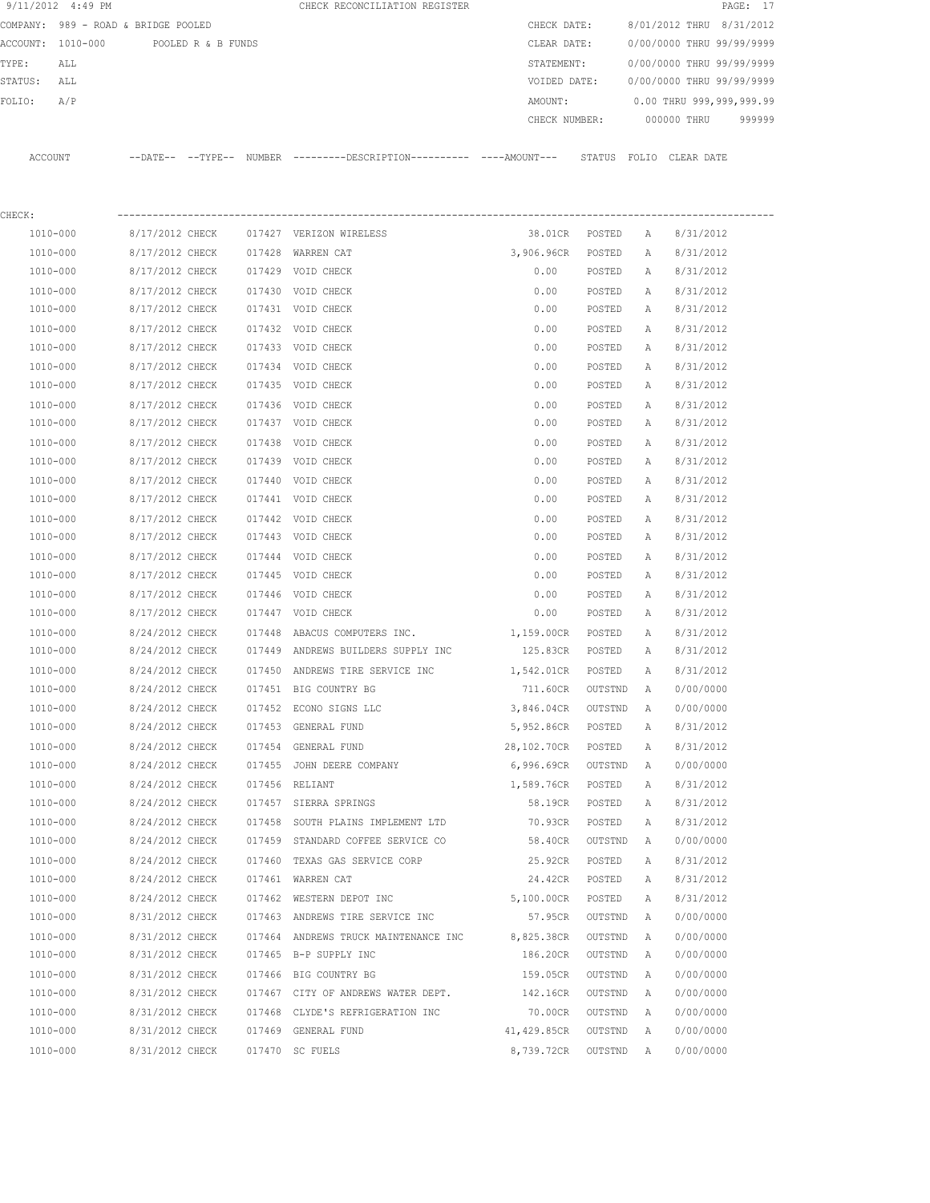|         | 9/11/2012 4:49 PM                   |                 |                    |        | CHECK RECONCILIATION REGISTER                                        |               |         |   |                           | PAGE: 17 |
|---------|-------------------------------------|-----------------|--------------------|--------|----------------------------------------------------------------------|---------------|---------|---|---------------------------|----------|
|         | COMPANY: 989 - ROAD & BRIDGE POOLED |                 |                    |        |                                                                      | CHECK DATE:   |         |   | 8/01/2012 THRU 8/31/2012  |          |
|         | ACCOUNT: 1010-000                   |                 | POOLED R & B FUNDS |        |                                                                      | CLEAR DATE:   |         |   | 0/00/0000 THRU 99/99/9999 |          |
| TYPE:   | ALL                                 |                 |                    |        |                                                                      | STATEMENT:    |         |   | 0/00/0000 THRU 99/99/9999 |          |
| STATUS: | ALL                                 |                 |                    |        |                                                                      | VOIDED DATE:  |         |   | 0/00/0000 THRU 99/99/9999 |          |
| FOLIO:  | A/P                                 |                 |                    |        |                                                                      | AMOUNT:       |         |   | 0.00 THRU 999,999,999.99  |          |
|         |                                     |                 |                    |        |                                                                      | CHECK NUMBER: |         |   | 000000 THRU               | 999999   |
|         | ACCOUNT                             |                 |                    |        | --DATE-- --TYPE-- NUMBER --------DESCRIPTION---------- ----AMOUNT--- |               |         |   | STATUS FOLIO CLEAR DATE   |          |
| CHECK:  |                                     |                 |                    |        |                                                                      |               |         |   |                           |          |
|         | 1010-000                            | 8/17/2012 CHECK |                    |        | 017427 VERIZON WIRELESS                                              | 38.01CR       | POSTED  | Α | 8/31/2012                 |          |
|         | 1010-000                            | 8/17/2012 CHECK |                    | 017428 | WARREN CAT                                                           | 3,906.96CR    | POSTED  | А | 8/31/2012                 |          |
|         | 1010-000                            | 8/17/2012 CHECK |                    |        | 017429 VOID CHECK                                                    | 0.00          | POSTED  | А | 8/31/2012                 |          |
|         | 1010-000                            | 8/17/2012 CHECK |                    | 017430 | VOID CHECK                                                           | 0.00          | POSTED  | Α | 8/31/2012                 |          |
|         | 1010-000                            | 8/17/2012 CHECK |                    |        | 017431 VOID CHECK                                                    | 0.00          | POSTED  | Α | 8/31/2012                 |          |
|         | 1010-000                            | 8/17/2012 CHECK |                    | 017432 | VOID CHECK                                                           | 0.00          | POSTED  | Α | 8/31/2012                 |          |
|         | 1010-000                            | 8/17/2012 CHECK |                    |        | 017433 VOID CHECK                                                    | 0.00          | POSTED  | Α | 8/31/2012                 |          |
|         | 1010-000                            | 8/17/2012 CHECK |                    | 017434 | VOID CHECK                                                           | 0.00          | POSTED  | Α | 8/31/2012                 |          |
|         | 1010-000                            | 8/17/2012 CHECK |                    |        | 017435 VOID CHECK                                                    | 0.00          | POSTED  | Α | 8/31/2012                 |          |
|         | 1010-000                            | 8/17/2012 CHECK |                    |        |                                                                      |               |         |   |                           |          |
|         | 1010-000                            | 8/17/2012 CHECK |                    |        | 017436 VOID CHECK                                                    | 0.00<br>0.00  | POSTED  | Α | 8/31/2012<br>8/31/2012    |          |
|         |                                     |                 |                    |        | 017437 VOID CHECK                                                    |               | POSTED  | Α |                           |          |
|         | 1010-000                            | 8/17/2012 CHECK |                    | 017438 | VOID CHECK                                                           | 0.00          | POSTED  | Α | 8/31/2012                 |          |
|         | 1010-000                            | 8/17/2012 CHECK |                    | 017439 | VOID CHECK                                                           | 0.00          | POSTED  | Α | 8/31/2012                 |          |
|         | 1010-000                            | 8/17/2012 CHECK |                    | 017440 | VOID CHECK                                                           | 0.00          | POSTED  | Α | 8/31/2012                 |          |
|         | 1010-000                            | 8/17/2012 CHECK |                    |        | 017441 VOID CHECK                                                    | 0.00          | POSTED  | Α | 8/31/2012                 |          |
|         | 1010-000                            | 8/17/2012 CHECK |                    |        | 017442 VOID CHECK                                                    | 0.00          | POSTED  | Α | 8/31/2012                 |          |
|         | 1010-000                            | 8/17/2012 CHECK |                    |        | 017443 VOID CHECK                                                    | 0.00          | POSTED  | Α | 8/31/2012                 |          |
|         | 1010-000                            | 8/17/2012 CHECK |                    | 017444 | VOID CHECK                                                           | 0.00          | POSTED  | Α | 8/31/2012                 |          |
|         | 1010-000                            | 8/17/2012 CHECK |                    |        | 017445 VOID CHECK                                                    | 0.00          | POSTED  | Α | 8/31/2012                 |          |
|         | 1010-000                            | 8/17/2012 CHECK |                    | 017446 | VOID CHECK                                                           | 0.00          | POSTED  | Α | 8/31/2012                 |          |
|         | $1010 - 000$                        | 8/17/2012 CHECK |                    |        | 017447 VOID CHECK                                                    | 0.00          | POSTED  | Α | 8/31/2012                 |          |
|         | 1010-000                            | 8/24/2012 CHECK |                    | 017448 | ABACUS COMPUTERS INC.                                                | 1,159.00CR    | POSTED  | Α | 8/31/2012                 |          |
|         | 1010-000                            | 8/24/2012 CHECK |                    | 017449 | ANDREWS BUILDERS SUPPLY INC                                          | 125.83CR      | POSTED  | Α | 8/31/2012                 |          |
|         | 1010-000                            | 8/24/2012 CHECK |                    |        | 017450 ANDREWS TIRE SERVICE INC                                      | 1,542.01CR    | POSTED  | Α | 8/31/2012                 |          |
|         | 1010-000                            | 8/24/2012 CHECK |                    |        | 017451 BIG COUNTRY BG                                                | 711.60CR      | OUTSTND | Α | 0/00/0000                 |          |
|         | 1010-000                            | 8/24/2012 CHECK |                    |        | 017452 ECONO SIGNS LLC                                               | 3,846.04CR    | OUTSTND | A | 0/00/0000                 |          |
|         | 1010-000                            | 8/24/2012 CHECK |                    |        | 017453 GENERAL FUND                                                  | 5,952.86CR    | POSTED  | Α | 8/31/2012                 |          |
|         | $1010 - 000$                        | 8/24/2012 CHECK |                    |        | 017454 GENERAL FUND                                                  | 28,102.70CR   | POSTED  | Α | 8/31/2012                 |          |
|         | 1010-000                            | 8/24/2012 CHECK |                    |        | 017455 JOHN DEERE COMPANY                                            | 6,996.69CR    | OUTSTND | Α | 0/00/0000                 |          |
|         | 1010-000                            | 8/24/2012 CHECK |                    |        | 017456 RELIANT                                                       | 1,589.76CR    | POSTED  | Α | 8/31/2012                 |          |
|         | 1010-000                            | 8/24/2012 CHECK |                    |        | 017457 SIERRA SPRINGS                                                | 58.19CR       | POSTED  | Α | 8/31/2012                 |          |
|         | 1010-000                            | 8/24/2012 CHECK |                    | 017458 | SOUTH PLAINS IMPLEMENT LTD                                           | 70.93CR       | POSTED  | Α | 8/31/2012                 |          |
|         | 1010-000                            | 8/24/2012 CHECK |                    | 017459 | STANDARD COFFEE SERVICE CO                                           | 58.40CR       | OUTSTND | Α | 0/00/0000                 |          |
|         | 1010-000                            | 8/24/2012 CHECK |                    |        | 017460 TEXAS GAS SERVICE CORP                                        | 25.92CR       | POSTED  | Α | 8/31/2012                 |          |
|         | 1010-000                            | 8/24/2012 CHECK |                    |        | 017461 WARREN CAT                                                    | 24.42CR       | POSTED  | Α | 8/31/2012                 |          |
|         | 1010-000                            | 8/24/2012 CHECK |                    |        | 017462 WESTERN DEPOT INC                                             | 5,100.00CR    | POSTED  | Α | 8/31/2012                 |          |
|         | 1010-000                            | 8/31/2012 CHECK |                    |        | 017463 ANDREWS TIRE SERVICE INC                                      | 57.95CR       | OUTSTND | Α | 0/00/0000                 |          |
|         | 1010-000                            | 8/31/2012 CHECK |                    |        | 017464 ANDREWS TRUCK MAINTENANCE INC                                 | 8,825.38CR    | OUTSTND | Α | 0/00/0000                 |          |
|         | 1010-000                            | 8/31/2012 CHECK |                    |        | 017465 B-P SUPPLY INC                                                | 186.20CR      | OUTSTND | Α | 0/00/0000                 |          |
|         | 1010-000                            | 8/31/2012 CHECK |                    |        | 017466 BIG COUNTRY BG                                                | 159.05CR      | OUTSTND | Α | 0/00/0000                 |          |
|         | 1010-000                            | 8/31/2012 CHECK |                    |        | 017467 CITY OF ANDREWS WATER DEPT.                                   | 142.16CR      | OUTSTND | Α | 0/00/0000                 |          |
|         | 1010-000                            | 8/31/2012 CHECK |                    | 017468 | CLYDE'S REFRIGERATION INC                                            | 70.00CR       | OUTSTND | Α | 0/00/0000                 |          |
|         | 1010-000                            | 8/31/2012 CHECK |                    |        | 017469 GENERAL FUND                                                  | 41,429.85CR   | OUTSTND | Α | 0/00/0000                 |          |
|         | 1010-000                            | 8/31/2012 CHECK |                    |        | 017470 SC FUELS                                                      | 8,739.72CR    | OUTSTND | Α | 0/00/0000                 |          |
|         |                                     |                 |                    |        |                                                                      |               |         |   |                           |          |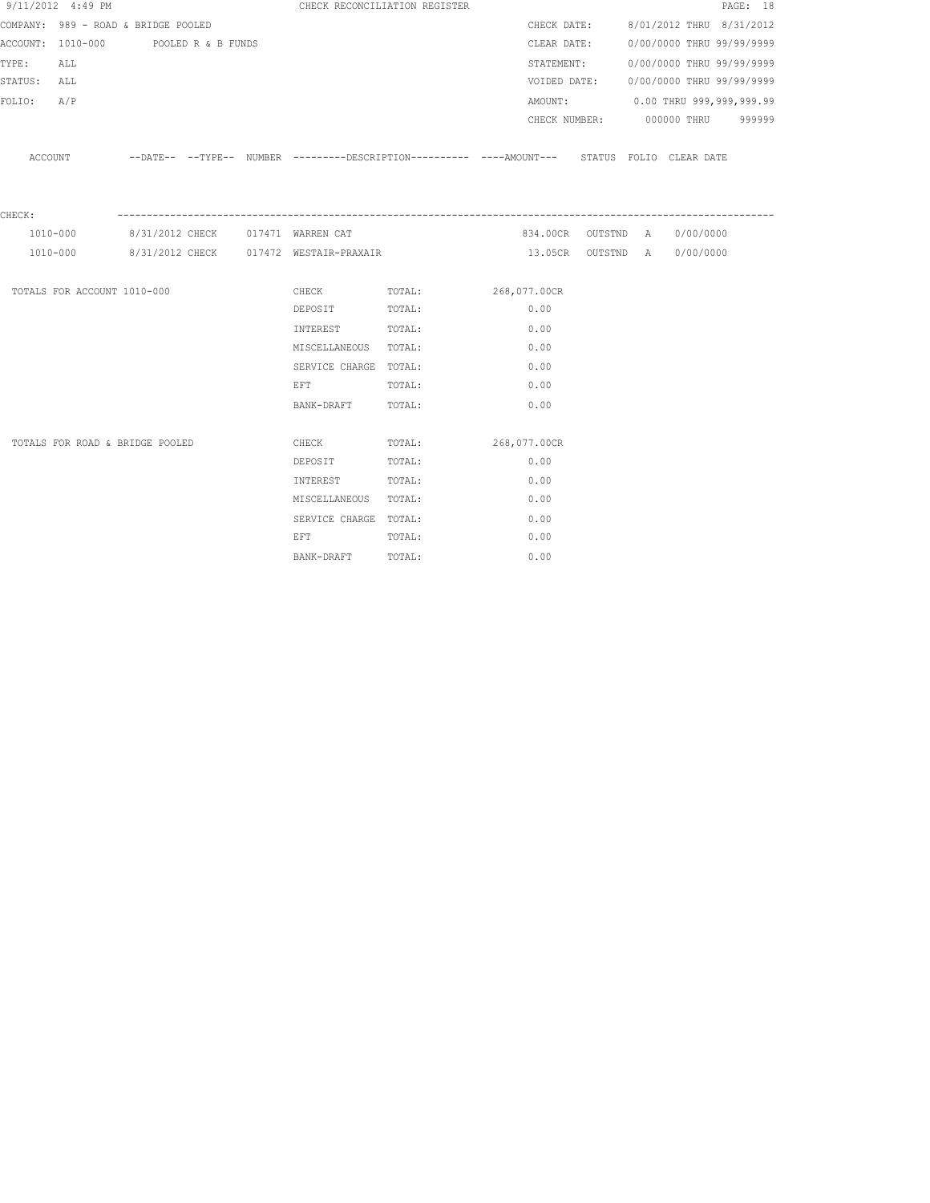|             | 9/11/2012 4:49 PM                   |                    |  |                                                                                                                | CHECK RECONCILIATION REGISTER |              |              |  |                                      | PAGE: 18 |
|-------------|-------------------------------------|--------------------|--|----------------------------------------------------------------------------------------------------------------|-------------------------------|--------------|--------------|--|--------------------------------------|----------|
|             | COMPANY: 989 - ROAD & BRIDGE POOLED |                    |  |                                                                                                                |                               |              |              |  | CHECK DATE: 8/01/2012 THRU 8/31/2012 |          |
|             | ACCOUNT: 1010-000                   | POOLED R & B FUNDS |  |                                                                                                                |                               |              | CLEAR DATE:  |  | 0/00/0000 THRU 99/99/9999            |          |
| TYPE:       | ALL                                 |                    |  |                                                                                                                |                               |              |              |  | STATEMENT: 0/00/0000 THRU 99/99/9999 |          |
| STATUS: ALL |                                     |                    |  |                                                                                                                |                               |              | VOIDED DATE: |  | 0/00/0000 THRU 99/99/9999            |          |
| FOLIO: A/P  |                                     |                    |  |                                                                                                                |                               |              |              |  | AMOUNT: 0.00 THRU 999,999,999.99     |          |
|             |                                     |                    |  |                                                                                                                |                               |              |              |  | CHECK NUMBER: 000000 THRU 999999     |          |
|             | ACCOUNT                             |                    |  | --DATE-- --TYPE-- NUMBER ---------DESCRIPTION---------- ---AMOUNT--- STATUS FOLIO CLEARDATE                    |                               |              |              |  |                                      |          |
|             |                                     |                    |  |                                                                                                                |                               |              |              |  |                                      |          |
|             |                                     |                    |  |                                                                                                                |                               |              |              |  |                                      |          |
| CHECK:      |                                     |                    |  |                                                                                                                |                               |              |              |  |                                      |          |
|             | 1010-000                            |                    |  | 8/31/2012 CHECK 017471 WARREN CAT                                                                              |                               |              |              |  | 834.00CR OUTSTND A 0/00/0000         |          |
|             | 1010-000                            |                    |  | 8/31/2012 CHECK 017472 WESTAIR-PRAXAIR                                                                         |                               |              |              |  | 13.05CR OUTSTND A 0/00/0000          |          |
|             |                                     |                    |  |                                                                                                                |                               |              |              |  |                                      |          |
|             | TOTALS FOR ACCOUNT 1010-000         |                    |  | CHECK TOTAL:                                                                                                   |                               | 268,077.00CR |              |  |                                      |          |
|             |                                     |                    |  | DEPOSIT TOTAL:                                                                                                 |                               |              | 0.00         |  |                                      |          |
|             |                                     |                    |  | INTEREST TOTAL:                                                                                                |                               |              | 0.00         |  |                                      |          |
|             |                                     |                    |  | MISCELLANEOUS TOTAL:                                                                                           |                               |              | 0.00         |  |                                      |          |
|             |                                     |                    |  | SERVICE CHARGE TOTAL:                                                                                          |                               |              | 0.00         |  |                                      |          |
|             |                                     |                    |  | EFT FOR THE STATE OF THE STATE OF THE STATE OF THE STATE OF THE STATE OF THE STATE OF THE STATE OF THE STATE O | TOTAL:                        |              | 0.00         |  |                                      |          |
|             |                                     |                    |  | BANK-DRAFT TOTAL:                                                                                              |                               |              | 0.00         |  |                                      |          |
|             |                                     |                    |  |                                                                                                                |                               |              |              |  |                                      |          |
|             | TOTALS FOR ROAD & BRIDGE POOLED     |                    |  | CHECK                                                                                                          | TOTAL:                        | 268,077.00CR |              |  |                                      |          |
|             |                                     |                    |  | DEPOSIT                                                                                                        | TOTAL:                        |              | 0.00         |  |                                      |          |
|             |                                     |                    |  | INTEREST TOTAL:                                                                                                |                               |              | 0.00         |  |                                      |          |
|             |                                     |                    |  | MISCELLANEOUS TOTAL:                                                                                           |                               |              | 0.00         |  |                                      |          |
|             |                                     |                    |  | SERVICE CHARGE TOTAL:                                                                                          |                               |              | 0.00         |  |                                      |          |
|             |                                     |                    |  | <b>EFT</b>                                                                                                     | TOTAL:                        |              | 0.00         |  |                                      |          |
|             |                                     |                    |  | BANK-DRAFT                                                                                                     | TOTAL:                        |              | 0.00         |  |                                      |          |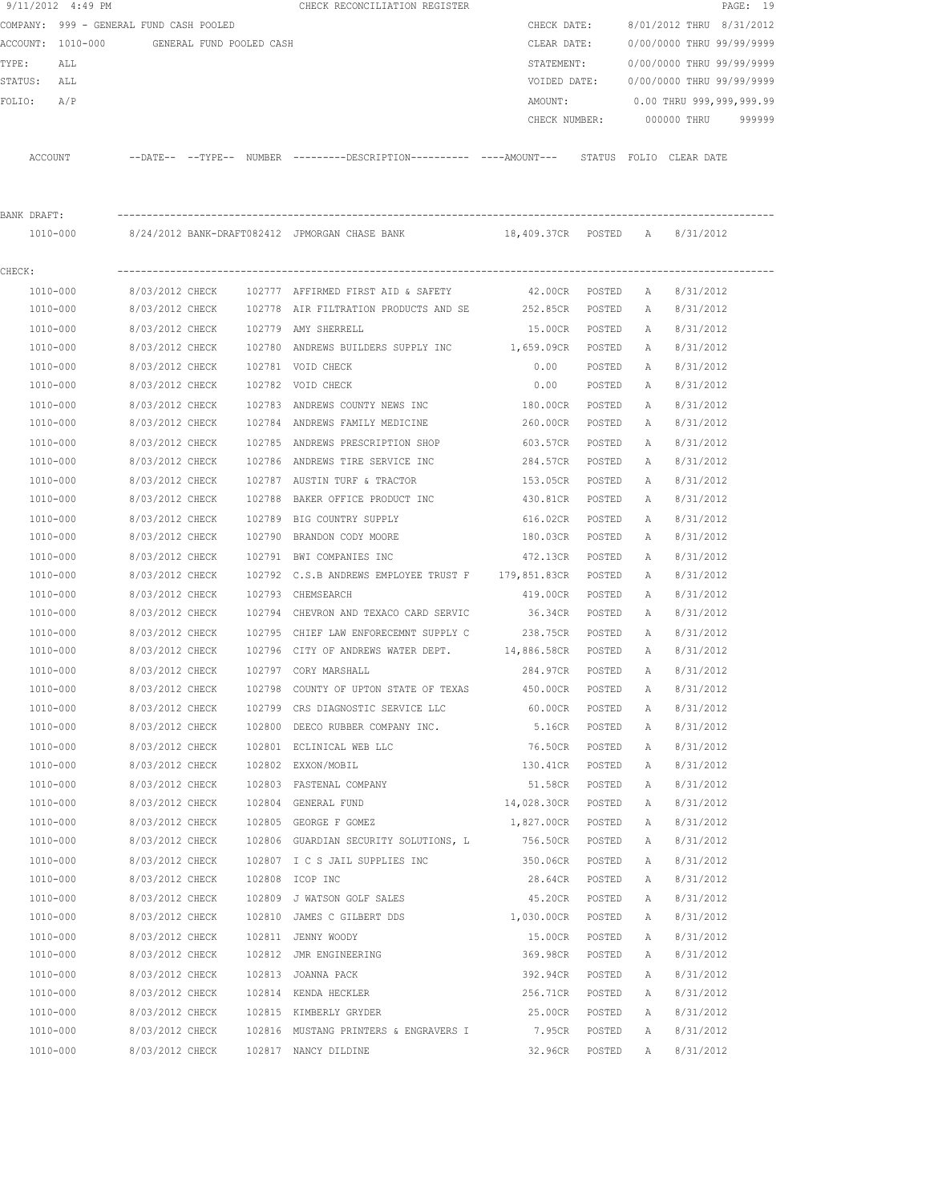|             | 9/11/2012 4:49 PM                       |                 |                          |        | CHECK RECONCILIATION REGISTER                                                                 |                   |        |   |                           | PAGE: 19 |
|-------------|-----------------------------------------|-----------------|--------------------------|--------|-----------------------------------------------------------------------------------------------|-------------------|--------|---|---------------------------|----------|
|             | COMPANY: 999 - GENERAL FUND CASH POOLED |                 |                          |        |                                                                                               | CHECK DATE:       |        |   | 8/01/2012 THRU 8/31/2012  |          |
|             | ACCOUNT: 1010-000                       |                 | GENERAL FUND POOLED CASH |        |                                                                                               | CLEAR DATE:       |        |   | 0/00/0000 THRU 99/99/9999 |          |
| TYPE:       | ALL                                     |                 |                          |        |                                                                                               | STATEMENT:        |        |   | 0/00/0000 THRU 99/99/9999 |          |
| STATUS: ALL |                                         |                 |                          |        |                                                                                               | VOIDED DATE:      |        |   | 0/00/0000 THRU 99/99/9999 |          |
| FOLIO:      | A/P                                     |                 |                          |        |                                                                                               | AMOUNT:           |        |   | 0.00 THRU 999,999,999.99  |          |
|             |                                         |                 |                          |        |                                                                                               | CHECK NUMBER:     |        |   | 000000 THRU               | 999999   |
|             | ACCOUNT                                 |                 |                          |        | --DATE-- --TYPE-- NUMBER ---------DESCRIPTION---------- ----AMOUNT--- STATUS FOLIO CLEAR DATE |                   |        |   |                           |          |
| BANK DRAFT: |                                         |                 |                          |        |                                                                                               |                   |        |   |                           |          |
|             | 1010-000                                |                 |                          |        | 8/24/2012 BANK-DRAFT082412 JPMORGAN CHASE BANK 18,409.37CR POSTED A 8/31/2012                 |                   |        |   |                           |          |
| CHECK:      |                                         |                 |                          |        |                                                                                               |                   |        |   |                           |          |
|             | 1010-000                                | 8/03/2012 CHECK |                          |        | 102777 AFFIRMED FIRST AID & SAFETY                                                            | 42.00CR POSTED    |        | A | 8/31/2012                 |          |
|             | 1010-000                                | 8/03/2012 CHECK |                          |        | 102778 AIR FILTRATION PRODUCTS AND SE                                                         | 252.85CR POSTED   |        | A | 8/31/2012                 |          |
|             | 1010-000                                | 8/03/2012 CHECK |                          |        | 102779 AMY SHERRELL                                                                           | 15.00CR           | POSTED | A | 8/31/2012                 |          |
|             | 1010-000                                | 8/03/2012 CHECK |                          |        | 102780 ANDREWS BUILDERS SUPPLY INC                                                            | 1,659.09CR POSTED |        | A | 8/31/2012                 |          |
|             | 1010-000                                | 8/03/2012 CHECK |                          |        | 102781 VOID CHECK                                                                             | 0.00              | POSTED | А | 8/31/2012                 |          |
|             | 1010-000                                | 8/03/2012 CHECK |                          |        | 102782 VOID CHECK                                                                             | 0.00              | POSTED | Α | 8/31/2012                 |          |
|             | 1010-000                                | 8/03/2012 CHECK |                          |        | 102783 ANDREWS COUNTY NEWS INC                                                                | 180.00CR          | POSTED | Α | 8/31/2012                 |          |
|             | 1010-000                                | 8/03/2012 CHECK |                          |        | 102784 ANDREWS FAMILY MEDICINE                                                                | 260.00CR          | POSTED | А | 8/31/2012                 |          |
|             | 1010-000                                | 8/03/2012 CHECK |                          |        | 102785 ANDREWS PRESCRIPTION SHOP                                                              | 603.57CR          | POSTED | A | 8/31/2012                 |          |
|             | 1010-000                                | 8/03/2012 CHECK |                          |        | 102786 ANDREWS TIRE SERVICE INC                                                               | 284.57CR          | POSTED | Α | 8/31/2012                 |          |
|             | 1010-000                                | 8/03/2012 CHECK |                          |        | 102787 AUSTIN TURF & TRACTOR                                                                  | 153.05CR          | POSTED | А | 8/31/2012                 |          |
|             | 1010-000                                | 8/03/2012 CHECK |                          |        | 102788 BAKER OFFICE PRODUCT INC                                                               | 430.81CR          | POSTED | А | 8/31/2012                 |          |
|             | 1010-000                                | 8/03/2012 CHECK |                          | 102789 | BIG COUNTRY SUPPLY                                                                            | 616.02CR          | POSTED | Α | 8/31/2012                 |          |
|             | 1010-000                                | 8/03/2012 CHECK |                          | 102790 | BRANDON CODY MOORE                                                                            | 180.03CR          | POSTED | А | 8/31/2012                 |          |
|             | 1010-000                                | 8/03/2012 CHECK |                          |        | 102791 BWI COMPANIES INC                                                                      | 472.13CR          | POSTED | Α | 8/31/2012                 |          |
|             | 1010-000                                | 8/03/2012 CHECK |                          |        | 102792 C.S.B ANDREWS EMPLOYEE TRUST F 179,851.83CR                                            |                   | POSTED | Α | 8/31/2012                 |          |
|             | 1010-000                                | 8/03/2012 CHECK |                          | 102793 | CHEMSEARCH                                                                                    | 419.00CR          | POSTED | А | 8/31/2012                 |          |
|             | 1010-000                                | 8/03/2012 CHECK |                          | 102794 | CHEVRON AND TEXACO CARD SERVIC                                                                | 36.34CR           | POSTED | Α | 8/31/2012                 |          |
|             | 1010-000                                | 8/03/2012 CHECK |                          | 102795 | CHIEF LAW ENFORECEMNT SUPPLY C                                                                | 238.75CR          | POSTED | Α | 8/31/2012                 |          |
|             | 1010-000                                | 8/03/2012 CHECK |                          |        | 102796 CITY OF ANDREWS WATER DEPT. 14,886.58CR                                                |                   | POSTED | Α | 8/31/2012                 |          |
|             | 1010-000                                | 8/03/2012 CHECK |                          |        | 102797 CORY MARSHALL                                                                          | 284.97CR          | POSTED | A | 8/31/2012                 |          |
|             | 1010-000                                | 8/03/2012 CHECK |                          | 102798 | COUNTY OF UPTON STATE OF TEXAS                                                                | 450.00CR          | POSTED | Α | 8/31/2012                 |          |
|             | $1010 - 000$                            | 8/03/2012 CHECK |                          |        | 102799 CRS DIAGNOSTIC SERVICE LLC                                                             | 60.00CR           | POSTED | Α | 8/31/2012                 |          |
|             | 1010-000                                | 8/03/2012 CHECK |                          |        | 102800 DEECO RUBBER COMPANY INC.                                                              | 5.16CR            | POSTED | Α | 8/31/2012                 |          |
|             | 1010-000                                | 8/03/2012 CHECK |                          |        | 102801 ECLINICAL WEB LLC                                                                      | 76.50CR           | POSTED | Α | 8/31/2012                 |          |
|             | 1010-000                                | 8/03/2012 CHECK |                          |        | 102802 EXXON/MOBIL                                                                            | 130.41CR          | POSTED | Α | 8/31/2012                 |          |
|             | 1010-000                                | 8/03/2012 CHECK |                          |        | 102803 FASTENAL COMPANY                                                                       | 51.58CR           | POSTED | Α | 8/31/2012                 |          |
|             | 1010-000                                | 8/03/2012 CHECK |                          |        | 102804 GENERAL FUND                                                                           | 14,028.30CR       | POSTED | Α | 8/31/2012                 |          |
|             | 1010-000                                | 8/03/2012 CHECK |                          |        | 102805 GEORGE F GOMEZ                                                                         | 1,827.00CR        | POSTED | Α | 8/31/2012                 |          |
|             | 1010-000                                | 8/03/2012 CHECK |                          |        | 102806 GUARDIAN SECURITY SOLUTIONS, L                                                         | 756.50CR          | POSTED | Α | 8/31/2012                 |          |
|             | 1010-000                                | 8/03/2012 CHECK |                          |        | 102807 I C S JAIL SUPPLIES INC                                                                | 350.06CR          | POSTED | Α | 8/31/2012                 |          |
|             | 1010-000                                | 8/03/2012 CHECK |                          |        | 102808 ICOP INC                                                                               | 28.64CR           | POSTED | Α | 8/31/2012                 |          |
|             | 1010-000                                | 8/03/2012 CHECK |                          |        | 102809 J WATSON GOLF SALES                                                                    | 45.20CR           | POSTED | Α | 8/31/2012                 |          |
|             | 1010-000                                | 8/03/2012 CHECK |                          |        | 102810 JAMES C GILBERT DDS                                                                    | 1,030.00CR        | POSTED | Α | 8/31/2012                 |          |
|             | 1010-000                                | 8/03/2012 CHECK |                          |        | 102811 JENNY WOODY                                                                            | 15.00CR           | POSTED | Α | 8/31/2012                 |          |
|             | 1010-000                                | 8/03/2012 CHECK |                          |        | 102812 JMR ENGINEERING                                                                        | 369.98CR          | POSTED | Α | 8/31/2012                 |          |
|             | 1010-000                                | 8/03/2012 CHECK |                          |        | 102813 JOANNA PACK                                                                            | 392.94CR          | POSTED | Α | 8/31/2012                 |          |
|             | 1010-000                                | 8/03/2012 CHECK |                          |        | 102814 KENDA HECKLER                                                                          | 256.71CR          | POSTED | Α | 8/31/2012                 |          |
|             | 1010-000                                | 8/03/2012 CHECK |                          |        | 102815 KIMBERLY GRYDER                                                                        | 25.00CR           | POSTED | Α | 8/31/2012                 |          |
|             | 1010-000                                | 8/03/2012 CHECK |                          |        | 102816 MUSTANG PRINTERS & ENGRAVERS I                                                         | 7.95CR            | POSTED | Α | 8/31/2012                 |          |
|             | 1010-000                                | 8/03/2012 CHECK |                          |        | 102817 NANCY DILDINE                                                                          | 32.96CR           | POSTED | Α | 8/31/2012                 |          |
|             |                                         |                 |                          |        |                                                                                               |                   |        |   |                           |          |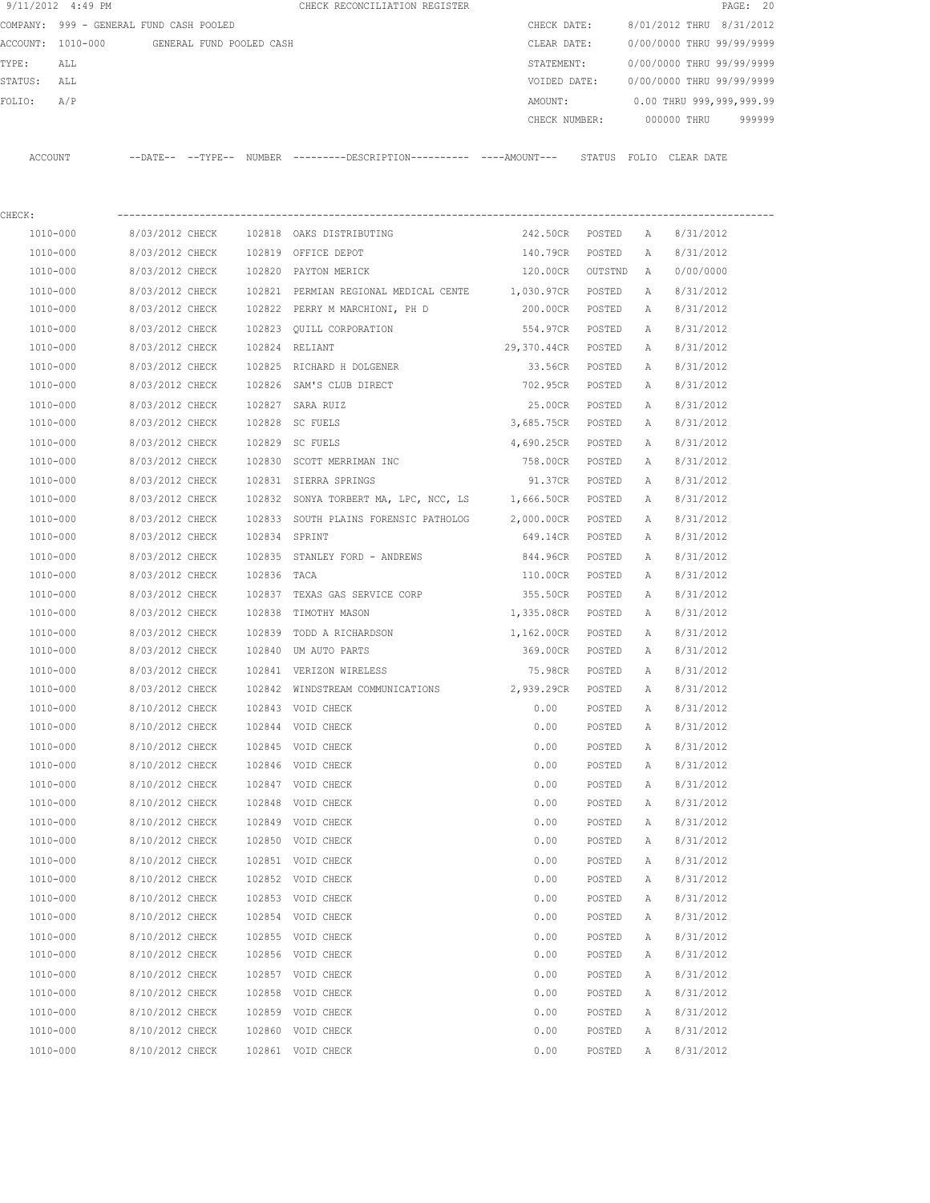| 9/11/2012 4:49 PM                       |                 |                          |             | CHECK RECONCILIATION REGISTER                                                              |                   |                          |   | PAGE: 20                   |        |
|-----------------------------------------|-----------------|--------------------------|-------------|--------------------------------------------------------------------------------------------|-------------------|--------------------------|---|----------------------------|--------|
| COMPANY: 999 - GENERAL FUND CASH POOLED |                 |                          | CHECK DATE: |                                                                                            |                   | 8/01/2012 THRU 8/31/2012 |   |                            |        |
| ACCOUNT: 1010-000                       |                 | GENERAL FUND POOLED CASH |             |                                                                                            | CLEAR DATE:       |                          |   | 0/00/0000 THRU 99/99/9999  |        |
| TYPE:<br>ALL                            |                 |                          |             |                                                                                            | STATEMENT:        |                          |   | 0/00/0000 THRU 99/99/9999  |        |
| STATUS: ALL                             |                 |                          |             |                                                                                            | VOIDED DATE:      |                          |   | 0/00/0000 THRU 99/99/9999  |        |
| A/P<br>FOLIO:                           |                 |                          |             |                                                                                            | AMOUNT:           |                          |   | 0.00 THRU 999,999,999.99   |        |
|                                         |                 |                          |             |                                                                                            | CHECK NUMBER:     |                          |   | 000000 THRU                | 999999 |
| ACCOUNT                                 |                 |                          |             | --DATE-- --TYPE-- NUMBER --------DESCRIPTION--------- ---AMOUNT--- STATUS FOLIO CLEAR DATE |                   |                          |   |                            |        |
|                                         |                 |                          |             |                                                                                            |                   |                          |   |                            |        |
| CHECK:                                  |                 |                          |             |                                                                                            |                   |                          |   |                            |        |
| 1010-000                                | 8/03/2012 CHECK |                          |             | 102818 OAKS DISTRIBUTING                                                                   | 242.50CR          | POSTED                   | Α | 8/31/2012                  |        |
| 1010-000                                | 8/03/2012 CHECK |                          |             | 102819 OFFICE DEPOT                                                                        | 140.79CR          | POSTED                   | Α | 8/31/2012                  |        |
| 1010-000                                | 8/03/2012 CHECK |                          |             | 102820 PAYTON MERICK                                                                       | 120.00CR          | OUTSTND                  | A | 0/00/0000                  |        |
| 1010-000                                | 8/03/2012 CHECK |                          |             | 102821 PERMIAN REGIONAL MEDICAL CENTE                                                      | 1,030.97CR        | POSTED                   | А | 8/31/2012                  |        |
| 1010-000                                | 8/03/2012 CHECK |                          |             | 102822 PERRY M MARCHIONI, PH D                                                             | 200.00CR          | POSTED                   | A | 8/31/2012                  |        |
| 1010-000                                | 8/03/2012 CHECK |                          |             | 102823 QUILL CORPORATION                                                                   | 554.97CR          | POSTED                   | Α | 8/31/2012                  |        |
| 1010-000                                | 8/03/2012 CHECK |                          |             | 102824 RELIANT                                                                             | 29,370.44CR       | POSTED                   | A | 8/31/2012                  |        |
| 1010-000                                | 8/03/2012 CHECK |                          |             | 102825 RICHARD H DOLGENER                                                                  | 33.56CR           | POSTED                   | A | 8/31/2012                  |        |
| 1010-000                                | 8/03/2012 CHECK |                          |             | 102826 SAM'S CLUB DIRECT                                                                   | 702.95CR          | POSTED                   | A | 8/31/2012                  |        |
| 1010-000                                | 8/03/2012 CHECK |                          |             | 102827 SARA RUIZ                                                                           | 25.00CR           | POSTED                   | A | 8/31/2012                  |        |
| 1010-000                                | 8/03/2012 CHECK |                          |             | 102828 SC FUELS                                                                            | 3,685.75CR        | POSTED                   | A | 8/31/2012                  |        |
|                                         |                 |                          |             |                                                                                            |                   |                          |   |                            |        |
| 1010-000                                | 8/03/2012 CHECK |                          |             | 102829 SC FUELS                                                                            | 4,690.25CR        | POSTED                   | Α | 8/31/2012                  |        |
| 1010-000                                | 8/03/2012 CHECK |                          |             | 102830 SCOTT MERRIMAN INC                                                                  | 758.00CR          | POSTED                   | Α | 8/31/2012                  |        |
| 1010-000                                | 8/03/2012 CHECK |                          |             | 102831 SIERRA SPRINGS                                                                      | 91.37CR           | POSTED                   | A | 8/31/2012                  |        |
| 1010-000                                | 8/03/2012 CHECK |                          |             | 102832 SONYA TORBERT MA, LPC, NCC, LS                                                      | 1,666.50CR        | POSTED                   | A | 8/31/2012                  |        |
| 1010-000                                | 8/03/2012 CHECK |                          |             | 102833 SOUTH PLAINS FORENSIC PATHOLOG                                                      | 2,000.00CR        | POSTED                   | A | 8/31/2012                  |        |
| 1010-000                                | 8/03/2012 CHECK |                          |             | 102834 SPRINT                                                                              | 649.14CR          | POSTED                   | A | 8/31/2012                  |        |
| 1010-000                                | 8/03/2012 CHECK |                          |             | 102835 STANLEY FORD - ANDREWS                                                              | 844.96CR          | POSTED                   | A | 8/31/2012                  |        |
| 1010-000                                | 8/03/2012 CHECK |                          | 102836 TACA |                                                                                            | 110.00CR          | POSTED                   | Α | 8/31/2012                  |        |
| 1010-000                                | 8/03/2012 CHECK |                          |             | 102837 TEXAS GAS SERVICE CORP                                                              | 355.50CR          | POSTED                   | Α | 8/31/2012                  |        |
| 1010-000                                | 8/03/2012 CHECK |                          |             | 102838 TIMOTHY MASON                                                                       | 1,335.08CR POSTED |                          | A | 8/31/2012                  |        |
| 1010-000                                | 8/03/2012 CHECK |                          |             | 102839 TODD A RICHARDSON                                                                   | 1,162.00CR POSTED |                          | A | 8/31/2012                  |        |
| 1010-000                                | 8/03/2012 CHECK |                          |             | 102840 UM AUTO PARTS                                                                       | 369.00CR POSTED   |                          | Α | 8/31/2012                  |        |
| 1010-000                                |                 |                          |             | 8/03/2012 CHECK 102841 VERIZON WIRELESS                                                    |                   |                          |   | 75.98CR POSTED A 8/31/2012 |        |
| 1010-000                                | 8/03/2012 CHECK |                          |             | 102842 WINDSTREAM COMMUNICATIONS                                                           | 2,939.29CR POSTED |                          | Α | 8/31/2012                  |        |
| 1010-000                                | 8/10/2012 CHECK |                          |             | 102843 VOID CHECK                                                                          | 0.00              | POSTED                   | Α | 8/31/2012                  |        |
| 1010-000                                | 8/10/2012 CHECK |                          |             | 102844 VOID CHECK                                                                          | 0.00              | POSTED                   | Α | 8/31/2012                  |        |
| 1010-000                                | 8/10/2012 CHECK |                          |             | 102845 VOID CHECK                                                                          | 0.00              | POSTED                   | Α | 8/31/2012                  |        |
| 1010-000                                | 8/10/2012 CHECK |                          |             | 102846 VOID CHECK                                                                          | 0.00              | POSTED                   | Α | 8/31/2012                  |        |
| 1010-000                                | 8/10/2012 CHECK |                          |             | 102847 VOID CHECK                                                                          | 0.00              | POSTED                   | Α | 8/31/2012                  |        |
| 1010-000                                | 8/10/2012 CHECK |                          |             | 102848 VOID CHECK                                                                          | 0.00              | POSTED                   | Α | 8/31/2012                  |        |
| $1010 - 000$                            | 8/10/2012 CHECK |                          |             | 102849 VOID CHECK                                                                          | 0.00              | POSTED                   | Α | 8/31/2012                  |        |
| 1010-000                                | 8/10/2012 CHECK |                          |             | 102850 VOID CHECK                                                                          | 0.00              | POSTED                   | Α | 8/31/2012                  |        |
| 1010-000                                | 8/10/2012 CHECK |                          |             | 102851 VOID CHECK                                                                          | 0.00              | POSTED                   | Α | 8/31/2012                  |        |
| 1010-000                                | 8/10/2012 CHECK |                          |             | 102852 VOID CHECK                                                                          | 0.00              | POSTED                   | Α | 8/31/2012                  |        |
| 1010-000                                | 8/10/2012 CHECK |                          |             | 102853 VOID CHECK                                                                          | 0.00              | POSTED                   | Α | 8/31/2012                  |        |
| 1010-000                                | 8/10/2012 CHECK |                          |             | 102854 VOID CHECK                                                                          | 0.00              | POSTED                   | Α | 8/31/2012                  |        |
| 1010-000                                | 8/10/2012 CHECK |                          |             | 102855 VOID CHECK                                                                          | 0.00              | POSTED                   | Α | 8/31/2012                  |        |
| 1010-000                                | 8/10/2012 CHECK |                          |             | 102856 VOID CHECK                                                                          | 0.00              | POSTED                   | Α | 8/31/2012                  |        |
| 1010-000                                | 8/10/2012 CHECK |                          |             | 102857 VOID CHECK                                                                          | 0.00              | POSTED                   | Α | 8/31/2012                  |        |
| 1010-000                                | 8/10/2012 CHECK |                          |             | 102858 VOID CHECK                                                                          | 0.00              | POSTED                   | A | 8/31/2012                  |        |

 1010-000 8/10/2012 CHECK 102859 VOID CHECK 0.00 POSTED A 8/31/2012 1010-000 8/10/2012 CHECK 102860 VOID CHECK 0.00 POSTED A 8/31/2012 1010-000 8/10/2012 CHECK 102861 VOID CHECK 0.00 POSTED A 8/31/2012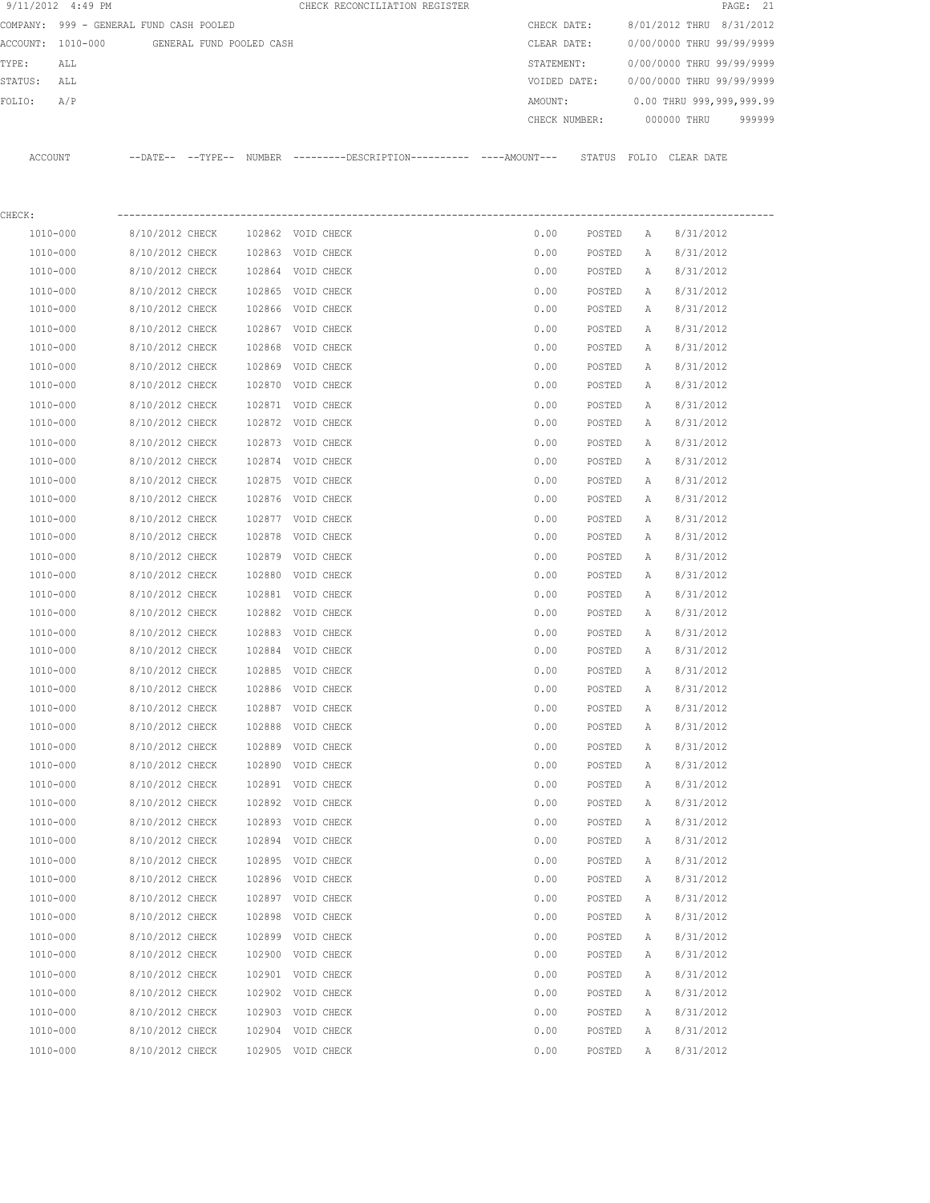|         | 9/11/2012 4:49 PM                       |                                    |                          |        | CHECK RECONCILIATION REGISTER                                                              |               |                  |              |                           | PAGE: 21 |
|---------|-----------------------------------------|------------------------------------|--------------------------|--------|--------------------------------------------------------------------------------------------|---------------|------------------|--------------|---------------------------|----------|
|         | COMPANY: 999 - GENERAL FUND CASH POOLED |                                    |                          |        |                                                                                            | CHECK DATE:   |                  |              | 8/01/2012 THRU 8/31/2012  |          |
|         | ACCOUNT: 1010-000                       |                                    | GENERAL FUND POOLED CASH |        |                                                                                            | CLEAR DATE:   |                  |              | 0/00/0000 THRU 99/99/9999 |          |
| TYPE:   | ALL                                     |                                    |                          |        |                                                                                            | STATEMENT:    |                  |              | 0/00/0000 THRU 99/99/9999 |          |
| STATUS: | ALL                                     |                                    |                          |        |                                                                                            | VOIDED DATE:  |                  |              | 0/00/0000 THRU 99/99/9999 |          |
| FOLIO:  | A/P                                     |                                    |                          |        |                                                                                            | AMOUNT:       |                  |              | 0.00 THRU 999,999,999.99  |          |
|         |                                         |                                    |                          |        |                                                                                            | CHECK NUMBER: |                  |              | 000000 THRU               | 999999   |
|         | ACCOUNT                                 |                                    |                          |        | --DATE-- --TYPE-- NUMBER --------DESCRIPTION--------- ---AMOUNT--- STATUS FOLIO CLEAR DATE |               |                  |              |                           |          |
|         |                                         |                                    |                          |        |                                                                                            |               |                  |              |                           |          |
| CHECK:  |                                         |                                    |                          |        |                                                                                            |               |                  |              |                           |          |
|         | 1010-000                                | 8/10/2012 CHECK                    |                          |        | 102862 VOID CHECK                                                                          | 0.00          | POSTED           | Α            | 8/31/2012                 |          |
|         | 1010-000                                | 8/10/2012 CHECK                    |                          |        | 102863 VOID CHECK                                                                          | 0.00          | POSTED           | Α            | 8/31/2012                 |          |
|         | 1010-000                                | 8/10/2012 CHECK                    |                          |        | 102864 VOID CHECK                                                                          | 0.00          | POSTED           | Α            | 8/31/2012                 |          |
|         | 1010-000                                | 8/10/2012 CHECK                    |                          |        | 102865 VOID CHECK                                                                          | 0.00          | POSTED           | Α            | 8/31/2012                 |          |
|         | 1010-000                                | 8/10/2012 CHECK                    |                          |        | 102866 VOID CHECK                                                                          | 0.00          | POSTED           | Α            | 8/31/2012                 |          |
|         | 1010-000                                | 8/10/2012 CHECK                    |                          |        | 102867 VOID CHECK                                                                          | 0.00          | POSTED           | Α            | 8/31/2012                 |          |
|         | 1010-000                                | 8/10/2012 CHECK                    |                          | 102868 | VOID CHECK                                                                                 | 0.00          | POSTED           | Α            | 8/31/2012                 |          |
|         | 1010-000                                | 8/10/2012 CHECK                    |                          | 102869 | VOID CHECK                                                                                 | 0.00          | POSTED           | Α            | 8/31/2012                 |          |
|         | 1010-000                                | 8/10/2012 CHECK                    |                          |        | 102870 VOID CHECK                                                                          | 0.00          | POSTED           | Α            | 8/31/2012                 |          |
|         | 1010-000                                | 8/10/2012 CHECK                    |                          |        | 102871 VOID CHECK                                                                          | 0.00          | POSTED           | Α            | 8/31/2012                 |          |
|         | 1010-000                                | 8/10/2012 CHECK                    |                          |        | 102872 VOID CHECK                                                                          | 0.00          | POSTED           | Α            | 8/31/2012                 |          |
|         | 1010-000                                | 8/10/2012 CHECK                    |                          |        | 102873 VOID CHECK                                                                          | 0.00          | POSTED           | Α            | 8/31/2012                 |          |
|         | 1010-000                                | 8/10/2012 CHECK                    |                          |        | 102874 VOID CHECK                                                                          | 0.00          | POSTED           | Α            | 8/31/2012                 |          |
|         | 1010-000                                | 8/10/2012 CHECK                    |                          |        | 102875 VOID CHECK                                                                          | 0.00          | POSTED           | Α            | 8/31/2012                 |          |
|         | 1010-000                                | 8/10/2012 CHECK                    |                          |        | 102876 VOID CHECK                                                                          | 0.00          | POSTED           | Α            | 8/31/2012                 |          |
|         | 1010-000                                | 8/10/2012 CHECK                    |                          |        | 102877 VOID CHECK                                                                          | 0.00          | POSTED           | Α            | 8/31/2012                 |          |
|         | 1010-000                                | 8/10/2012 CHECK                    |                          | 102878 | VOID CHECK                                                                                 | 0.00          | POSTED           | Α            | 8/31/2012                 |          |
|         | 1010-000                                | 8/10/2012 CHECK                    |                          | 102879 | VOID CHECK                                                                                 | 0.00          | POSTED           | Α            | 8/31/2012                 |          |
|         | 1010-000                                | 8/10/2012 CHECK                    |                          | 102880 | VOID CHECK                                                                                 | 0.00          | POSTED           | Α            | 8/31/2012                 |          |
|         | 1010-000<br>1010-000                    | 8/10/2012 CHECK<br>8/10/2012 CHECK |                          |        | 102881 VOID CHECK<br>102882 VOID CHECK                                                     | 0.00<br>0.00  | POSTED<br>POSTED | Α<br>Α       | 8/31/2012<br>8/31/2012    |          |
|         |                                         | 8/10/2012 CHECK                    |                          |        |                                                                                            |               | POSTED           |              |                           |          |
|         | 1010-000<br>1010-000                    | 8/10/2012 CHECK                    |                          |        | 102883 VOID CHECK<br>102884 VOID CHECK                                                     | 0.00<br>0.00  | POSTED           | А<br>А       | 8/31/2012<br>8/31/2012    |          |
|         | 1010-000                                | 8/10/2012 CHECK                    |                          |        | 102885 VOID CHECK                                                                          | 0.00          | POSTED           | $\mathbb{A}$ | 8/31/2012                 |          |
|         | 1010-000                                | 8/10/2012 CHECK                    |                          | 102886 | VOID CHECK                                                                                 | 0.00          | POSTED           |              | 8/31/2012                 |          |
|         | 1010-000                                | 8/10/2012 CHECK                    |                          |        | 102887 VOID CHECK                                                                          | 0.00          | POSTED           | Α<br>Α       | 8/31/2012                 |          |
|         | 1010-000                                | 8/10/2012 CHECK                    |                          | 102888 | VOID CHECK                                                                                 | 0.00          | POSTED           | Α            | 8/31/2012                 |          |
|         | 1010-000                                | 8/10/2012 CHECK                    |                          | 102889 | VOID CHECK                                                                                 | 0.00          | POSTED           | Α            | 8/31/2012                 |          |
|         | 1010-000                                | 8/10/2012 CHECK                    |                          | 102890 | VOID CHECK                                                                                 | 0.00          | POSTED           | Α            | 8/31/2012                 |          |
|         | 1010-000                                | 8/10/2012 CHECK                    |                          |        | 102891 VOID CHECK                                                                          | 0.00          | POSTED           | Α            | 8/31/2012                 |          |
|         | 1010-000                                | 8/10/2012 CHECK                    |                          | 102892 | VOID CHECK                                                                                 | 0.00          | POSTED           | Α            | 8/31/2012                 |          |
|         | 1010-000                                | 8/10/2012 CHECK                    |                          |        | 102893 VOID CHECK                                                                          | 0.00          | POSTED           | Α            | 8/31/2012                 |          |
|         | 1010-000                                | 8/10/2012 CHECK                    |                          | 102894 | VOID CHECK                                                                                 | 0.00          | POSTED           | А            | 8/31/2012                 |          |
|         | 1010-000                                | 8/10/2012 CHECK                    |                          |        | 102895 VOID CHECK                                                                          | 0.00          | POSTED           | Α            | 8/31/2012                 |          |
|         | 1010-000                                | 8/10/2012 CHECK                    |                          |        | 102896 VOID CHECK                                                                          | 0.00          | POSTED           | Α            | 8/31/2012                 |          |
|         | 1010-000                                | 8/10/2012 CHECK                    |                          |        | 102897 VOID CHECK                                                                          | 0.00          | POSTED           | Α            | 8/31/2012                 |          |
|         | 1010-000                                | 8/10/2012 CHECK                    |                          | 102898 | VOID CHECK                                                                                 | 0.00          | POSTED           | Α            | 8/31/2012                 |          |
|         | 1010-000                                | 8/10/2012 CHECK                    |                          | 102899 | VOID CHECK                                                                                 | 0.00          | POSTED           | Α            | 8/31/2012                 |          |
|         | 1010-000                                | 8/10/2012 CHECK                    |                          | 102900 | VOID CHECK                                                                                 | 0.00          | POSTED           | Α            | 8/31/2012                 |          |
|         | 1010-000                                | 8/10/2012 CHECK                    |                          | 102901 | VOID CHECK                                                                                 | 0.00          | POSTED           | Α            | 8/31/2012                 |          |
|         | 1010-000                                | 8/10/2012 CHECK                    |                          | 102902 | VOID CHECK                                                                                 | 0.00          | POSTED           | Α            | 8/31/2012                 |          |
|         | 1010-000                                | 8/10/2012 CHECK                    |                          |        | 102903 VOID CHECK                                                                          | 0.00          | POSTED           | Α            | 8/31/2012                 |          |
|         | 1010-000                                | 8/10/2012 CHECK                    |                          |        | 102904 VOID CHECK                                                                          | 0.00          | POSTED           | Α            | 8/31/2012                 |          |
|         | 1010-000                                | 8/10/2012 CHECK                    |                          |        | 102905 VOID CHECK                                                                          | 0.00          | POSTED           | Α            | 8/31/2012                 |          |
|         |                                         |                                    |                          |        |                                                                                            |               |                  |              |                           |          |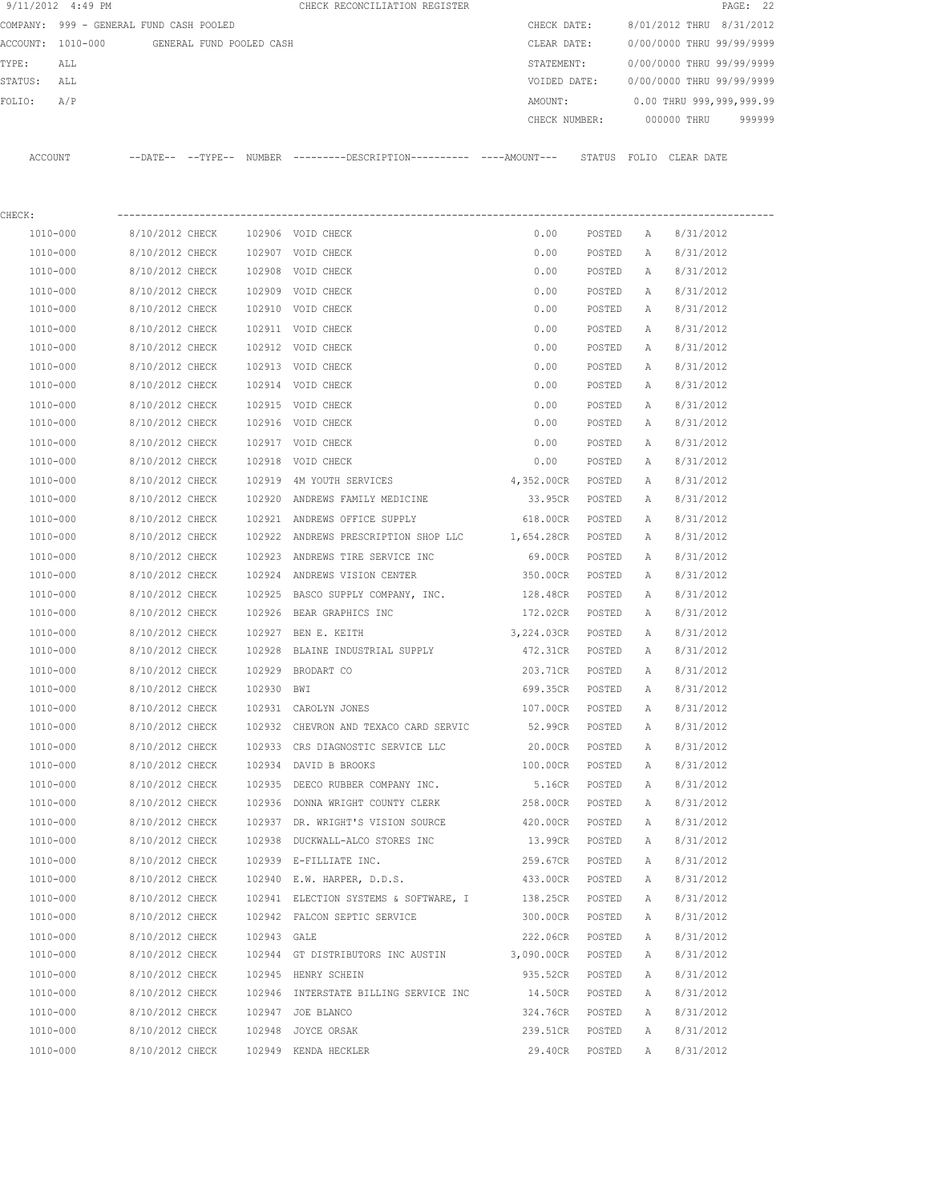| 9/11/2012 4:49 PM        |                                         |             | CHECK RECONCILIATION REGISTER                                                               |               |        |              | PAGE: 22                  |
|--------------------------|-----------------------------------------|-------------|---------------------------------------------------------------------------------------------|---------------|--------|--------------|---------------------------|
|                          | COMPANY: 999 - GENERAL FUND CASH POOLED |             |                                                                                             | CHECK DATE:   |        |              | 8/01/2012 THRU 8/31/2012  |
| ACCOUNT: 1010-000        | GENERAL FUND POOLED CASH                |             |                                                                                             | CLEAR DATE:   |        |              | 0/00/0000 THRU 99/99/9999 |
| TYPE:<br>ALL             |                                         |             |                                                                                             | STATEMENT:    |        |              | 0/00/0000 THRU 99/99/9999 |
| STATUS:<br>ALL           |                                         |             |                                                                                             | VOIDED DATE:  |        |              | 0/00/0000 THRU 99/99/9999 |
| A/P<br>FOLIO:            |                                         |             |                                                                                             | AMOUNT:       |        |              | 0.00 THRU 999,999,999.99  |
|                          |                                         |             |                                                                                             | CHECK NUMBER: |        |              | 000000 THRU<br>999999     |
| ACCOUNT                  |                                         |             | --DATE-- --TYPE-- NUMBER --------DESCRIPTION---------- ----AMOUNT--- STATUS FOLIO CLEARDATE |               |        |              |                           |
|                          |                                         |             |                                                                                             |               |        |              |                           |
| CHECK:<br>1010-000       | 8/10/2012 CHECK                         |             | 102906 VOID CHECK                                                                           | 0.00          |        |              | 8/31/2012                 |
|                          |                                         |             |                                                                                             |               | POSTED | Α            |                           |
| 1010-000<br>$1010 - 000$ | 8/10/2012 CHECK<br>8/10/2012 CHECK      |             | 102907 VOID CHECK                                                                           | 0.00          | POSTED | Α            | 8/31/2012                 |
|                          |                                         |             | 102908 VOID CHECK                                                                           | 0.00          | POSTED | A            | 8/31/2012                 |
| 1010-000                 | 8/10/2012 CHECK                         |             | 102909 VOID CHECK                                                                           | 0.00          | POSTED | A            | 8/31/2012                 |
| 1010-000                 | 8/10/2012 CHECK                         |             | 102910 VOID CHECK                                                                           | 0.00          | POSTED | A            | 8/31/2012                 |
| 1010-000                 | 8/10/2012 CHECK                         |             | 102911 VOID CHECK                                                                           | 0.00          | POSTED | $\mathbb{A}$ | 8/31/2012                 |
| 1010-000                 | 8/10/2012 CHECK                         |             | 102912 VOID CHECK                                                                           | 0.00          | POSTED | А            | 8/31/2012                 |
| 1010-000                 | 8/10/2012 CHECK                         |             | 102913 VOID CHECK                                                                           | 0.00          | POSTED | Α            | 8/31/2012                 |
| 1010-000                 | 8/10/2012 CHECK                         |             | 102914 VOID CHECK                                                                           | 0.00          | POSTED | Α            | 8/31/2012                 |
| 1010-000                 | 8/10/2012 CHECK                         |             | 102915 VOID CHECK                                                                           | 0.00          | POSTED | Α            | 8/31/2012                 |
| 1010-000                 | 8/10/2012 CHECK                         |             | 102916 VOID CHECK                                                                           | 0.00          | POSTED | Α            | 8/31/2012                 |
| 1010-000                 | 8/10/2012 CHECK                         |             | 102917 VOID CHECK                                                                           | 0.00          | POSTED | Α            | 8/31/2012                 |
| 1010-000                 | 8/10/2012 CHECK                         | 102918      | VOID CHECK                                                                                  | 0.00          | POSTED | Α            | 8/31/2012                 |
| 1010-000                 | 8/10/2012 CHECK                         | 102919      | 4M YOUTH SERVICES                                                                           | 4,352.00CR    | POSTED | Α            | 8/31/2012                 |
| 1010-000                 | 8/10/2012 CHECK                         | 102920      | ANDREWS FAMILY MEDICINE                                                                     | 33.95CR       | POSTED | Α            | 8/31/2012                 |
| 1010-000                 | 8/10/2012 CHECK                         | 102921      | ANDREWS OFFICE SUPPLY                                                                       | 618.00CR      | POSTED | Α            | 8/31/2012                 |
| 1010-000                 | 8/10/2012 CHECK                         | 102922      | ANDREWS PRESCRIPTION SHOP LLC                                                               | 1,654.28CR    | POSTED | Α            | 8/31/2012                 |
| 1010-000                 | 8/10/2012 CHECK                         | 102923      | ANDREWS TIRE SERVICE INC                                                                    | 69.00CR       | POSTED | Α            | 8/31/2012                 |
| 1010-000                 | 8/10/2012 CHECK                         | 102924      | ANDREWS VISION CENTER                                                                       | 350.00CR      | POSTED | Α            | 8/31/2012                 |
| 1010-000                 | 8/10/2012 CHECK                         | 102925      | BASCO SUPPLY COMPANY, INC.                                                                  | 128.48CR      | POSTED | Α            | 8/31/2012                 |
| 1010-000                 | 8/10/2012 CHECK                         | 102926      | BEAR GRAPHICS INC                                                                           | 172.02CR      | POSTED | Α            | 8/31/2012                 |
| 1010-000                 | 8/10/2012 CHECK                         | 102927      | BEN E. KEITH                                                                                | 3,224.03CR    | POSTED | Α            | 8/31/2012                 |
| 1010-000                 | 8/10/2012 CHECK                         | 102928      | BLAINE INDUSTRIAL SUPPLY                                                                    | 472.31CR      | POSTED | Α            | 8/31/2012                 |
| 1010-000                 | 8/10/2012 CHECK                         |             | 102929 BRODART CO                                                                           | 203.71CR      | POSTED | Α            | 8/31/2012                 |
| 1010-000                 | 8/10/2012 CHECK                         | 102930 BWI  |                                                                                             | 699.35CR      | POSTED | Α            | 8/31/2012                 |
| 1010-000                 | 8/10/2012 CHECK                         |             | 102931 CAROLYN JONES                                                                        | 107.00CR      | POSTED | Α            | 8/31/2012                 |
| 1010-000                 | 8/10/2012 CHECK                         |             | 102932 CHEVRON AND TEXACO CARD SERVIC                                                       | 52.99CR       | POSTED | Α            | 8/31/2012                 |
| 1010-000                 | 8/10/2012 CHECK                         |             | 102933 CRS DIAGNOSTIC SERVICE LLC                                                           | 20.00CR       | POSTED | Α            | 8/31/2012                 |
| 1010-000                 | 8/10/2012 CHECK                         |             | 102934 DAVID B BROOKS                                                                       | 100.00CR      | POSTED | Α            | 8/31/2012                 |
| 1010-000                 | 8/10/2012 CHECK                         |             | 102935 DEECO RUBBER COMPANY INC.                                                            | 5.16CR        | POSTED | Α            | 8/31/2012                 |
| 1010-000                 | 8/10/2012 CHECK                         |             | 102936 DONNA WRIGHT COUNTY CLERK                                                            | 258.00CR      | POSTED | Α            | 8/31/2012                 |
| 1010-000                 | 8/10/2012 CHECK                         |             | 102937 DR. WRIGHT'S VISION SOURCE                                                           | 420.00CR      | POSTED | Α            | 8/31/2012                 |
| 1010-000                 | 8/10/2012 CHECK                         |             | 102938 DUCKWALL-ALCO STORES INC                                                             | 13.99CR       | POSTED | Α            | 8/31/2012                 |
| 1010-000                 | 8/10/2012 CHECK                         |             | 102939 E-FILLIATE INC.                                                                      | 259.67CR      | POSTED | Α            | 8/31/2012                 |
| 1010-000                 | 8/10/2012 CHECK                         |             | 102940 E.W. HARPER, D.D.S.                                                                  | 433.00CR      | POSTED | Α            | 8/31/2012                 |
| 1010-000                 | 8/10/2012 CHECK                         |             | 102941 ELECTION SYSTEMS & SOFTWARE, I                                                       | 138.25CR      | POSTED | Α            | 8/31/2012                 |
| 1010-000                 | 8/10/2012 CHECK                         |             | 102942 FALCON SEPTIC SERVICE                                                                | 300.00CR      | POSTED | Α            | 8/31/2012                 |
| 1010-000                 | 8/10/2012 CHECK                         | 102943 GALE |                                                                                             | 222.06CR      | POSTED | Α            | 8/31/2012                 |
| 1010-000                 | 8/10/2012 CHECK                         |             | 102944 GT DISTRIBUTORS INC AUSTIN                                                           | 3,090.00CR    | POSTED | Α            | 8/31/2012                 |
| 1010-000                 | 8/10/2012 CHECK                         |             | 102945 HENRY SCHEIN                                                                         | 935.52CR      | POSTED | Α            | 8/31/2012                 |
| 1010-000                 | 8/10/2012 CHECK                         |             | 102946 INTERSTATE BILLING SERVICE INC                                                       | 14.50CR       | POSTED | Α            | 8/31/2012                 |
| 1010-000                 | 8/10/2012 CHECK                         |             | 102947 JOE BLANCO                                                                           | 324.76CR      | POSTED | Α            | 8/31/2012                 |
| 1010-000                 | 8/10/2012 CHECK                         |             | 102948 JOYCE ORSAK                                                                          | 239.51CR      | POSTED | Α            | 8/31/2012                 |
| 1010-000                 | 8/10/2012 CHECK                         |             | 102949 KENDA HECKLER                                                                        | 29.40CR       | POSTED | Α            | 8/31/2012                 |
|                          |                                         |             |                                                                                             |               |        |              |                           |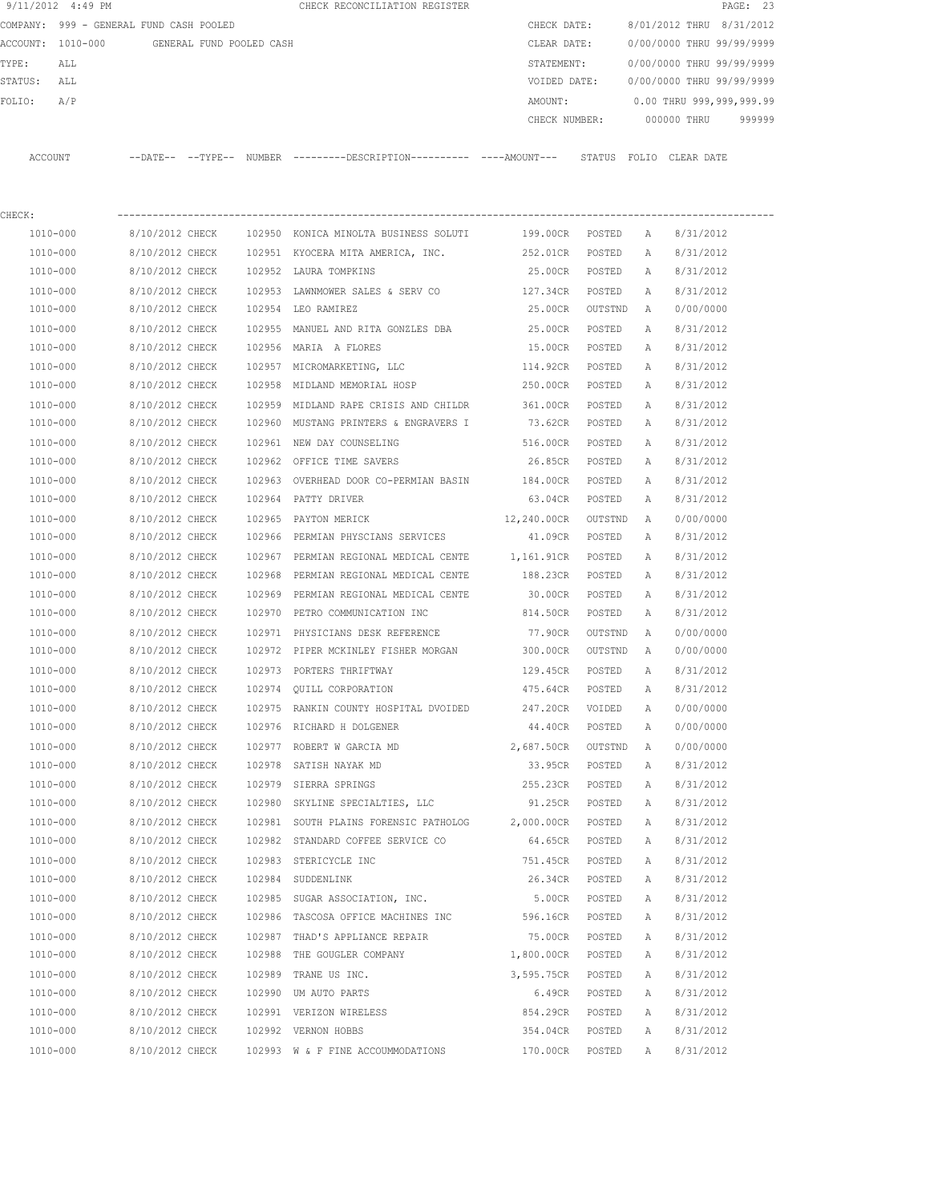|                   | 9/11/2012 4:49 PM                       |                          |        | CHECK RECONCILIATION REGISTER                                                               |              |         |              |                                  | PAGE: 23 |
|-------------------|-----------------------------------------|--------------------------|--------|---------------------------------------------------------------------------------------------|--------------|---------|--------------|----------------------------------|----------|
|                   | COMPANY: 999 - GENERAL FUND CASH POOLED |                          |        |                                                                                             | CHECK DATE:  |         |              | 8/01/2012 THRU 8/31/2012         |          |
| ACCOUNT: 1010-000 |                                         | GENERAL FUND POOLED CASH |        |                                                                                             | CLEAR DATE:  |         |              | 0/00/0000 THRU 99/99/9999        |          |
| TYPE:             | ALL                                     |                          |        |                                                                                             | STATEMENT:   |         |              | 0/00/0000 THRU 99/99/9999        |          |
| STATUS:           | ALL                                     |                          |        |                                                                                             | VOIDED DATE: |         |              | 0/00/0000 THRU 99/99/9999        |          |
| FOLIO:            | A/P                                     |                          |        |                                                                                             | AMOUNT:      |         |              | 0.00 THRU 999,999,999.99         |          |
|                   |                                         |                          |        |                                                                                             |              |         |              | CHECK NUMBER: 000000 THRU 999999 |          |
| ACCOUNT           |                                         |                          |        | --DATE-- --TYPE-- NUMBER --------DESCRIPTION--------- ----AMOUNT--- STATUS FOLIO CLEAR-DATE |              |         |              |                                  |          |
| CHECK:            |                                         |                          |        |                                                                                             |              |         |              |                                  |          |
| 1010-000          |                                         | 8/10/2012 CHECK          |        | 102950 KONICA MINOLTA BUSINESS SOLUTI 199.00CR POSTED                                       |              |         | A,           | 8/31/2012                        |          |
| 1010-000          |                                         | 8/10/2012 CHECK          |        | 102951 KYOCERA MITA AMERICA, INC.                                                           | 252.01CR     | POSTED  | A            | 8/31/2012                        |          |
| 1010-000          |                                         | 8/10/2012 CHECK          |        | 102952 LAURA TOMPKINS                                                                       | 25.00CR      | POSTED  | A            | 8/31/2012                        |          |
| 1010-000          |                                         | 8/10/2012 CHECK          |        | 102953 LAWNMOWER SALES & SERV CO                                                            | 127.34CR     | POSTED  | A            | 8/31/2012                        |          |
| 1010-000          |                                         | 8/10/2012 CHECK          | 102954 | LEO RAMIREZ                                                                                 | 25.00CR      | OUTSTND | A            | 0/00/0000                        |          |
| 1010-000          |                                         | 8/10/2012 CHECK          | 102955 | MANUEL AND RITA GONZLES DBA                                                                 | 25.00CR      | POSTED  | A            | 8/31/2012                        |          |
| 1010-000          |                                         | 8/10/2012 CHECK          |        | 102956 MARIA A FLORES                                                                       | 15.00CR      | POSTED  | А            | 8/31/2012                        |          |
| 1010-000          |                                         | 8/10/2012 CHECK          |        | 102957 MICROMARKETING, LLC                                                                  | 114.92CR     | POSTED  | A            | 8/31/2012                        |          |
| 1010-000          |                                         | 8/10/2012 CHECK          |        | 102958 MIDLAND MEMORIAL HOSP                                                                | 250.00CR     | POSTED  | Α            | 8/31/2012                        |          |
| 1010-000          |                                         | 8/10/2012 CHECK          |        | 102959 MIDLAND RAPE CRISIS AND CHILDR                                                       | 361.00CR     | POSTED  | $\mathbb{A}$ | 8/31/2012                        |          |
| 1010-000          |                                         | 8/10/2012 CHECK          |        | 102960 MUSTANG PRINTERS & ENGRAVERS I 73.62CR                                               |              | POSTED  | A            | 8/31/2012                        |          |
| 1010-000          |                                         | 8/10/2012 CHECK          |        | 102961 NEW DAY COUNSELING                                                                   | 516.00CR     | POSTED  | $\mathbb{A}$ | 8/31/2012                        |          |
| 1010-000          |                                         | 8/10/2012 CHECK          |        | 102962 OFFICE TIME SAVERS                                                                   | 26.85CR      | POSTED  | A            | 8/31/2012                        |          |
| 1010-000          |                                         | 8/10/2012 CHECK          |        | 102963 OVERHEAD DOOR CO-PERMIAN BASIN                                                       | 184.00CR     | POSTED  | A            | 8/31/2012                        |          |
| 1010-000          |                                         | 8/10/2012 CHECK          |        | 102964 PATTY DRIVER                                                                         | 63.04CR      | POSTED  | A            | 8/31/2012                        |          |
| 1010-000          |                                         | 8/10/2012 CHECK          |        | 102965 PAYTON MERICK                                                                        | 12,240.00CR  | OUTSTND | A            | 0/00/0000                        |          |

 1010-000 8/10/2012 CHECK 102966 PERMIAN PHYSCIANS SERVICES 41.09CR POSTED A 8/31/2012 1010-000 8/10/2012 CHECK 102967 PERMIAN REGIONAL MEDICAL CENTE 1,161.91CR POSTED A 8/31/2012 1010-000 8/10/2012 CHECK 102968 PERMIAN REGIONAL MEDICAL CENTE 188.23CR POSTED A 8/31/2012 1010-000 8/10/2012 CHECK 102969 PERMIAN REGIONAL MEDICAL CENTE 30.00CR POSTED A 8/31/2012 1010-000 8/10/2012 CHECK 102970 PETRO COMMUNICATION INC 814.50CR POSTED A 8/31/2012 1010-000 8/10/2012 CHECK 102971 PHYSICIANS DESK REFERENCE 77.90CR OUTSTND A 0/00/0000 1010-000 8/10/2012 CHECK 102972 PIPER MCKINLEY FISHER MORGAN 300.00CR OUTSTND A 0/00/0000 1010-000 8/10/2012 CHECK 102973 PORTERS THRIFTWAY 129.45CR POSTED A 8/31/2012 1010-000 8/10/2012 CHECK 102974 QUILL CORPORATION 475.64CR POSTED A 8/31/2012 1010-000 8/10/2012 CHECK 102975 RANKIN COUNTY HOSPITAL DVOIDED 247.20CR VOIDED A 0/00/0000 1010-000 8/10/2012 CHECK 102976 RICHARD H DOLGENER 44.40CR POSTED A 0/00/0000 1010-000 8/10/2012 CHECK 102977 ROBERT W GARCIA MD 2,687.50CR OUTSTND A 0/00/0000 1010-000 8/10/2012 CHECK 102978 SATISH NAYAK MD 33.95CR POSTED A 8/31/2012 1010-000 8/10/2012 CHECK 102979 SIERRA SPRINGS 255.23CR POSTED A 8/31/2012 1010-000 8/10/2012 CHECK 102980 SKYLINE SPECIALTIES, LLC 91.25CR POSTED A 8/31/2012 1010-000 8/10/2012 CHECK 102981 SOUTH PLAINS FORENSIC PATHOLOG 2,000.00CR POSTED A 8/31/2012 1010-000 8/10/2012 CHECK 102982 STANDARD COFFEE SERVICE CO 64.65CR POSTED A 8/31/2012 1010-000 8/10/2012 CHECK 102983 STERICYCLE INC 751.45CR POSTED A 8/31/2012 1010-000 8/10/2012 CHECK 102984 SUDDENLINK 26.34CR POSTED A 8/31/2012 1010-000 8/10/2012 CHECK 102985 SUGAR ASSOCIATION, INC. 5.00CR POSTED A 8/31/2012 1010-000 8/10/2012 CHECK 102986 TASCOSA OFFICE MACHINES INC 596.16CR POSTED A 8/31/2012 1010-000 8/10/2012 CHECK 102987 THAD'S APPLIANCE REPAIR 75.00CR POSTED A 8/31/2012 1010-000 8/10/2012 CHECK 102988 THE GOUGLER COMPANY 1,800.00CR POSTED A 8/31/2012 1010-000 8/10/2012 CHECK 102989 TRANE US INC. 3,595.75CR POSTED A 8/31/2012 1010-000 8/10/2012 CHECK 102990 UM AUTO PARTS 6.49CR POSTED A 8/31/2012 1010-000 8/10/2012 CHECK 102991 VERIZON WIRELESS 854.29CR POSTED A 8/31/2012 1010-000 8/10/2012 CHECK 102992 VERNON HOBBS 354.04CR POSTED A 8/31/2012 1010-000 8/10/2012 CHECK 102993 W & F FINE ACCOUMMODATIONS 170.00CR POSTED A 8/31/2012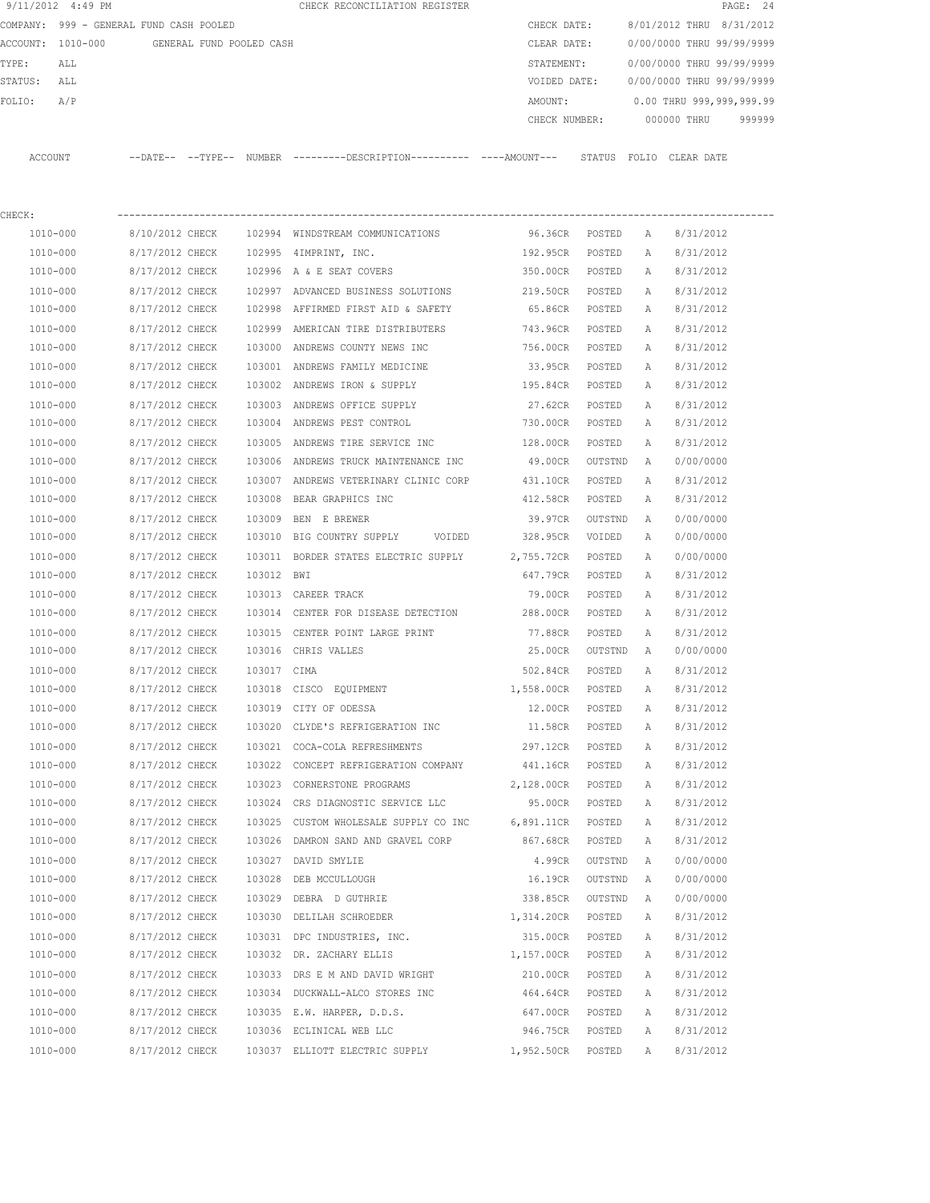| 9/11/2012 4:49 PM |                                         |             | CHECK RECONCILIATION REGISTER                                                              |                 |         |              |                           | PAGE: 24 |
|-------------------|-----------------------------------------|-------------|--------------------------------------------------------------------------------------------|-----------------|---------|--------------|---------------------------|----------|
|                   | COMPANY: 999 - GENERAL FUND CASH POOLED |             |                                                                                            | CHECK DATE:     |         |              | 8/01/2012 THRU 8/31/2012  |          |
| ACCOUNT: 1010-000 | GENERAL FUND POOLED CASH                |             |                                                                                            | CLEAR DATE:     |         |              | 0/00/0000 THRU 99/99/9999 |          |
| TYPE:<br>ALL      |                                         |             |                                                                                            | STATEMENT:      |         |              | 0/00/0000 THRU 99/99/9999 |          |
| STATUS:<br>ALL    |                                         |             |                                                                                            | VOIDED DATE:    |         |              | 0/00/0000 THRU 99/99/9999 |          |
| A/P<br>FOLIO:     |                                         |             |                                                                                            | AMOUNT:         |         |              | 0.00 THRU 999,999,999.99  |          |
|                   |                                         |             |                                                                                            | CHECK NUMBER:   |         |              | 000000 THRU               | 999999   |
| ACCOUNT           |                                         |             | --DATE-- --TYPE-- NUMBER --------DESCRIPTION---------- ---AMOUNT--- STATUS FOLIO CLEARDATE |                 |         |              |                           |          |
| CHECK:            |                                         |             |                                                                                            |                 |         |              |                           |          |
| 1010-000          | 8/10/2012 CHECK                         |             | 102994 WINDSTREAM COMMUNICATIONS                                                           | 96.36CR POSTED  |         | A            | 8/31/2012                 |          |
| 1010-000          | 8/17/2012 CHECK                         |             | 102995 4IMPRINT, INC.                                                                      | 192.95CR        | POSTED  | A            | 8/31/2012                 |          |
| 1010-000          | 8/17/2012 CHECK                         |             | 102996 A & E SEAT COVERS                                                                   | 350.00CR POSTED |         | A            | 8/31/2012                 |          |
| 1010-000          | 8/17/2012 CHECK                         |             | 102997 ADVANCED BUSINESS SOLUTIONS                                                         | 219.50CR        | POSTED  | A            | 8/31/2012                 |          |
| 1010-000          | 8/17/2012 CHECK                         |             | 102998 AFFIRMED FIRST AID & SAFETY                                                         | 65.86CR         | POSTED  | A            | 8/31/2012                 |          |
| 1010-000          | 8/17/2012 CHECK                         |             | 102999 AMERICAN TIRE DISTRIBUTERS                                                          | 743.96CR        | POSTED  | Α            | 8/31/2012                 |          |
| 1010-000          | 8/17/2012 CHECK                         |             | 103000 ANDREWS COUNTY NEWS INC                                                             | 756.00CR        | POSTED  | A            | 8/31/2012                 |          |
| 1010-000          | 8/17/2012 CHECK                         |             | 103001 ANDREWS FAMILY MEDICINE                                                             | 33.95CR         | POSTED  | A            | 8/31/2012                 |          |
| 1010-000          | 8/17/2012 CHECK                         |             | 103002 ANDREWS IRON & SUPPLY                                                               | 195.84CR        | POSTED  | A            | 8/31/2012                 |          |
| 1010-000          | 8/17/2012 CHECK                         |             | 103003 ANDREWS OFFICE SUPPLY                                                               | 27.62CR         | POSTED  | Α            | 8/31/2012                 |          |
| 1010-000          | 8/17/2012 CHECK                         |             | 103004 ANDREWS PEST CONTROL                                                                | 730.00CR        | POSTED  | A            | 8/31/2012                 |          |
| 1010-000          | 8/17/2012 CHECK                         |             | 103005 ANDREWS TIRE SERVICE INC                                                            | 128.00CR        | POSTED  | Α            | 8/31/2012                 |          |
| 1010-000          | 8/17/2012 CHECK                         |             | 103006 ANDREWS TRUCK MAINTENANCE INC                                                       | 49.00CR         | OUTSTND | A            | 0/00/0000                 |          |
| 1010-000          | 8/17/2012 CHECK                         |             | 103007 ANDREWS VETERINARY CLINIC CORP                                                      | 431.10CR        | POSTED  | Α            | 8/31/2012                 |          |
| 1010-000          | 8/17/2012 CHECK                         | 103008      | BEAR GRAPHICS INC                                                                          | 412.58CR        | POSTED  | A            | 8/31/2012                 |          |
| 1010-000          | 8/17/2012 CHECK                         | 103009      | BEN E BREWER                                                                               | 39.97CR         | OUTSTND | A            | 0/00/0000                 |          |
| 1010-000          | 8/17/2012 CHECK                         |             | 103010 BIG COUNTRY SUPPLY<br>VOIDED                                                        | 328.95CR        | VOIDED  | A            | 0/00/0000                 |          |
| 1010-000          | 8/17/2012 CHECK                         |             | 103011 BORDER STATES ELECTRIC SUPPLY 2,755.72CR                                            |                 | POSTED  | Α            | 0/00/0000                 |          |
| 1010-000          | 8/17/2012 CHECK                         | 103012 BWI  |                                                                                            | 647.79CR        | POSTED  | A            | 8/31/2012                 |          |
| 1010-000          | 8/17/2012 CHECK                         |             | 103013 CAREER TRACK                                                                        | 79.00CR         | POSTED  | Α            | 8/31/2012                 |          |
| 1010-000          | 8/17/2012 CHECK                         |             | 103014 CENTER FOR DISEASE DETECTION 288.00CR                                               |                 | POSTED  | A            | 8/31/2012                 |          |
| 1010-000          | 8/17/2012 CHECK                         |             | 103015 CENTER POINT LARGE PRINT                                                            | 77.88CR         | POSTED  | А            | 8/31/2012                 |          |
| 1010-000          | 8/17/2012 CHECK                         |             | 103016 CHRIS VALLES                                                                        | 25.00CR         | OUTSTND | A            | 0/00/0000                 |          |
| 1010-000          | 8/17/2012 CHECK                         | 103017 CIMA |                                                                                            | 502.84CR        | POSTED  | $\mathbb{A}$ | 8/31/2012                 |          |
| 1010-000          | 8/17/2012 CHECK                         |             | 103018 CISCO EQUIPMENT                                                                     | 1,558.00CR      | POSTED  | Α            | 8/31/2012                 |          |
| 1010-000          | 8/17/2012 CHECK                         |             | 103019 CITY OF ODESSA                                                                      | 12.00CR         | POSTED  | Α            | 8/31/2012                 |          |
| 1010-000          | 8/17/2012 CHECK                         |             | 103020 CLYDE'S REFRIGERATION INC                                                           | 11.58CR         | POSTED  | Α            | 8/31/2012                 |          |
| 1010-000          | 8/17/2012 CHECK                         |             | 103021 COCA-COLA REFRESHMENTS                                                              | 297.12CR POSTED |         | Α            | 8/31/2012                 |          |
| 1010-000          | 8/17/2012 CHECK                         |             | 103022 CONCEPT REFRIGERATION COMPANY                                                       | 441.16CR POSTED |         | Α            | 8/31/2012                 |          |
| 1010-000          | 8/17/2012 CHECK                         |             | 103023 CORNERSTONE PROGRAMS                                                                | 2,128.00CR      | POSTED  | Α            | 8/31/2012                 |          |
| 1010-000          | 8/17/2012 CHECK                         |             | 103024 CRS DIAGNOSTIC SERVICE LLC                                                          | 95.00CR         | POSTED  | Α            | 8/31/2012                 |          |
| 1010-000          | 8/17/2012 CHECK                         |             | 103025 CUSTOM WHOLESALE SUPPLY CO INC 6,891.11CR                                           |                 | POSTED  | Α            | 8/31/2012                 |          |
| 1010-000          | 8/17/2012 CHECK                         |             | 103026 DAMRON SAND AND GRAVEL CORP                                                         | 867.68CR        | POSTED  | Α            | 8/31/2012                 |          |
| 1010-000          | 8/17/2012 CHECK                         |             | 103027 DAVID SMYLIE                                                                        | 4.99CR          | OUTSTND | Α            | 0/00/0000                 |          |
| 1010-000          | 8/17/2012 CHECK                         |             | 103028 DEB MCCULLOUGH                                                                      | 16.19CR         | OUTSTND | Α            | 0/00/0000                 |          |
| 1010-000          | 8/17/2012 CHECK                         |             | 103029 DEBRA D GUTHRIE                                                                     | 338.85CR        | OUTSTND | Α            | 0/00/0000                 |          |
| 1010-000          | 8/17/2012 CHECK                         |             | 103030 DELILAH SCHROEDER                                                                   | 1,314.20CR      | POSTED  | Α            | 8/31/2012                 |          |
| 1010-000          | 8/17/2012 CHECK                         |             | 103031 DPC INDUSTRIES, INC.                                                                | 315.00CR        | POSTED  | Α            | 8/31/2012                 |          |
| 1010-000          | 8/17/2012 CHECK                         |             | 103032 DR. ZACHARY ELLIS                                                                   | 1,157.00CR      | POSTED  | Α            | 8/31/2012                 |          |
| 1010-000          | 8/17/2012 CHECK                         |             | 103033 DRS E M AND DAVID WRIGHT                                                            | 210.00CR        | POSTED  | Α            | 8/31/2012                 |          |
| 1010-000          | 8/17/2012 CHECK                         |             | 103034 DUCKWALL-ALCO STORES INC                                                            | 464.64CR POSTED |         | Α            | 8/31/2012                 |          |
| 1010-000          | 8/17/2012 CHECK                         |             | 103035 E.W. HARPER, D.D.S.                                                                 | 647.00CR        | POSTED  | Α            | 8/31/2012                 |          |
| 1010-000          | 8/17/2012 CHECK                         |             | 103036 ECLINICAL WEB LLC                                                                   | 946.75CR        | POSTED  | Α            | 8/31/2012                 |          |
| 1010-000          | 8/17/2012 CHECK                         |             | 103037 ELLIOTT ELECTRIC SUPPLY                                                             | 1,952.50CR      | POSTED  | A            | 8/31/2012                 |          |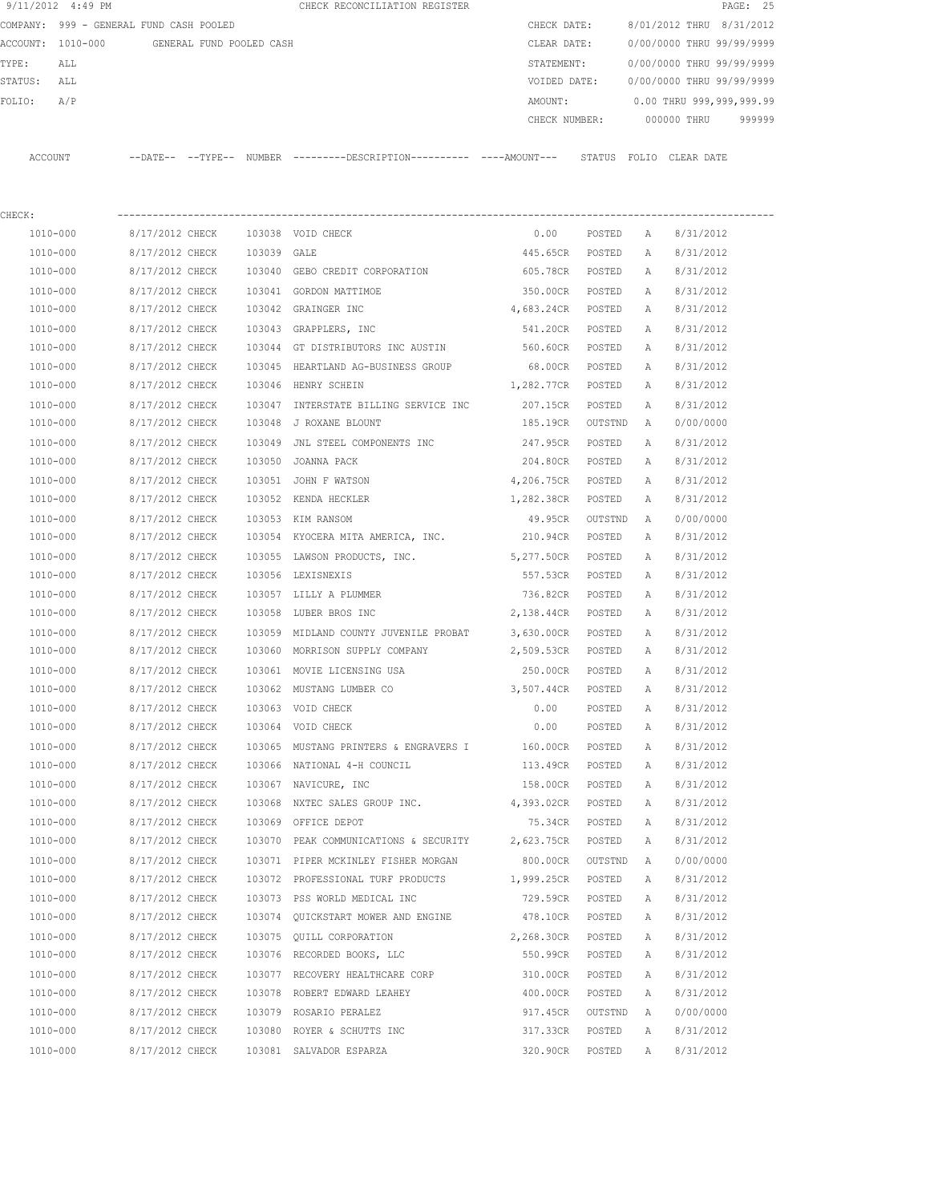| 9/11/2012 4:49 PM                          |                 |  |             | PAGE: 25<br>CHECK RECONCILIATION REGISTER                            |               |         |   |                           |
|--------------------------------------------|-----------------|--|-------------|----------------------------------------------------------------------|---------------|---------|---|---------------------------|
| COMPANY: 999 - GENERAL FUND CASH POOLED    |                 |  |             |                                                                      | CHECK DATE:   |         |   | 8/01/2012 THRU 8/31/2012  |
| ACCOUNT: 1010-000 GENERAL FUND POOLED CASH |                 |  |             |                                                                      | CLEAR DATE:   |         |   | 0/00/0000 THRU 99/99/9999 |
| TYPE:<br>ALL                               |                 |  |             |                                                                      | STATEMENT:    |         |   | 0/00/0000 THRU 99/99/9999 |
| STATUS:<br>ALL                             |                 |  |             |                                                                      | VOIDED DATE:  |         |   | 0/00/0000 THRU 99/99/9999 |
| FOLIO:<br>A/P                              |                 |  |             |                                                                      | AMOUNT:       |         |   | 0.00 THRU 999,999,999.99  |
|                                            |                 |  |             |                                                                      | CHECK NUMBER: |         |   | 000000 THRU<br>999999     |
|                                            |                 |  |             |                                                                      |               |         |   |                           |
| ACCOUNT                                    |                 |  |             | --DATE-- --TYPE-- NUMBER --------DESCRIPTION---------- ----AMOUNT--- |               |         |   | STATUS FOLIO CLEAR DATE   |
|                                            |                 |  |             |                                                                      |               |         |   |                           |
|                                            |                 |  |             |                                                                      |               |         |   |                           |
| CHECK:                                     |                 |  |             |                                                                      |               |         |   |                           |
| 1010-000                                   | 8/17/2012 CHECK |  |             | 103038 VOID CHECK                                                    | 0.00          | POSTED  | Α | 8/31/2012                 |
| 1010-000                                   | 8/17/2012 CHECK |  | 103039 GALE |                                                                      | 445.65CR      | POSTED  | Α | 8/31/2012                 |
| 1010-000                                   | 8/17/2012 CHECK |  |             | 103040 GEBO CREDIT CORPORATION                                       | 605.78CR      | POSTED  | А | 8/31/2012                 |
| 1010-000                                   | 8/17/2012 CHECK |  |             | 103041 GORDON MATTIMOE                                               | 350.00CR      | POSTED  | A | 8/31/2012                 |
| 1010-000                                   | 8/17/2012 CHECK |  |             | 103042 GRAINGER INC                                                  | 4,683.24CR    | POSTED  | Α | 8/31/2012                 |
| 1010-000                                   | 8/17/2012 CHECK |  |             | 103043 GRAPPLERS, INC                                                | 541.20CR      | POSTED  | A | 8/31/2012                 |
| 1010-000                                   | 8/17/2012 CHECK |  |             | 103044 GT DISTRIBUTORS INC AUSTIN                                    | 560.60CR      | POSTED  | А | 8/31/2012                 |
| 1010-000                                   | 8/17/2012 CHECK |  |             | 103045 HEARTLAND AG-BUSINESS GROUP                                   | 68.00CR       | POSTED  | А | 8/31/2012                 |
| 1010-000                                   | 8/17/2012 CHECK |  |             | 103046 HENRY SCHEIN                                                  | 1,282.77CR    | POSTED  | А | 8/31/2012                 |
| 1010-000                                   | 8/17/2012 CHECK |  | 103047      | INTERSTATE BILLING SERVICE INC                                       | 207.15CR      | POSTED  | Α | 8/31/2012                 |
| 1010-000                                   | 8/17/2012 CHECK |  |             | 103048 J ROXANE BLOUNT                                               | 185.19CR      | OUTSTND | A | 0/00/0000                 |
| 1010-000                                   | 8/17/2012 CHECK |  | 103049      | JNL STEEL COMPONENTS INC                                             | 247.95CR      | POSTED  | Α | 8/31/2012                 |
| 1010-000                                   | 8/17/2012 CHECK |  |             | 103050 JOANNA PACK                                                   | 204.80CR      | POSTED  | Α | 8/31/2012                 |
| 1010-000                                   | 8/17/2012 CHECK |  |             | 103051 JOHN F WATSON                                                 | 4,206.75CR    | POSTED  | Α | 8/31/2012                 |
| 1010-000                                   | 8/17/2012 CHECK |  |             | 103052 KENDA HECKLER                                                 | 1,282.38CR    | POSTED  | Α | 8/31/2012                 |
| 1010-000                                   | 8/17/2012 CHECK |  |             | 103053 KIM RANSOM                                                    | 49.95CR       | OUTSTND | A | 0/00/0000                 |
| 1010-000                                   | 8/17/2012 CHECK |  |             | 103054 KYOCERA MITA AMERICA, INC.                                    | 210.94CR      | POSTED  | Α | 8/31/2012                 |
| 1010-000                                   | 8/17/2012 CHECK |  |             | 103055 LAWSON PRODUCTS, INC.                                         | 5,277.50CR    | POSTED  | Α | 8/31/2012                 |
| 1010-000                                   | 8/17/2012 CHECK |  |             | 103056 LEXISNEXIS                                                    | 557.53CR      | POSTED  | A | 8/31/2012                 |
| 1010-000                                   | 8/17/2012 CHECK |  |             | 103057 LILLY A PLUMMER                                               | 736.82CR      | POSTED  | Α | 8/31/2012                 |
| 1010-000                                   | 8/17/2012 CHECK |  |             | 103058 LUBER BROS INC                                                | 2,138.44CR    | POSTED  | A | 8/31/2012                 |
| 1010-000                                   | 8/17/2012 CHECK |  |             | 103059 MIDLAND COUNTY JUVENILE PROBAT                                | 3,630.00CR    | POSTED  | A | 8/31/2012                 |
| 1010-000                                   | 8/17/2012 CHECK |  |             | 103060 MORRISON SUPPLY COMPANY                                       | 2,509.53CR    | POSTED  | A | 8/31/2012                 |
| 1010-000                                   | 8/17/2012 CHECK |  |             | 103061 MOVIE LICENSING USA                                           | 250.00CR      | POSTED  | Α | 8/31/2012                 |
| 1010-000                                   | 8/17/2012 CHECK |  |             | 103062 MUSTANG LUMBER CO                                             | 3,507.44CR    | POSTED  | Α | 8/31/2012                 |
| 1010-000                                   | 8/17/2012 CHECK |  |             | 103063 VOID CHECK                                                    | 0.00          | POSTED  | Α | 8/31/2012                 |
| 1010-000                                   | 8/17/2012 CHECK |  |             | 103064 VOID CHECK                                                    | 0.00          | POSTED  | Α | 8/31/2012                 |
| 1010-000                                   | 8/17/2012 CHECK |  |             | 103065 MUSTANG PRINTERS & ENGRAVERS I                                | 160.00CR      | POSTED  | Α | 8/31/2012                 |
| 1010-000                                   | 8/17/2012 CHECK |  |             | 103066 NATIONAL 4-H COUNCIL                                          | 113.49CR      | POSTED  | Α | 8/31/2012                 |
| 1010-000                                   | 8/17/2012 CHECK |  |             | 103067 NAVICURE, INC                                                 | 158.00CR      | POSTED  | Α | 8/31/2012                 |
| 1010-000                                   | 8/17/2012 CHECK |  |             | 103068 NXTEC SALES GROUP INC.                                        | 4,393.02CR    | POSTED  | Α | 8/31/2012                 |
| 1010-000                                   | 8/17/2012 CHECK |  |             | 103069 OFFICE DEPOT                                                  | 75.34CR       | POSTED  | A | 8/31/2012                 |

 1010-000 8/17/2012 CHECK 103070 PEAK COMMUNICATIONS & SECURITY 2,623.75CR POSTED A 8/31/2012 1010-000 8/17/2012 CHECK 103071 PIPER MCKINLEY FISHER MORGAN 800.00CR OUTSTND A 0/00/0000 1010-000 8/17/2012 CHECK 103072 PROFESSIONAL TURF PRODUCTS 1,999.25CR POSTED A 8/31/2012 1010-000 8/17/2012 CHECK 103073 PSS WORLD MEDICAL INC 729.59CR POSTED A 8/31/2012 1010-000 8/17/2012 CHECK 103074 QUICKSTART MOWER AND ENGINE 478.10CR POSTED A 8/31/2012 1010-000 8/17/2012 CHECK 103075 QUILL CORPORATION 2,268.30CR POSTED A 8/31/2012 1010-000 8/17/2012 CHECK 103076 RECORDED BOOKS, LLC 550.99CR POSTED A 8/31/2012 1010-000 8/17/2012 CHECK 103077 RECOVERY HEALTHCARE CORP 310.00CR POSTED A 8/31/2012 1010-000 8/17/2012 CHECK 103078 ROBERT EDWARD LEAHEY 400.00CR POSTED A 8/31/2012 1010-000 8/17/2012 CHECK 103079 ROSARIO PERALEZ 917.45CR OUTSTND A 0/00/0000 1010-000 8/17/2012 CHECK 103080 ROYER & SCHUTTS INC 317.33CR POSTED A 8/31/2012 1010-000 8/17/2012 CHECK 103081 SALVADOR ESPARZA 320.90CR POSTED A 8/31/2012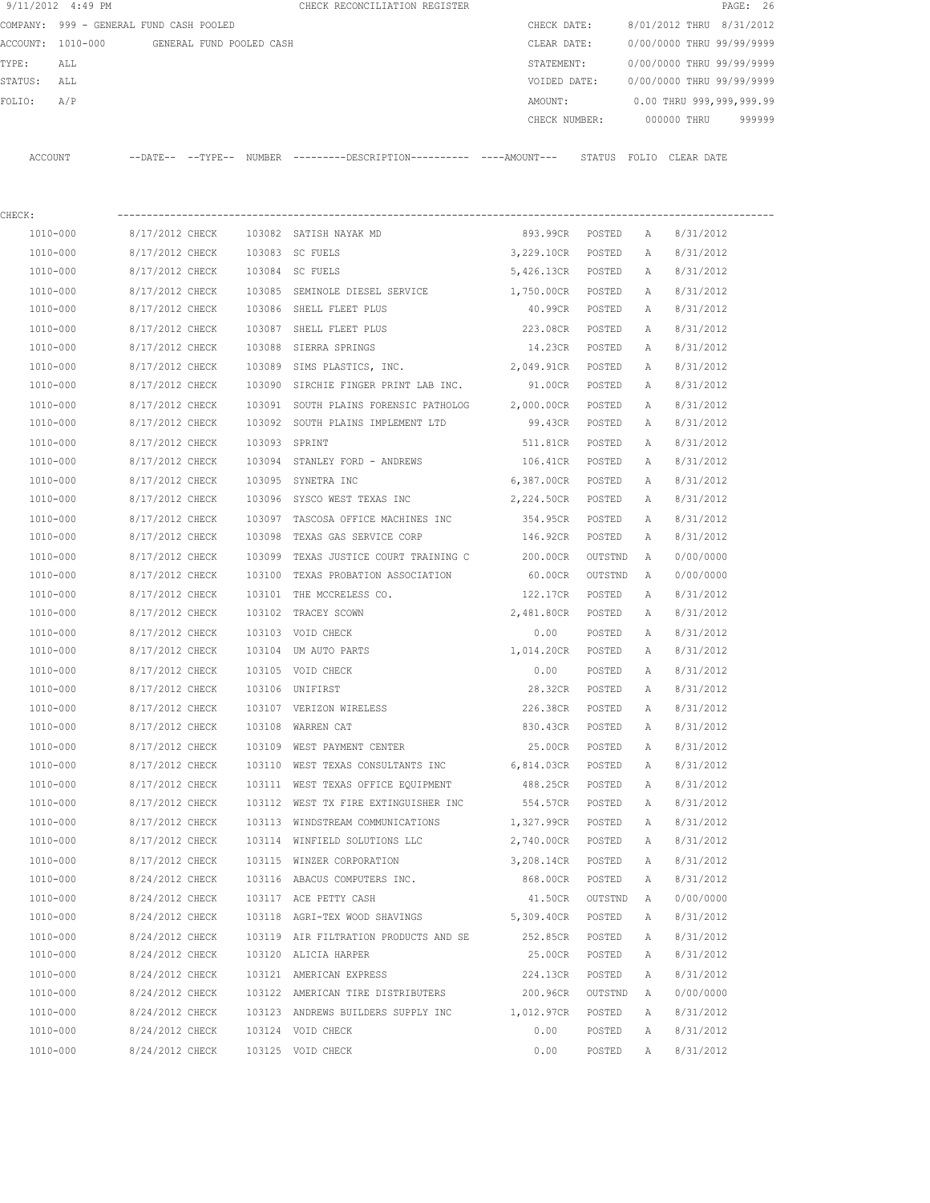|                   | 9/11/2012 4:49 PM                       |                   |                          |        | CHECK RECONCILIATION REGISTER                 |               |        |                           | PAGE: 26 |        |
|-------------------|-----------------------------------------|-------------------|--------------------------|--------|-----------------------------------------------|---------------|--------|---------------------------|----------|--------|
|                   | COMPANY: 999 - GENERAL FUND CASH POOLED |                   |                          |        |                                               | CHECK DATE:   |        | 8/01/2012 THRU 8/31/2012  |          |        |
| ACCOUNT: 1010-000 |                                         |                   | GENERAL FUND POOLED CASH |        |                                               | CLEAR DATE:   |        | 0/00/0000 THRU 99/99/9999 |          |        |
| TYPE:             | ALL                                     |                   |                          |        |                                               | STATEMENT:    |        | 0/00/0000 THRU 99/99/9999 |          |        |
| STATUS:           | ALL                                     |                   |                          |        |                                               | VOIDED DATE:  |        | 0/00/0000 THRU 99/99/9999 |          |        |
| FOLIO:            | A/P                                     |                   |                          |        |                                               | AMOUNT:       |        | 0.00 THRU 999,999,999.99  |          |        |
|                   |                                         |                   |                          |        |                                               | CHECK NUMBER: |        | 000000 THRU               |          | 999999 |
|                   |                                         |                   |                          |        |                                               |               |        |                           |          |        |
| ACCOUNT           |                                         | --DATE-- --TYPE-- |                          | NUMBER | ---------DESCRIPTION----------- ----AMOUNT--- |               | STATUS | FOLIO CLEAR DATE          |          |        |
|                   |                                         |                   |                          |        |                                               |               |        |                           |          |        |
|                   |                                         |                   |                          |        |                                               |               |        |                           |          |        |

| CHECK:   |                                         |                                                                         |                     |         |              |           |
|----------|-----------------------------------------|-------------------------------------------------------------------------|---------------------|---------|--------------|-----------|
|          |                                         | 1010-000 8/17/2012 CHECK 103082 SATISH NAYAK MD 893.99CR POSTED A       |                     |         |              | 8/31/2012 |
| 1010-000 | 8/17/2012 CHECK 103083 SC FUELS         |                                                                         | 3,229.10CR POSTED A |         |              | 8/31/2012 |
| 1010-000 | 8/17/2012 CHECK 103084 SC FUELS         |                                                                         | 5,426.13CR POSTED A |         |              | 8/31/2012 |
| 1010-000 |                                         | 8/17/2012 CHECK 103085 SEMINOLE DIESEL SERVICE                          | 1,750.00CR POSTED   |         | A            | 8/31/2012 |
| 1010-000 | 8/17/2012 CHECK 103086 SHELL FLEET PLUS |                                                                         | 40.99CR POSTED A    |         |              | 8/31/2012 |
| 1010-000 | 8/17/2012 CHECK 103087 SHELL FLEET PLUS |                                                                         | 223.08CR POSTED     |         | A            | 8/31/2012 |
| 1010-000 | 8/17/2012 CHECK 103088 SIERRA SPRINGS   |                                                                         | 14.23CR POSTED      |         | A            | 8/31/2012 |
| 1010-000 |                                         | 8/17/2012 CHECK 103089 SIMS PLASTICS, INC.                              | 2,049.91CR POSTED   |         | A            | 8/31/2012 |
| 1010-000 |                                         | 8/17/2012 CHECK 103090 SIRCHIE FINGER PRINT LAB INC.                    | 91.00CR POSTED      |         | A            | 8/31/2012 |
| 1010-000 |                                         | 8/17/2012 CHECK 103091 SOUTH PLAINS FORENSIC PATHOLOG 2,000.00CR POSTED |                     |         | A            | 8/31/2012 |
| 1010-000 |                                         | 8/17/2012 CHECK 103092 SOUTH PLAINS IMPLEMENT LTD                       | 99.43CR POSTED      |         | A            | 8/31/2012 |
| 1010-000 | 8/17/2012 CHECK 103093 SPRINT           |                                                                         | 511.81CR POSTED     |         | A            | 8/31/2012 |
| 1010-000 |                                         | 8/17/2012 CHECK 103094 STANLEY FORD - ANDREWS 106.41CR POSTED           |                     |         | A            | 8/31/2012 |
| 1010-000 | 8/17/2012 CHECK 103095 SYNETRA INC      |                                                                         | 6,387.00CR POSTED   |         | A            | 8/31/2012 |
| 1010-000 |                                         | 8/17/2012 CHECK 103096 SYSCO WEST TEXAS INC 2,224.50CR POSTED           |                     |         | A            | 8/31/2012 |
| 1010-000 |                                         | 8/17/2012 CHECK 103097 TASCOSA OFFICE MACHINES INC                      | 354.95CR POSTED     |         | A            | 8/31/2012 |
| 1010-000 |                                         | 8/17/2012 CHECK 103098 TEXAS GAS SERVICE CORP                           | 146.92CR POSTED     |         | A            | 8/31/2012 |
| 1010-000 |                                         | 8/17/2012 CHECK 103099 TEXAS JUSTICE COURT TRAINING C                   | 200.00CR OUTSTND    |         | A            | 0/00/0000 |
| 1010-000 |                                         | 8/17/2012 CHECK 103100 TEXAS PROBATION ASSOCIATION                      | 60.00CR OUTSTND     |         | A            | 0/00/0000 |
| 1010-000 |                                         | 8/17/2012 CHECK 103101 THE MCCRELESS CO.                                | 122.17CR POSTED     |         | A            | 8/31/2012 |
| 1010-000 | 8/17/2012 CHECK 103102 TRACEY SCOWN     |                                                                         | 2,481.80CR POSTED A |         |              | 8/31/2012 |
| 1010-000 | 8/17/2012 CHECK 103103 VOID CHECK       |                                                                         | 0.00 POSTED A       |         |              | 8/31/2012 |
| 1010-000 |                                         | 8/17/2012 CHECK 103104 UM AUTO PARTS 1,014.20CR POSTED A                |                     |         |              | 8/31/2012 |
| 1010-000 | 8/17/2012 CHECK 103105 VOID CHECK       |                                                                         | 0.00 POSTED         |         | A            | 8/31/2012 |
| 1010-000 | 8/17/2012 CHECK 103106 UNIFIRST         |                                                                         | 28.32CR POSTED      |         | A            | 8/31/2012 |
| 1010-000 |                                         | 8/17/2012 CHECK 103107 VERIZON WIRELESS 226.38CR POSTED                 |                     |         | A            | 8/31/2012 |
| 1010-000 | 8/17/2012 CHECK 103108 WARREN CAT       |                                                                         | 830.43CR POSTED     |         | A            | 8/31/2012 |
| 1010-000 |                                         | 8/17/2012 CHECK 103109 WEST PAYMENT CENTER                              | 25.00CR POSTED      |         | A            | 8/31/2012 |
| 1010-000 |                                         | 8/17/2012 CHECK 103110 WEST TEXAS CONSULTANTS INC                       | 6,814.03CR POSTED   |         | A            | 8/31/2012 |
| 1010-000 |                                         | 8/17/2012 CHECK 103111 WEST TEXAS OFFICE EQUIPMENT                      | 488.25CR POSTED     |         | A            | 8/31/2012 |
| 1010-000 |                                         | 8/17/2012 CHECK 103112 WEST TX FIRE EXTINGUISHER INC                    | 554.57CR POSTED     |         | A            | 8/31/2012 |
| 1010-000 |                                         | 8/17/2012 CHECK 103113 WINDSTREAM COMMUNICATIONS                        | 1,327.99CR POSTED   |         | A            | 8/31/2012 |
| 1010-000 |                                         | 8/17/2012 CHECK 103114 WINFIELD SOLUTIONS LLC                           | 2,740.00CR POSTED A |         |              | 8/31/2012 |
| 1010-000 |                                         | $8/17/2012$ CHECK 103115 WINZER CORPORATION 3,208.14CR POSTED A         |                     |         |              | 8/31/2012 |
| 1010-000 |                                         | 8/24/2012 CHECK 103116 ABACUS COMPUTERS INC. 868.00CR POSTED A          |                     |         |              | 8/31/2012 |
| 1010-000 | 8/24/2012 CHECK                         | 103117 ACE PETTY CASH                                                   | 41.50CR             | OUTSTND | $\mathbb{A}$ | 0/00/0000 |
| 1010-000 | 8/24/2012 CHECK                         | 103118 AGRI-TEX WOOD SHAVINGS                                           | 5,309.40CR          | POSTED  | Α            | 8/31/2012 |
| 1010-000 | 8/24/2012 CHECK                         | 103119 AIR FILTRATION PRODUCTS AND SE                                   | 252.85CR            | POSTED  | Α            | 8/31/2012 |
| 1010-000 | 8/24/2012 CHECK                         | 103120 ALICIA HARPER                                                    | 25.00CR             | POSTED  | Α            | 8/31/2012 |
| 1010-000 | 8/24/2012 CHECK                         | 103121 AMERICAN EXPRESS                                                 | 224.13CR            | POSTED  | Α            | 8/31/2012 |
| 1010-000 | 8/24/2012 CHECK                         | 103122 AMERICAN TIRE DISTRIBUTERS                                       | 200.96CR            | OUTSTND | Α            | 0/00/0000 |
| 1010-000 | 8/24/2012 CHECK                         | 103123 ANDREWS BUILDERS SUPPLY INC                                      | 1,012.97CR          | POSTED  | Α            | 8/31/2012 |
| 1010-000 | 8/24/2012 CHECK                         | 103124 VOID CHECK                                                       | 0.00                | POSTED  | Α            | 8/31/2012 |
| 1010-000 | 8/24/2012 CHECK                         | 103125 VOID CHECK                                                       | 0.00                | POSTED  | Α            | 8/31/2012 |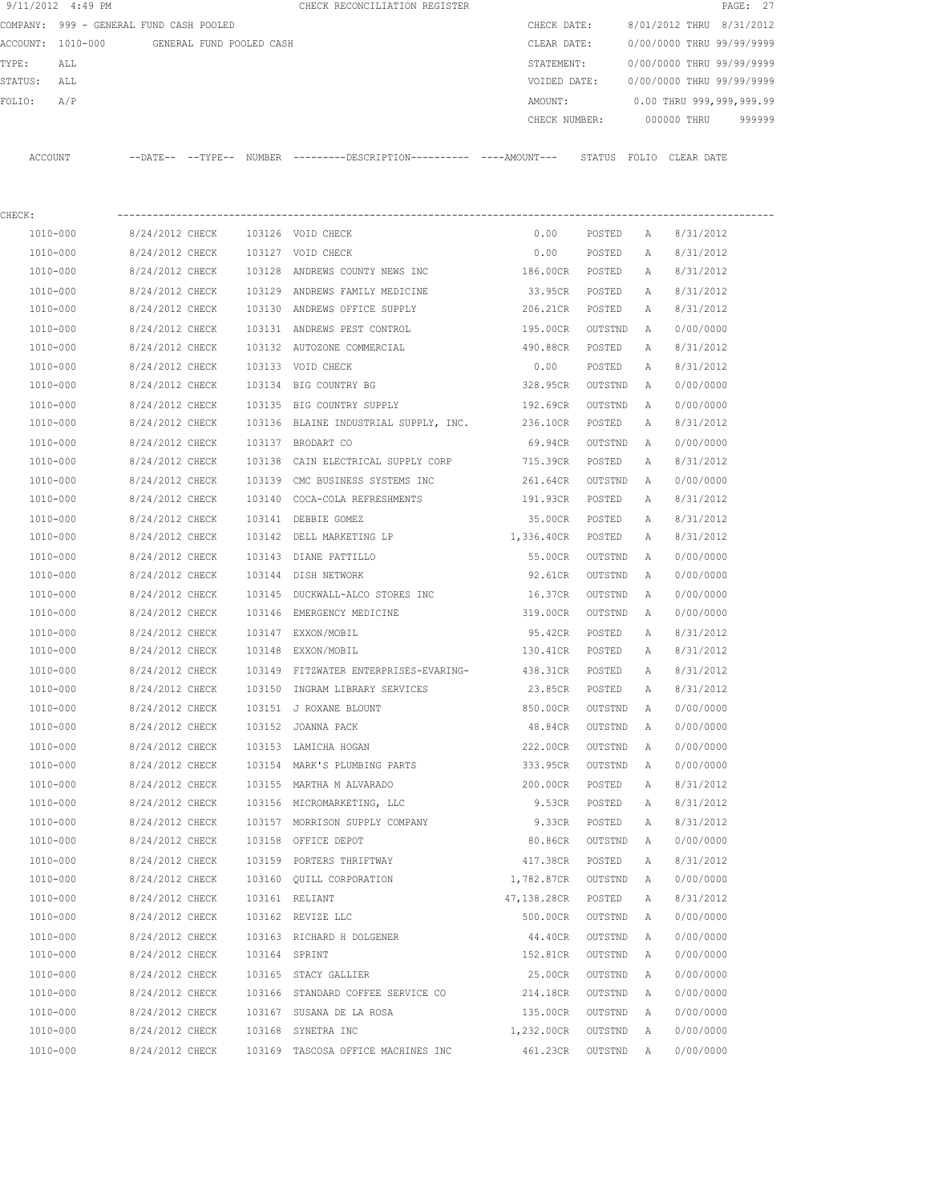| 9/11/2012 4:49 PM |                                            | CHECK RECONCILIATION REGISTER                                                                         |                             |           |          | PAGE: 27                               |
|-------------------|--------------------------------------------|-------------------------------------------------------------------------------------------------------|-----------------------------|-----------|----------|----------------------------------------|
|                   | COMPANY: 999 - GENERAL FUND CASH POOLED    |                                                                                                       | CHECK DATE:                 |           |          | 8/01/2012 THRU 8/31/2012               |
|                   | ACCOUNT: 1010-000 GENERAL FUND POOLED CASH |                                                                                                       | CLEAR DATE:                 |           |          | 0/00/0000 THRU 99/99/9999              |
| TYPE:<br>ALL      |                                            |                                                                                                       |                             |           |          | STATEMENT: 0/00/0000 THRU 99/99/9999   |
| STATUS: ALL       |                                            |                                                                                                       |                             |           |          | VOIDED DATE: 0/00/0000 THRU 99/99/9999 |
| FOLIO:<br>A/P     |                                            |                                                                                                       |                             |           |          | AMOUNT: 0.00 THRU 999,999,999.99       |
|                   |                                            |                                                                                                       |                             |           |          | CHECK NUMBER: 000000 THRU 999999       |
|                   |                                            | ACCOUNT --DATE-- --TYPE-- NUMBER ---------DESCRIPTION---------- ----AMOUNT--- STATUS FOLIO CLEAR DATE |                             |           |          |                                        |
| CHECK:            |                                            |                                                                                                       |                             |           |          |                                        |
| 1010-000          | 8/24/2012 CHECK 103126 VOID CHECK          |                                                                                                       | 0.00                        |           |          | POSTED A 8/31/2012                     |
| 1010-000          | 8/24/2012 CHECK 103127 VOID CHECK          |                                                                                                       |                             |           |          | $0.00$ POSTED A $8/31/2012$            |
| 1010-000          |                                            | 8/24/2012 CHECK 103128 ANDREWS COUNTY NEWS INC                                                        | 186.00CR POSTED A 8/31/2012 |           |          |                                        |
| 1010-000          |                                            | 8/24/2012 CHECK 103129 ANDREWS FAMILY MEDICINE                                                        | 33.95CR POSTED A            |           |          | 8/31/2012                              |
| 1010-000          |                                            | 8/24/2012 CHECK 103130 ANDREWS OFFICE SUPPLY                                                          | 206.21CR POSTED A           |           |          | 8/31/2012                              |
| 1010-000          |                                            | 8/24/2012 CHECK 103131 ANDREWS PEST CONTROL                                                           | 195.00CR                    | OUTSTND A |          | 0/00/0000                              |
| 1010-000          |                                            | 8/24/2012 CHECK 103132 AUTOZONE COMMERCIAL                                                            | 490.88CR POSTED A           |           |          | 8/31/2012                              |
| 1010-000          | 8/24/2012 CHECK 103133 VOID CHECK          |                                                                                                       | 0.00                        | POSTED    | A        | 8/31/2012                              |
| 1010-000          |                                            | 8/24/2012 CHECK 103134 BIG COUNTRY BG                                                                 | 328.95CR OUTSTND A          |           |          | 0/00/0000                              |
| 1010-000          |                                            | 8/24/2012 CHECK 103135 BIG COUNTRY SUPPLY                                                             | 192.69CR OUTSTND A          |           |          | 0/00/0000                              |
| 1010-000          |                                            | 8/24/2012 CHECK 103136 BLAINE INDUSTRIAL SUPPLY, INC.                                                 | 236.10CR POSTED             |           | <b>A</b> | 8/31/2012                              |
| 1010-000          | 8/24/2012 CHECK 103137 BRODART CO          |                                                                                                       | 69.94CR OUTSTND A           |           |          | 0/00/0000                              |
| 1010-000          | 8/24/2012 CHECK                            | 103138 CAIN ELECTRICAL SUPPLY CORP                                                                    | 715.39CR POSTED             |           | A        | 8/31/2012                              |
| 1010-000          |                                            | 8/24/2012 CHECK 103139 CMC BUSINESS SYSTEMS INC                                                       | 261.64CR OUTSTND A          |           |          | 0/00/0000                              |
| 1010-000          | 8/24/2012 CHECK                            | 103140 COCA-COLA REFRESHMENTS                                                                         | 191.93CR POSTED             |           | A        | 8/31/2012                              |
| 1010-000          | 8/24/2012 CHECK                            | 103141 DEBBIE GOMEZ                                                                                   | 35.00CR POSTED A            |           |          | 8/31/2012                              |
| 1010-000          |                                            | 8/24/2012 CHECK 103142 DELL MARKETING LP 1,336.40CR POSTED A                                          |                             |           |          | 8/31/2012                              |
| 1010-000          | 8/24/2012 CHECK 103143 DIANE PATTILLO      |                                                                                                       | 55.00CR                     | OUTSTND A |          | 0/00/0000                              |
| 1010-000          | 8/24/2012 CHECK 103144 DISH NETWORK        |                                                                                                       | 92.61CR                     | OUTSTND   | A        | 0/00/0000                              |
| 1010-000          |                                            | 8/24/2012 CHECK 103145 DUCKWALL-ALCO STORES INC 16.37CR                                               |                             | OUTSTND   | <b>A</b> | 0/00/0000                              |
| 1010-000          |                                            | 8/24/2012 CHECK 103146 EMERGENCY MEDICINE 69/24/2012 CHECK 103146 EMERGENCY MEDICINE                  |                             | OUTSTND   | A        | 0/00/0000                              |
| 1010-000          | 8/24/2012 CHECK 103147 EXXON/MOBIL         |                                                                                                       | 95.42CR POSTED A            |           |          | 8/31/2012                              |
| 1010-000          | 8/24/2012 CHECK 103148 EXXON/MOBIL         |                                                                                                       | 130.41CR POSTED A           |           |          | 8/31/2012                              |
| 1010-000          |                                            | 8/24/2012 CHECK 103149 FITZWATER ENTERPRISES-EVARING-                                                 | 438.31CR                    | POSTED A  |          | 8/31/2012                              |
| 1010-000          | 8/24/2012 CHECK                            | 103150 INGRAM LIBRARY SERVICES                                                                        | 23.85CR                     | POSTED    | Α        | 8/31/2012                              |
| 1010-000          | 8/24/2012 CHECK                            | 103151 J ROXANE BLOUNT                                                                                | 850.00CR                    | OUTSTND   | Α        | 0/00/0000                              |
| 1010-000          | 8/24/2012 CHECK                            | 103152 JOANNA PACK                                                                                    | 48.84CR                     | OUTSTND   | Α        | 0/00/0000                              |
| $1010 - 000$      | 8/24/2012 CHECK                            | 103153 LAMICHA HOGAN                                                                                  | 222.00CR                    | OUTSTND   | Α        | 0/00/0000                              |
| 1010-000          | 8/24/2012 CHECK                            | 103154 MARK'S PLUMBING PARTS                                                                          | 333.95CR                    | OUTSTND   | Α        | 0/00/0000                              |
| 1010-000          | 8/24/2012 CHECK                            | 103155 MARTHA M ALVARADO                                                                              | 200.00CR                    | POSTED    | Α        | 8/31/2012                              |
| 1010-000          | 8/24/2012 CHECK                            | 103156 MICROMARKETING, LLC                                                                            | 9.53CR                      | POSTED    | Α        | 8/31/2012                              |
| $1010 - 000$      | 8/24/2012 CHECK                            | 103157 MORRISON SUPPLY COMPANY                                                                        | 9.33CR                      | POSTED    | Α        | 8/31/2012                              |
| 1010-000          | 8/24/2012 CHECK                            | 103158 OFFICE DEPOT                                                                                   | 80.86CR                     | OUTSTND   | Α        | 0/00/0000                              |
| 1010-000          | 8/24/2012 CHECK                            | 103159 PORTERS THRIFTWAY                                                                              | 417.38CR                    | POSTED    | Α        | 8/31/2012                              |
| 1010-000          | 8/24/2012 CHECK                            | 103160 QUILL CORPORATION                                                                              | 1,782.87CR                  | OUTSTND   | Α        | 0/00/0000                              |
| 1010-000          | 8/24/2012 CHECK                            | 103161 RELIANT                                                                                        | 47,138.28CR                 | POSTED    | Α        | 8/31/2012                              |
| 1010-000          | 8/24/2012 CHECK                            | 103162 REVIZE LLC                                                                                     | 500.00CR                    | OUTSTND   | Α        | 0/00/0000                              |
| 1010-000          | 8/24/2012 CHECK                            | 103163 RICHARD H DOLGENER                                                                             | 44.40CR                     | OUTSTND   | Α        | 0/00/0000                              |
| 1010-000          | 8/24/2012 CHECK                            | 103164 SPRINT                                                                                         | 152.81CR                    | OUTSTND   | Α        | 0/00/0000                              |
| 1010-000          | 8/24/2012 CHECK                            | 103165 STACY GALLIER                                                                                  | 25.00CR                     | OUTSTND   | Α        | 0/00/0000                              |
| 1010-000          | 8/24/2012 CHECK                            | 103166 STANDARD COFFEE SERVICE CO                                                                     | 214.18CR                    | OUTSTND   | Α        | 0/00/0000                              |
| 1010-000          | 8/24/2012 CHECK                            | 103167 SUSANA DE LA ROSA                                                                              | 135.00CR                    | OUTSTND   | Α        | 0/00/0000                              |
| 1010-000          | 8/24/2012 CHECK                            | 103168 SYNETRA INC                                                                                    | 1,232.00CR                  | OUTSTND   | Α        | 0/00/0000                              |
| 1010-000          | 8/24/2012 CHECK                            | 103169 TASCOSA OFFICE MACHINES INC                                                                    | 461.23CR                    | OUTSTND   | Α        | 0/00/0000                              |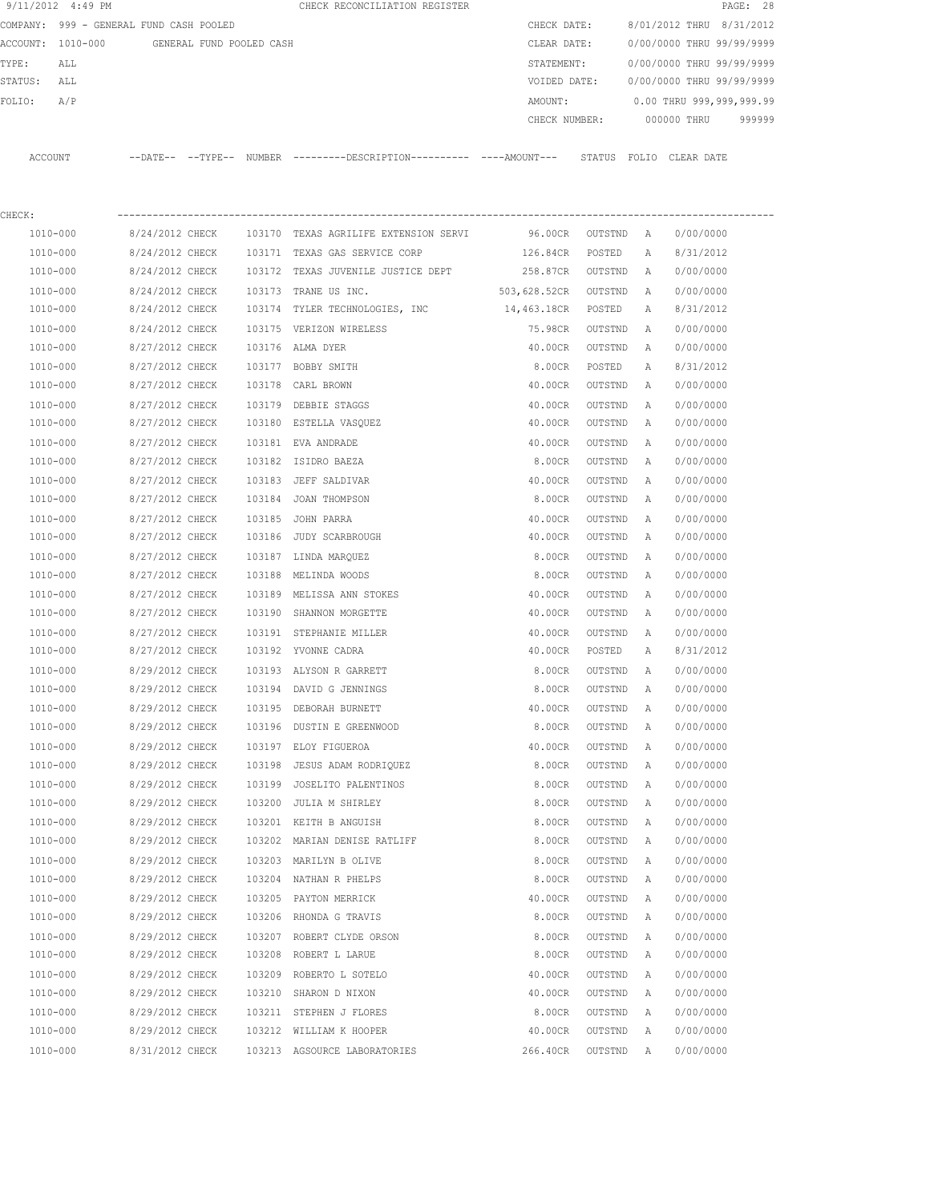|                | 9/11/2012 4:49 PM    |                                         |                          |        | CHECK RECONCILIATION REGISTER                                                              |               |                  |              | PAGE: 28                  |
|----------------|----------------------|-----------------------------------------|--------------------------|--------|--------------------------------------------------------------------------------------------|---------------|------------------|--------------|---------------------------|
|                |                      | COMPANY: 999 - GENERAL FUND CASH POOLED |                          |        |                                                                                            | CHECK DATE:   |                  |              | 8/01/2012 THRU 8/31/2012  |
|                | ACCOUNT: 1010-000    |                                         | GENERAL FUND POOLED CASH |        |                                                                                            | CLEAR DATE:   |                  |              | 0/00/0000 THRU 99/99/9999 |
| TYPE:          | ALL                  |                                         |                          |        |                                                                                            | STATEMENT:    |                  |              | 0/00/0000 THRU 99/99/9999 |
| STATUS: ALL    |                      |                                         |                          |        |                                                                                            | VOIDED DATE:  |                  |              | 0/00/0000 THRU 99/99/9999 |
| FOLIO:         | A/P                  |                                         |                          |        |                                                                                            | AMOUNT:       |                  |              | 0.00 THRU 999,999,999.99  |
|                |                      |                                         |                          |        |                                                                                            | CHECK NUMBER: |                  |              | 000000 THRU<br>999999     |
| <b>ACCOUNT</b> |                      |                                         |                          |        | --DATE-- --TYPE-- NUMBER --------DESCRIPTION--------- ---AMOUNT--- STATUS FOLIO CLEAR DATE |               |                  |              |                           |
|                |                      |                                         |                          |        |                                                                                            |               |                  |              |                           |
| CHECK:         |                      |                                         |                          |        |                                                                                            |               |                  |              |                           |
|                | 1010-000             | 8/24/2012 CHECK                         |                          |        | 103170 TEXAS AGRILIFE EXTENSION SERVI                                                      | 96.00CR       | OUTSTND          | A            | 0/00/0000                 |
|                | 1010-000             | 8/24/2012 CHECK                         |                          |        | 103171 TEXAS GAS SERVICE CORP                                                              | 126.84CR      | POSTED           | Α            | 8/31/2012                 |
|                | 1010-000             | 8/24/2012 CHECK                         |                          |        | 103172 TEXAS JUVENILE JUSTICE DEPT                                                         | 258.87CR      | OUTSTND          | A            | 0/00/0000                 |
|                | 1010-000             | 8/24/2012 CHECK                         |                          | 103173 | TRANE US INC.                                                                              | 503,628.52CR  | OUTSTND          | A            | 0/00/0000                 |
|                | 1010-000             | 8/24/2012 CHECK                         |                          | 103174 | TYLER TECHNOLOGIES, INC                                                                    | 14,463.18CR   | POSTED           | Α            | 8/31/2012                 |
|                | 1010-000             | 8/24/2012 CHECK                         |                          |        | 103175 VERIZON WIRELESS                                                                    | 75.98CR       | OUTSTND          | Α            | 0/00/0000                 |
|                | 1010-000             | 8/27/2012 CHECK                         |                          |        | 103176 ALMA DYER                                                                           | 40.00CR       | OUTSTND          | Α            | 0/00/0000                 |
|                | 1010-000             | 8/27/2012 CHECK                         |                          |        | 103177 BOBBY SMITH                                                                         | 8.00CR        | POSTED           | $\mathbb{A}$ | 8/31/2012                 |
|                | 1010-000             | 8/27/2012 CHECK                         |                          |        | 103178 CARL BROWN                                                                          | 40.00CR       | OUTSTND          | Α            | 0/00/0000                 |
|                | 1010-000             | 8/27/2012 CHECK                         |                          | 103179 | DEBBIE STAGGS                                                                              | 40.00CR       | OUTSTND          | Α            | 0/00/0000                 |
|                | 1010-000             | 8/27/2012 CHECK                         |                          |        | 103180 ESTELLA VASQUEZ                                                                     | 40.00CR       | OUTSTND          | Α            | 0/00/0000                 |
|                | 1010-000             | 8/27/2012 CHECK                         |                          |        | 103181 EVA ANDRADE                                                                         | 40.00CR       | OUTSTND          | Α            | 0/00/0000                 |
|                | 1010-000             | 8/27/2012 CHECK                         |                          |        | 103182 ISIDRO BAEZA                                                                        | 8.00CR        | OUTSTND          | Α            | 0/00/0000                 |
|                |                      |                                         |                          |        |                                                                                            |               |                  |              | 0/00/0000                 |
|                | 1010-000<br>1010-000 | 8/27/2012 CHECK<br>8/27/2012 CHECK      |                          |        | 103183 JEFF SALDIVAR                                                                       | 40.00CR       | OUTSTND          | Α<br>Α       | 0/00/0000                 |
|                |                      |                                         |                          |        | 103184 JOAN THOMPSON                                                                       | 8.00CR        | OUTSTND          |              |                           |
|                | 1010-000             | 8/27/2012 CHECK                         |                          | 103185 | JOHN PARRA                                                                                 | 40.00CR       | OUTSTND          | А            | 0/00/0000                 |
|                | 1010-000             | 8/27/2012 CHECK                         |                          |        | 103186 JUDY SCARBROUGH                                                                     | 40.00CR       | OUTSTND          | А            | 0/00/0000                 |
|                | 1010-000             | 8/27/2012 CHECK                         |                          |        | 103187 LINDA MARQUEZ                                                                       | 8.00CR        | OUTSTND          | А            | 0/00/0000                 |
|                | 1010-000             | 8/27/2012 CHECK                         |                          |        | 103188 MELINDA WOODS                                                                       | 8.00CR        | OUTSTND          | А            | 0/00/0000                 |
|                | 1010-000             | 8/27/2012 CHECK                         |                          |        | 103189 MELISSA ANN STOKES                                                                  | 40.00CR       | OUTSTND          | Α            | 0/00/0000                 |
|                | 1010-000             | 8/27/2012 CHECK                         |                          |        | 103190 SHANNON MORGETTE                                                                    | 40.00CR       | OUTSTND          | Α            | 0/00/0000                 |
|                | 1010-000             | 8/27/2012 CHECK                         |                          |        | 103191 STEPHANIE MILLER                                                                    | 40.00CR       | OUTSTND          | Α            | 0/00/0000                 |
|                | 1010-000             | 8/27/2012 CHECK                         |                          |        | 103192 YVONNE CADRA                                                                        | 40.00CR       | POSTED           | Α            | 8/31/2012                 |
|                | 1010-000             |                                         |                          |        | 8/29/2012 CHECK 103193 ALYSON R GARRETT                                                    |               | 8.00CR OUTSTND A |              | 0/00/0000                 |
|                | 1010-000             | 8/29/2012 CHECK                         |                          |        | 103194 DAVID G JENNINGS                                                                    | 8.00CR        | OUTSTND          | A            | 0/00/0000                 |
|                | 1010-000             | 8/29/2012 CHECK                         |                          |        | 103195 DEBORAH BURNETT                                                                     | 40.00CR       | OUTSTND          | Α            | 0/00/0000                 |
|                | 1010-000             | 8/29/2012 CHECK                         |                          |        | 103196 DUSTIN E GREENWOOD                                                                  | 8.00CR        | OUTSTND          | A            | 0/00/0000                 |
|                | 1010-000             | 8/29/2012 CHECK                         |                          |        | 103197 ELOY FIGUEROA                                                                       | 40.00CR       | OUTSTND          | Α            | 0/00/0000                 |
|                | 1010-000             | 8/29/2012 CHECK                         |                          |        | 103198 JESUS ADAM RODRIQUEZ                                                                | 8.00CR        | OUTSTND          | Α            | 0/00/0000                 |
|                | 1010-000             | 8/29/2012 CHECK                         |                          |        | 103199 JOSELITO PALENTINOS                                                                 | 8.00CR        | OUTSTND          | Α            | 0/00/0000                 |
|                | 1010-000             | 8/29/2012 CHECK                         |                          |        | 103200 JULIA M SHIRLEY                                                                     | 8.00CR        | OUTSTND          | A            | 0/00/0000                 |
|                | 1010-000             | 8/29/2012 CHECK                         |                          |        | 103201 KEITH B ANGUISH                                                                     | 8.00CR        | OUTSTND          | A            | 0/00/0000                 |
|                | 1010-000             | 8/29/2012 CHECK                         |                          |        | 103202 MARIAN DENISE RATLIFF                                                               | 8.00CR        | OUTSTND          | A            | 0/00/0000                 |
|                | $1010 - 000$         | 8/29/2012 CHECK                         |                          |        | 103203 MARILYN B OLIVE                                                                     | 8.00CR        | OUTSTND          | Α            | 0/00/0000                 |
|                | 1010-000             | 8/29/2012 CHECK                         |                          |        | 103204 NATHAN R PHELPS                                                                     | 8.00CR        | OUTSTND          | A            | 0/00/0000                 |
|                | 1010-000             | 8/29/2012 CHECK                         |                          |        | 103205 PAYTON MERRICK                                                                      | 40.00CR       | OUTSTND          | $\mathbb{A}$ | 0/00/0000                 |
|                | 1010-000             | 8/29/2012 CHECK                         |                          |        | 103206 RHONDA G TRAVIS                                                                     | 8.00CR        | OUTSTND          | Α            | 0/00/0000                 |
|                | 1010-000             | 8/29/2012 CHECK                         |                          |        | 103207 ROBERT CLYDE ORSON                                                                  | 8.00CR        | OUTSTND          | Α            | 0/00/0000                 |
|                | 1010-000             | 8/29/2012 CHECK                         |                          |        | 103208 ROBERT L LARUE                                                                      | 8.00CR        | OUTSTND          | Α            | 0/00/0000                 |
|                | 1010-000             | 8/29/2012 CHECK                         |                          |        | 103209 ROBERTO L SOTELO                                                                    | 40.00CR       | OUTSTND          | Α            | 0/00/0000                 |
|                | 1010-000             | 8/29/2012 CHECK                         |                          |        | 103210 SHARON D NIXON                                                                      | 40.00CR       | OUTSTND          | А            | 0/00/0000                 |
|                | 1010-000             | 8/29/2012 CHECK                         |                          |        | 103211 STEPHEN J FLORES                                                                    |               | 8.00CR OUTSTND A |              | 0/00/0000                 |

 1010-000 8/29/2012 CHECK 103212 WILLIAM K HOOPER 40.00CR OUTSTND A 0/00/0000 1010-000 8/31/2012 CHECK 103213 AGSOURCE LABORATORIES 266.40CR OUTSTND A 0/00/0000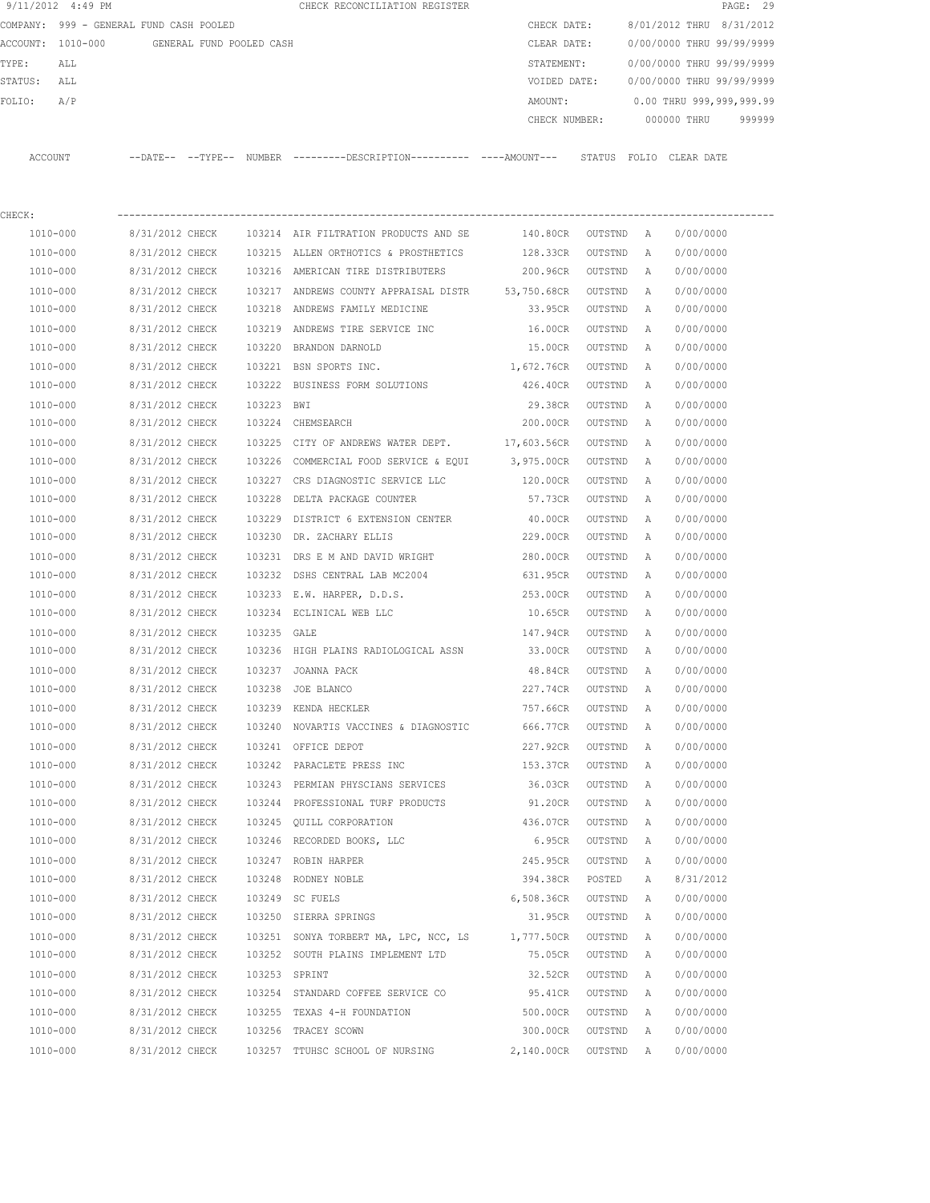|         | 9/11/2012 4:49 PM                       |                          |               | CHECK RECONCILIATION REGISTER                                                               |               |         |   |                           | PAGE: 29 |
|---------|-----------------------------------------|--------------------------|---------------|---------------------------------------------------------------------------------------------|---------------|---------|---|---------------------------|----------|
|         | COMPANY: 999 - GENERAL FUND CASH POOLED |                          |               |                                                                                             | CHECK DATE:   |         |   | 8/01/2012 THRU 8/31/2012  |          |
|         | ACCOUNT: 1010-000                       | GENERAL FUND POOLED CASH |               |                                                                                             | CLEAR DATE:   |         |   | 0/00/0000 THRU 99/99/9999 |          |
| TYPE:   | ALL                                     |                          |               |                                                                                             | STATEMENT:    |         |   | 0/00/0000 THRU 99/99/9999 |          |
| STATUS: | ALL                                     |                          |               |                                                                                             | VOIDED DATE:  |         |   | 0/00/0000 THRU 99/99/9999 |          |
| FOLIO:  | A/P                                     |                          |               |                                                                                             | AMOUNT:       |         |   | 0.00 THRU 999,999,999.99  |          |
|         |                                         |                          |               |                                                                                             | CHECK NUMBER: |         |   | 000000 THRU               | 999999   |
|         | ACCOUNT                                 |                          |               | --DATE-- --TYPE-- NUMBER --------DESCRIPTION---------- ----AMOUNT--- STATUS FOLIO CLEARDATE |               |         |   |                           |          |
|         |                                         |                          |               |                                                                                             |               |         |   |                           |          |
| CHECK:  |                                         |                          |               |                                                                                             |               |         |   |                           |          |
|         | 1010-000                                | 8/31/2012 CHECK          |               | 103214 AIR FILTRATION PRODUCTS AND SE                                                       | 140.80CR      | OUTSTND | A | 0/00/0000                 |          |
|         | 1010-000                                | 8/31/2012 CHECK          |               | 103215 ALLEN ORTHOTICS & PROSTHETICS                                                        | 128.33CR      | OUTSTND | A | 0/00/0000                 |          |
|         | 1010-000                                | 8/31/2012 CHECK          |               | 103216 AMERICAN TIRE DISTRIBUTERS                                                           | 200.96CR      | OUTSTND | A | 0/00/0000                 |          |
|         | 1010-000                                | 8/31/2012 CHECK          |               | 103217 ANDREWS COUNTY APPRAISAL DISTR 53,750.68CR                                           |               | OUTSTND | A | 0/00/0000                 |          |
|         | 1010-000                                | 8/31/2012 CHECK          |               | 103218 ANDREWS FAMILY MEDICINE                                                              | 33.95CR       | OUTSTND | A | 0/00/0000                 |          |
|         | 1010-000                                | 8/31/2012 CHECK          | 103219        | ANDREWS TIRE SERVICE INC                                                                    | 16.00CR       | OUTSTND | Α | 0/00/0000                 |          |
|         | 1010-000                                | 8/31/2012 CHECK          | 103220        | BRANDON DARNOLD                                                                             | 15.00CR       | OUTSTND | A | 0/00/0000                 |          |
|         | 1010-000                                | 8/31/2012 CHECK          |               | 103221 BSN SPORTS INC.                                                                      | 1,672.76CR    | OUTSTND | A | 0/00/0000                 |          |
|         | 1010-000                                | 8/31/2012 CHECK          |               | 103222 BUSINESS FORM SOLUTIONS                                                              | 426.40CR      | OUTSTND | A | 0/00/0000                 |          |
|         | 1010-000                                | 8/31/2012 CHECK          | 103223 BWI    |                                                                                             | 29.38CR       | OUTSTND | Α | 0/00/0000                 |          |
|         | 1010-000                                | 8/31/2012 CHECK          |               | 103224 CHEMSEARCH                                                                           | 200.00CR      | OUTSTND | Α | 0/00/0000                 |          |
|         | 1010-000                                | 8/31/2012 CHECK          | 103225        | CITY OF ANDREWS WATER DEPT. 17,603.56CR                                                     |               | OUTSTND | Α | 0/00/0000                 |          |
|         | 1010-000                                | 8/31/2012 CHECK          | 103226        | COMMERCIAL FOOD SERVICE & EQUI                                                              | 3,975.00CR    | OUTSTND | Α | 0/00/0000                 |          |
|         | 1010-000                                | 8/31/2012 CHECK          |               | 103227 CRS DIAGNOSTIC SERVICE LLC                                                           | 120.00CR      | OUTSTND | Α | 0/00/0000                 |          |
|         | 1010-000                                | 8/31/2012 CHECK          | 103228        | DELTA PACKAGE COUNTER                                                                       | 57.73CR       | OUTSTND | A | 0/00/0000                 |          |
|         | 1010-000                                | 8/31/2012 CHECK          | 103229        | DISTRICT 6 EXTENSION CENTER                                                                 | 40.00CR       | OUTSTND | Α | 0/00/0000                 |          |
|         | 1010-000                                | 8/31/2012 CHECK          | 103230        | DR. ZACHARY ELLIS                                                                           | 229.00CR      | OUTSTND | A | 0/00/0000                 |          |
|         | 1010-000                                | 8/31/2012 CHECK          | 103231        | DRS E M AND DAVID WRIGHT                                                                    | 280.00CR      | OUTSTND | Α | 0/00/0000                 |          |
|         | 1010-000                                | 8/31/2012 CHECK          | 103232        | DSHS CENTRAL LAB MC2004                                                                     | 631.95CR      | OUTSTND | Α | 0/00/0000                 |          |
|         | 1010-000                                | 8/31/2012 CHECK          |               | 103233 E.W. HARPER, D.D.S.                                                                  | 253.00CR      | OUTSTND | Α | 0/00/0000                 |          |
|         | 1010-000                                | 8/31/2012 CHECK          |               | 103234 ECLINICAL WEB LLC                                                                    | 10.65CR       | OUTSTND | Α | 0/00/0000                 |          |
|         | 1010-000                                | 8/31/2012 CHECK          | 103235 GALE   |                                                                                             | 147.94CR      | OUTSTND | A | 0/00/0000                 |          |
|         | 1010-000                                | 8/31/2012 CHECK          |               | 103236 HIGH PLAINS RADIOLOGICAL ASSN                                                        | 33.00CR       | OUTSTND | Α | 0/00/0000                 |          |
|         | 1010-000                                | 8/31/2012 CHECK          |               | 103237 JOANNA PACK                                                                          | 48.84CR       | OUTSTND | A | 0/00/0000                 |          |
|         | 1010-000                                | 8/31/2012 CHECK          |               | 103238 JOE BLANCO                                                                           | 227.74CR      | OUTSTND | A | 0/00/0000                 |          |
|         | 1010-000                                | 8/31/2012 CHECK          |               | 103239 KENDA HECKLER                                                                        | 757.66CR      | OUTSTND | Α | 0/00/0000                 |          |
|         | 1010-000                                | 8/31/2012 CHECK          |               | 103240 NOVARTIS VACCINES & DIAGNOSTIC                                                       | 666.77CR      | OUTSTND | Α | 0/00/0000                 |          |
|         | 1010-000                                | 8/31/2012 CHECK          |               | 103241 OFFICE DEPOT                                                                         | 227.92CR      | OUTSTND | Α | 0/00/0000                 |          |
|         | 1010-000                                | 8/31/2012 CHECK          |               | 103242 PARACLETE PRESS INC                                                                  | 153.37CR      | OUTSTND | Α | 0/00/0000                 |          |
|         | 1010-000                                | 8/31/2012 CHECK          |               | 103243 PERMIAN PHYSCIANS SERVICES                                                           | 36.03CR       | OUTSTND | Α | 0/00/0000                 |          |
|         | 1010-000                                | 8/31/2012 CHECK          |               | 103244 PROFESSIONAL TURF PRODUCTS                                                           | 91.20CR       | OUTSTND | Α | 0/00/0000                 |          |
|         | 1010-000                                | 8/31/2012 CHECK          |               | 103245 QUILL CORPORATION                                                                    | 436.07CR      | OUTSTND | Α | 0/00/0000                 |          |
|         | 1010-000                                | 8/31/2012 CHECK          |               | 103246 RECORDED BOOKS, LLC                                                                  | 6.95CR        | OUTSTND | Α | 0/00/0000                 |          |
|         | 1010-000                                | 8/31/2012 CHECK          |               | 103247 ROBIN HARPER                                                                         | 245.95CR      | OUTSTND | Α | 0/00/0000                 |          |
|         | 1010-000                                | 8/31/2012 CHECK          |               | 103248 RODNEY NOBLE                                                                         | 394.38CR      | POSTED  | Α | 8/31/2012                 |          |
|         | 1010-000                                | 8/31/2012 CHECK          |               | 103249 SC FUELS                                                                             | 6,508.36CR    | OUTSTND | Α | 0/00/0000                 |          |
|         | 1010-000                                | 8/31/2012 CHECK          |               | 103250 SIERRA SPRINGS                                                                       | 31.95CR       | OUTSTND | Α | 0/00/0000                 |          |
|         | 1010-000                                | 8/31/2012 CHECK          |               | 103251 SONYA TORBERT MA, LPC, NCC, LS                                                       | 1,777.50CR    | OUTSTND | Α | 0/00/0000                 |          |
|         | 1010-000                                | 8/31/2012 CHECK          |               | 103252 SOUTH PLAINS IMPLEMENT LTD                                                           | 75.05CR       | OUTSTND | Α | 0/00/0000                 |          |
|         | 1010-000                                | 8/31/2012 CHECK          | 103253 SPRINT |                                                                                             | 32.52CR       | OUTSTND | Α | 0/00/0000                 |          |
|         | 1010-000                                | 8/31/2012 CHECK          |               | 103254 STANDARD COFFEE SERVICE CO                                                           | 95.41CR       | OUTSTND | Α | 0/00/0000                 |          |
|         | 1010-000                                | 8/31/2012 CHECK          |               | 103255 TEXAS 4-H FOUNDATION                                                                 | 500.00CR      | OUTSTND | Α | 0/00/0000                 |          |
|         | 1010-000                                | 8/31/2012 CHECK          |               | 103256 TRACEY SCOWN                                                                         | 300.00CR      | OUTSTND | Α | 0/00/0000                 |          |
|         | 1010-000                                |                          |               |                                                                                             |               |         |   | 0/00/0000                 |          |
|         |                                         | 8/31/2012 CHECK          |               | 103257 TTUHSC SCHOOL OF NURSING                                                             | 2,140.00CR    | OUTSTND | Α |                           |          |